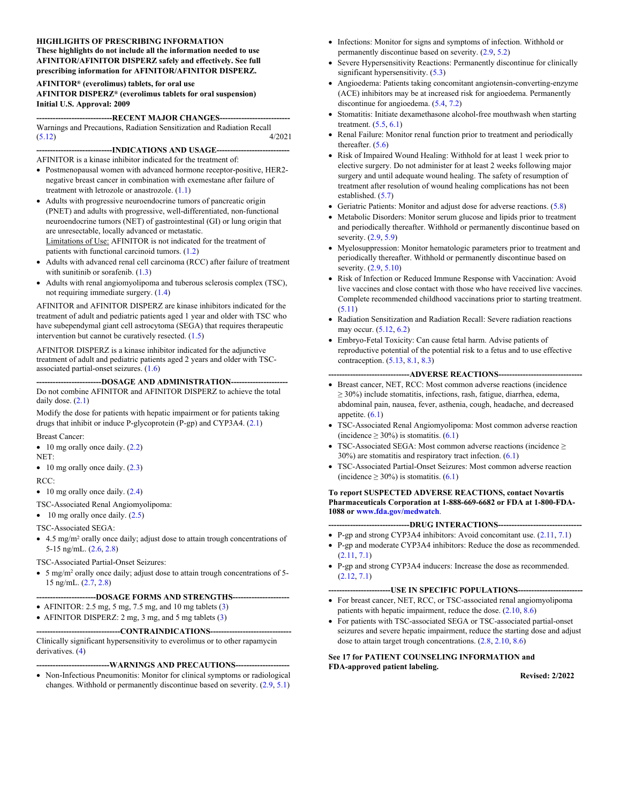#### **HIGHLIGHTS OF PRESCRIBING INFORMATION**

**These highlights do not include all the information needed to use AFINITOR/AFINITOR DISPERZ safely and effectively. See full prescribing information for AFINITOR/AFINITOR DISPERZ.**

#### **AFINITOR® (everolimus) tablets, for oral use AFINITOR DISPERZ® (everolimus tablets for oral suspension) Initial U.S. Approval: 2009**

---RECENT MAJOR CHANGES-Warnings and Precautions, Radiation Sensitization and Radiation Recall  $(5.12)$  $(5.12)$   $4/2021$ 

#### ---INDICATIONS AND USAGE--

AFINITOR is a kinase inhibitor indicated for the treatment of:

- Postmenopausal women with advanced hormone receptor-positive, HER2 negative breast cancer in combination with exemestane after failure of treatment with letrozole or anastrozole. ([1.1\)](#page-2-0)
- Adults with progressive neuroendocrine tumors of pancreatic origin (PNET) and adults with progressive, well-differentiated, non-functional neuroendocrine tumors (NET) of gastrointestinal (GI) or lung origin that are unresectable, locally advanced or metastatic. Limitations of Use: AFINITOR is not indicated for the treatment of patients with functional carcinoid tumors. ([1.2\)](#page-2-1)
- Adults with advanced renal cell carcinoma (RCC) after failure of treatment with sunitinib or sorafenib.  $(1.3)$  $(1.3)$
- Adults with renal angiomyolipoma and tuberous sclerosis complex (TSC), not requiring immediate surgery. [\(1.4](#page-2-3))

AFINITOR and AFINITOR DISPERZ are kinase inhibitors indicated for the treatment of adult and pediatric patients aged 1 year and older with TSC who have subependymal giant cell astrocytoma (SEGA) that requires therapeutic intervention but cannot be curatively resected. ([1.5\)](#page-2-4)

AFINITOR DISPERZ is a kinase inhibitor indicated for the adjunctive treatment of adult and pediatric patients aged 2 years and older with TSCassociated partial-onset seizures. [\(1.6](#page-2-5))

**------------------------DOSAGE AND ADMINISTRATION---------------------** Do not combine AFINITOR and AFINITOR DISPERZ to achieve the total daily dose. [\(2.1](#page-2-6))

Modify the dose for patients with hepatic impairment or for patients taking drugs that inhibit or induce P-glycoprotein (P-gp) and CYP3A4. [\(2.1](#page-2-6))

Breast Cancer:  $\bullet$  10 mg orally once daily. ([2.2\)](#page-2-7)

NET:

 $\bullet$  10 mg orally once daily.  $(2.3)$  $(2.3)$ 

RCC:

 $\bullet$  10 mg orally once daily.  $(2.4)$  $(2.4)$ 

TSC-Associated Renal Angiomyolipoma:

 $\bullet$  10 mg orally once daily.  $(2.5)$  $(2.5)$ 

TSC-Associated SEGA:

• 4.5 mg/m<sup>2</sup> orally once daily; adjust dose to attain trough concentrations of 5-15 ng/mL. [\(2.6](#page-2-11), [2.8](#page-3-0))

TSC-Associated Partial-Onset Seizures:

• 5 mg/m<sup>2</sup> orally once daily; adjust dose to attain trough concentrations of 5-15 ng/mL. ([2.7,](#page-2-12) [2.8\)](#page-3-0)

#### -DOSAGE FORMS AND STRENGTHS-

• AFINITOR: 2.5 mg, 5 mg, 7.5 mg, and 10 mg tablets  $(3)$  $(3)$ 

• AFINITOR DISPERZ: 2 mg, 3 mg, and 5 mg tablets ([3\)](#page-6-0)

**-------------------------------CONTRAINDICATIONS------------------------------** Clinically significant hypersensitivity to everolimus or to other rapamycin derivatives. ([4\)](#page-6-1)

#### **---------------------------WARNINGS AND PRECAUTIONS--------------------**

 Non-Infectious Pneumonitis: Monitor for clinical symptoms or radiological changes. Withhold or permanently discontinue based on severity. [\(2.9](#page-3-1), [5.1](#page-6-2))

- Infections: Monitor for signs and symptoms of infection. Withhold or permanently discontinue based on severity. [\(2.9](#page-3-1), [5.2](#page-7-0))
- Severe Hypersensitivity Reactions: Permanently discontinue for clinically significant hypersensitivity. ([5.3\)](#page-7-1)
- Angioedema: Patients taking concomitant angiotensin-converting-enzyme (ACE) inhibitors may be at increased risk for angioedema. Permanently discontinue for angioedema. ([5.4,](#page-7-2) [7.2\)](#page-21-0)
- Stomatitis: Initiate dexamethasone alcohol-free mouthwash when starting treatment.  $(5.5, 6.1)$  $(5.5, 6.1)$  $(5.5, 6.1)$  $(5.5, 6.1)$
- Renal Failure: Monitor renal function prior to treatment and periodically thereafter.  $(5.6)$  $(5.6)$
- Risk of Impaired Wound Healing: Withhold for at least 1 week prior to elective surgery. Do not administer for at least 2 weeks following major surgery and until adequate wound healing. The safety of resumption of treatment after resolution of wound healing complications has not been established. ([5.7\)](#page-7-5)
- Geriatric Patients: Monitor and adjust dose for adverse reactions. ([5.8\)](#page-7-6)
- Metabolic Disorders: Monitor serum glucose and lipids prior to treatment and periodically thereafter. Withhold or permanently discontinue based on severity. [\(2.9](#page-3-1), [5.9](#page-8-2))
- Myelosuppression: Monitor hematologic parameters prior to treatment and periodically thereafter. Withhold or permanently discontinue based on severity. [\(2.9](#page-3-1), [5.10](#page-8-3))
- Risk of Infection or Reduced Immune Response with Vaccination: Avoid live vaccines and close contact with those who have received live vaccines. Complete recommended childhood vaccinations prior to starting treatment. [\(5.11](#page-8-4))
- Radiation Sensitization and Radiation Recall: Severe radiation reactions may occur. ([5.12,](#page-8-0) [6.2\)](#page-21-1)
- Embryo-Fetal Toxicity: Can cause fetal harm. Advise patients of reproductive potential of the potential risk to a fetus and to use effective contraception. ([5.13,](#page-8-5) [8.1,](#page-21-2) [8.3\)](#page-22-0)

#### **------------------------------ADVERSE REACTIONS-------------------------------**

- Breast cancer, NET, RCC: Most common adverse reactions (incidence ≥ 30%) include stomatitis, infections, rash, fatigue, diarrhea, edema, abdominal pain, nausea, fever, asthenia, cough, headache, and decreased appetite.  $(6.1)$  $(6.1)$
- TSC-Associated Renal Angiomyolipoma: Most common adverse reaction (incidence  $\geq$  30%) is stomatitis. ([6.1](#page-8-1))
- TSC-Associated SEGA: Most common adverse reactions (incidence ≥ 30%) are stomatitis and respiratory tract infection. [\(6.1](#page-8-1))
- TSC-Associated Partial-Onset Seizures: Most common adverse reaction (incidence  $\geq 30\%$ ) is stomatitis. ([6.1](#page-8-1))

#### **To report SUSPECTED ADVERSE REACTIONS, contact Novartis Pharmaceuticals Corporation at 1-888-669-6682 or FDA at 1-800-FDA-1088 or [www.fda.gov/medwatch](http://www.fda.gov/medwatch)**.

- ---DRUG INTERACTIONS----• P-gp and strong CYP3A4 inhibitors: Avoid concomitant use.  $(2.11, 7.1)$  $(2.11, 7.1)$  $(2.11, 7.1)$  $(2.11, 7.1)$
- P-gp and moderate CYP3A4 inhibitors: Reduce the dose as recommended. [\(2.11](#page-4-0), [7.1](#page-21-3))
- P-gp and strong CYP3A4 inducers: Increase the dose as recommended.  $(2.12, 7.1)$  $(2.12, 7.1)$  $(2.12, 7.1)$  $(2.12, 7.1)$

#### **----USE IN SPECIFIC POPULATIONS----**

- For breast cancer, NET, RCC, or TSC-associated renal angiomyolipoma patients with hepatic impairment, reduce the dose. [\(2.10](#page-4-1), [8.6](#page-23-0))
- For patients with TSC-associated SEGA or TSC-associated partial-onset seizures and severe hepatic impairment, reduce the starting dose and adjust dose to attain target trough concentrations. [\(2.8](#page-3-0), [2.10](#page-4-1), [8.6](#page-23-0))

#### **See 17 for PATIENT COUNSELING INFORMATION and FDA-approved patient labeling.**

**Revised: 2/2022**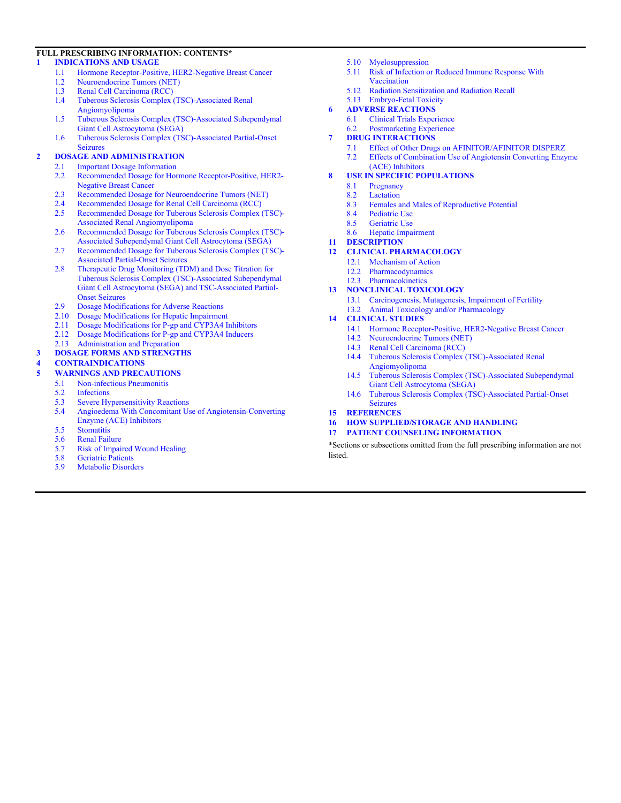#### **FULL PRESCRIBING INFORMATION: CONTENTS\***

#### **[1 INDICATIONS AND USAGE](#page-2-13)**

- [1.1 Hormone Receptor-Positive, HER2-Negative Breast Cancer](#page-2-0)
- [1.2 Neuroendocrine Tumors \(NET\)](#page-2-1)
- [1.3 Renal Cell Carcinoma \(RCC\)](#page-2-2)
- [1.4 Tuberous Sclerosis Complex \(TSC\)-Associated Renal](#page-2-3)  [Angiomyolipoma](#page-2-3)
- [1.5 Tuberous Sclerosis Complex \(TSC\)-Associated Subependymal](#page-2-4)  [Giant Cell Astrocytoma \(SEGA\)](#page-2-4)
- [1.6 Tuberous Sclerosis Complex \(TSC\)-Associated Partial-Onset](#page-2-5)  [Seizures](#page-2-5)

#### **[2 DOSAGE AND ADMINISTRATION](#page-2-14)**

- [2.1 Important Dosage Information](#page-2-6)
- [2.2 Recommended Dosage for Hormone Receptor-Positive, HER2-](#page-2-7) [Negative Breast Cancer](#page-2-7)
- [2.3 Recommended Dosage for Neuroendocrine Tumors \(NET\)](#page-2-8)
- [2.4 Recommended Dosage for Renal Cell Carcinoma \(RCC\)](#page-2-9)<br>2.5 Recommended Dosage for Tuberous Sclerosis Complex (
- Recommended Dosage for Tuberous Sclerosis Complex (TSC)-[Associated Renal Angiomyolipoma](#page-2-10)
- [2.6 Recommended Dosage for Tuberous Sclerosis Complex \(TSC\)-](#page-2-11) [Associated Subependymal Giant Cell Astrocytoma \(SEGA\)](#page-2-11)
- [2.7 Recommended Dosage for Tuberous Sclerosis Complex \(TSC\)-](#page-2-12) [Associated Partial-Onset Seizures](#page-2-12)
- [2.8 Therapeutic Drug Monitoring \(TDM\) and Dose Titration for](#page-3-0)  [Tuberous Sclerosis Complex \(TSC\)-Associated Subependymal](#page-3-0)  [Giant Cell Astrocytoma \(SEGA\) and TSC-Associated Partial-](#page-3-0)[Onset Seizures](#page-3-0)
- [2.9 Dosage Modifications for Adverse Reactions](#page-3-1)
- [2.10 Dosage Modifications for Hepatic Impairment](#page-4-1)<br>2.11 Dosage Modifications for P-gp and CYP3A4 I
- [2.11 Dosage Modifications for P-gp and CYP3A4 Inhibitors](#page-4-0)<br>2.12 Dosage Modifications for P-gp and CYP3A4 Inducers
- Dosage Modifications for P-gp and CYP3A4 Inducers

#### [2.13 Administration and Preparation](#page-5-1)

#### **[3 DOSAGE FORMS AND STRENGTHS](#page-6-0)**

# **[4 CONTRAINDICATIONS](#page-6-1)**

#### **[5 WARNINGS AND PRECAUTIONS](#page-6-3)**

- [5.1 Non-infectious Pneumonitis](#page-6-2)
- [5.2 Infections](#page-7-0)<br>5.3 Severe Hy
- [5.3 Severe Hypersensitivity Reactions](#page-7-1)<br>5.4 Angioedema With Concomitant Us
- [5.4 Angioedema With Concomitant Use of Angiotensin-Converting](#page-7-2)  [Enzyme \(ACE\) Inhibitors](#page-7-2)
- [5.5 Stomatitis](#page-7-3)<br>5.6 Renal Fail
- Renal Failure
- [5.7 Risk of Impaired Wound Healing](#page-7-5)
- [5.8 Geriatric Patients](#page-7-6)
- [5.9 Metabolic Disorders](#page-8-2)
- [5.10 Myelosuppression](#page-8-3)
- [5.11 Risk of Infection or Reduced Immune Response With](#page-8-4)  [Vaccination](#page-8-4)
	-
- [5.12 Radiation Sensitization and Radiation Recall](#page-8-0) [5.13 Embryo-Fetal Toxicity](#page-8-5)

# **[6 ADVERSE REACTIONS](#page-8-6)**

- - [6.1 Clinical Trials Experience](#page-8-1) [6.2 Postmarketing Experience](#page-21-1)
- **[7 DRUG INTERACTIONS](#page-21-4)**
	- [7.1 Effect of Other Drugs on AFINITOR/AFINITOR DISPERZ](#page-21-3)
		- [7.2 Effects of Combination Use of Angiotensin Converting Enzyme](#page-21-0)

#### [\(ACE\) Inhibitors](#page-21-0) **[8 USE IN SPECIFIC POPULATIONS](#page-21-5)**

- 
- [8.1 Pregnancy](#page-21-2)<br>8.2 Lactation Lactation
- [8.3 Females and Males of Reproductive Potential](#page-22-0)
- 
- [8.4 Pediatric Use](#page-22-2)<br>8.5 Geriatric Use Geriatric Use
- [8.6 Hepatic Impairment](#page-23-0)

#### **[11 DESCRIPTION](#page-23-2)**

#### **[12 CLINICAL PHARMACOLOGY](#page-24-0)**

- [12.1 Mechanism of Action](#page-24-1)
- [12.2 Pharmacodynamics](#page-24-2)
- [12.3 Pharmacokinetics](#page-25-0)

#### **[13 NONCLINICAL TOXICOLOGY](#page-26-0)**

- [13.1 Carcinogenesis, Mutagenesis, Impairment of Fertility](#page-26-1)
- [13.2 Animal Toxicology and/or Pharmacology](#page-26-2)

#### **[14 CLINICAL STUDIES](#page-26-3)**

- [14.1 Hormone Receptor-Positive, HER2-Negative Breast Cancer](#page-26-4)
- [14.2 Neuroendocrine Tumors \(NET\)](#page-28-0)
- [14.3 Renal Cell Carcinoma \(RCC\)](#page-30-0)
- [14.4 Tuberous Sclerosis Complex \(TSC\)-Associated Renal](#page-31-0)  [Angiomyolipoma](#page-31-0)
- [14.5 Tuberous Sclerosis Complex \(TSC\)-Associated Subependymal](#page-32-0)  [Giant Cell Astrocytoma \(SEGA\)](#page-32-0)
- [14.6 Tuberous Sclerosis Complex \(TSC\)-Associated Partial-Onset](#page-33-0)  [Seizures](#page-33-0)

#### **[15 REFERENCES](#page-34-0)**

**[16 HOW SUPPLIED/STORAGE AND HANDLING](#page-34-1)**

#### **[17 PATIENT COUNSELING INFORMATION](#page-35-0)**

\*Sections or subsections omitted from the full prescribing information are not listed.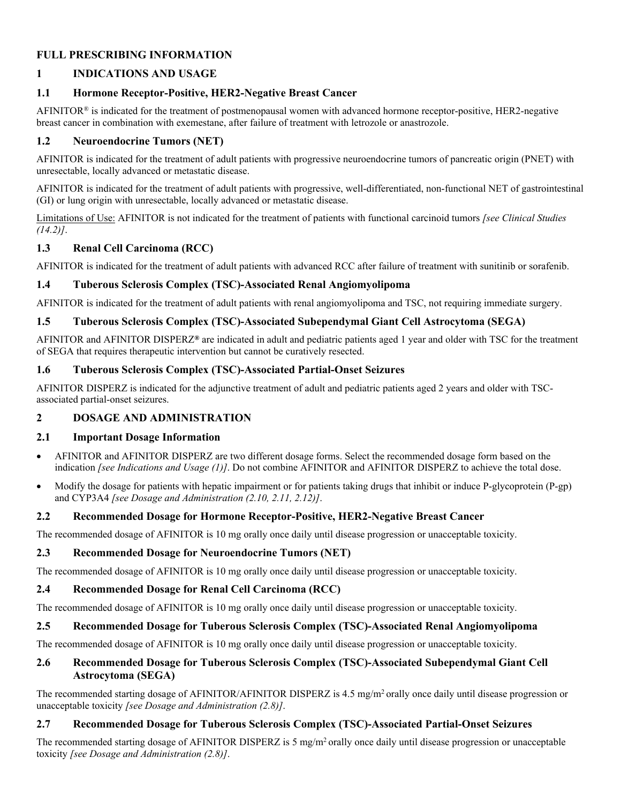# **FULL PRESCRIBING INFORMATION**

# <span id="page-2-13"></span>**1 INDICATIONS AND USAGE**

# <span id="page-2-0"></span>**1.1 Hormone Receptor-Positive, HER2-Negative Breast Cancer**

 $AFINITOR<sup>®</sup>$  is indicated for the treatment of postmenopausal women with advanced hormone receptor-positive, HER2-negative breast cancer in combination with exemestane, after failure of treatment with letrozole or anastrozole.

# <span id="page-2-1"></span>**1.2 Neuroendocrine Tumors (NET)**

AFINITOR is indicated for the treatment of adult patients with progressive neuroendocrine tumors of pancreatic origin (PNET) with unresectable, locally advanced or metastatic disease.

AFINITOR is indicated for the treatment of adult patients with progressive, well-differentiated, non-functional NET of gastrointestinal (GI) or lung origin with unresectable, locally advanced or metastatic disease.

Limitations of Use: AFINITOR is not indicated for the treatment of patients with functional carcinoid tumors *[see Clinical Studies (14.2)]*.

# <span id="page-2-2"></span>**1.3 Renal Cell Carcinoma (RCC)**

AFINITOR is indicated for the treatment of adult patients with advanced RCC after failure of treatment with sunitinib or sorafenib.

## <span id="page-2-3"></span>**1.4 Tuberous Sclerosis Complex (TSC)-Associated Renal Angiomyolipoma**

AFINITOR is indicated for the treatment of adult patients with renal angiomyolipoma and TSC, not requiring immediate surgery.

# <span id="page-2-4"></span>**1.5 Tuberous Sclerosis Complex (TSC)-Associated Subependymal Giant Cell Astrocytoma (SEGA)**

AFINITOR and AFINITOR DISPERZ**®** are indicated in adult and pediatric patients aged 1 year and older with TSC for the treatment of SEGA that requires therapeutic intervention but cannot be curatively resected.

# <span id="page-2-5"></span>**1.6 Tuberous Sclerosis Complex (TSC)-Associated Partial-Onset Seizures**

AFINITOR DISPERZ is indicated for the adjunctive treatment of adult and pediatric patients aged 2 years and older with TSCassociated partial-onset seizures.

# <span id="page-2-14"></span>**2 DOSAGE AND ADMINISTRATION**

## <span id="page-2-6"></span>**2.1 Important Dosage Information**

- AFINITOR and AFINITOR DISPERZ are two different dosage forms. Select the recommended dosage form based on the indication *[see Indications and Usage (1)]*. Do not combine AFINITOR and AFINITOR DISPERZ to achieve the total dose.
- Modify the dosage for patients with hepatic impairment or for patients taking drugs that inhibit or induce P-glycoprotein (P-gp) and CYP3A4 *[see Dosage and Administration (2.10, 2.11, 2.12)]*.

# <span id="page-2-7"></span>**2.2 Recommended Dosage for Hormone Receptor-Positive, HER2-Negative Breast Cancer**

The recommended dosage of AFINITOR is 10 mg orally once daily until disease progression or unacceptable toxicity.

## <span id="page-2-8"></span>**2.3 Recommended Dosage for Neuroendocrine Tumors (NET)**

The recommended dosage of AFINITOR is 10 mg orally once daily until disease progression or unacceptable toxicity.

## <span id="page-2-9"></span>**2.4 Recommended Dosage for Renal Cell Carcinoma (RCC)**

The recommended dosage of AFINITOR is 10 mg orally once daily until disease progression or unacceptable toxicity.

## <span id="page-2-10"></span>**2.5 Recommended Dosage for Tuberous Sclerosis Complex (TSC)-Associated Renal Angiomyolipoma**

The recommended dosage of AFINITOR is 10 mg orally once daily until disease progression or unacceptable toxicity.

# <span id="page-2-11"></span>**2.6 Recommended Dosage for Tuberous Sclerosis Complex (TSC)-Associated Subependymal Giant Cell Astrocytoma (SEGA)**

The recommended starting dosage of AFINITOR/AFINITOR DISPERZ is  $4.5$  mg/m<sup>2</sup> orally once daily until disease progression or unacceptable toxicity *[see Dosage and Administration (2.8)]*.

## <span id="page-2-12"></span>**2.7 Recommended Dosage for Tuberous Sclerosis Complex (TSC)-Associated Partial-Onset Seizures**

The recommended starting dosage of AFINITOR DISPERZ is 5 mg/m<sup>2</sup> orally once daily until disease progression or unacceptable toxicity *[see Dosage and Administration (2.8)]*.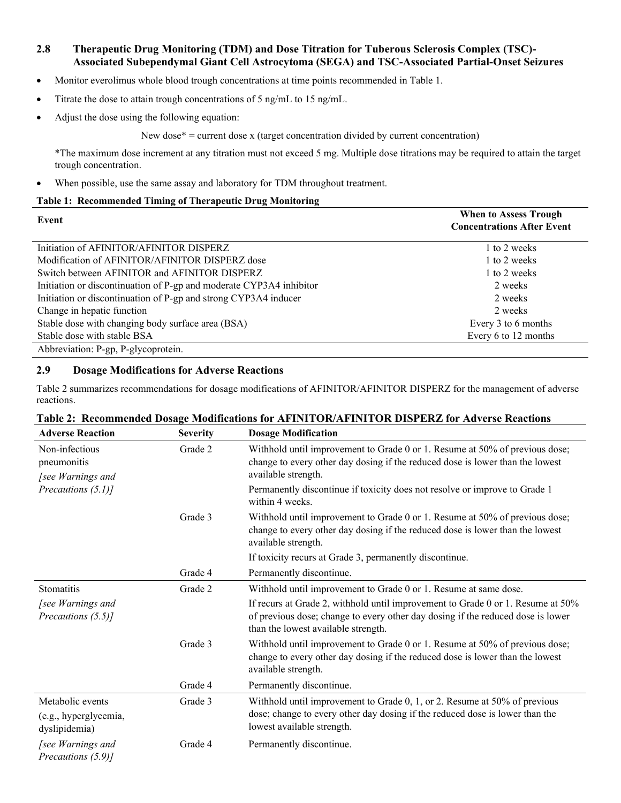# <span id="page-3-0"></span>**2.8 Therapeutic Drug Monitoring (TDM) and Dose Titration for Tuberous Sclerosis Complex (TSC)- Associated Subependymal Giant Cell Astrocytoma (SEGA) and TSC-Associated Partial-Onset Seizures**

- Monitor everolimus whole blood trough concentrations at time points recommended in Table 1.
- Titrate the dose to attain trough concentrations of 5 ng/mL to 15 ng/mL.
- Adjust the dose using the following equation:

New dose $* =$  current dose x (target concentration divided by current concentration)

\*The maximum dose increment at any titration must not exceed 5 mg. Multiple dose titrations may be required to attain the target trough concentration.

When possible, use the same assay and laboratory for TDM throughout treatment.

#### **Table 1: Recommended Timing of Therapeutic Drug Monitoring**

| Event                                                               | <b>When to Assess Trough</b><br><b>Concentrations After Event</b> |
|---------------------------------------------------------------------|-------------------------------------------------------------------|
| Initiation of AFINITOR/AFINITOR DISPERZ                             | 1 to 2 weeks                                                      |
| Modification of AFINITOR/AFINITOR DISPERZ dose                      | 1 to 2 weeks                                                      |
| Switch between AFINITOR and AFINITOR DISPERZ                        | 1 to 2 weeks                                                      |
| Initiation or discontinuation of P-gp and moderate CYP3A4 inhibitor | 2 weeks                                                           |
| Initiation or discontinuation of P-gp and strong CYP3A4 inducer     | 2 weeks                                                           |
| Change in hepatic function                                          | 2 weeks                                                           |
| Stable dose with changing body surface area (BSA)                   | Every 3 to 6 months                                               |
| Stable dose with stable BSA                                         | Every 6 to 12 months                                              |
| Abbreviation: P-gp, P-glycoprotein.                                 |                                                                   |

#### <span id="page-3-1"></span>**2.9 Dosage Modifications for Adverse Reactions**

Table 2 summarizes recommendations for dosage modifications of AFINITOR/AFINITOR DISPERZ for the management of adverse reactions.

| Table 2: Recommended Dosage Modifications for AFINITOR/AFINITOR DISPERZ for Adverse Reactions |  |  |  |  |  |  |
|-----------------------------------------------------------------------------------------------|--|--|--|--|--|--|
|-----------------------------------------------------------------------------------------------|--|--|--|--|--|--|

| <b>Adverse Reaction</b>                            | <b>Severity</b> | <b>Dosage Modification</b>                                                                                                                                                                                |
|----------------------------------------------------|-----------------|-----------------------------------------------------------------------------------------------------------------------------------------------------------------------------------------------------------|
| Non-infectious<br>pneumonitis<br>[see Warnings and | Grade 2         | Withhold until improvement to Grade 0 or 1. Resume at 50% of previous dose;<br>change to every other day dosing if the reduced dose is lower than the lowest<br>available strength.                       |
| Precautions (5.1)]                                 |                 | Permanently discontinue if toxicity does not resolve or improve to Grade 1<br>within 4 weeks.                                                                                                             |
|                                                    | Grade 3         | Withhold until improvement to Grade 0 or 1. Resume at 50% of previous dose;<br>change to every other day dosing if the reduced dose is lower than the lowest<br>available strength.                       |
|                                                    |                 | If toxicity recurs at Grade 3, permanently discontinue.                                                                                                                                                   |
|                                                    | Grade 4         | Permanently discontinue.                                                                                                                                                                                  |
| Stomatitis                                         | Grade 2         | Withhold until improvement to Grade 0 or 1. Resume at same dose.                                                                                                                                          |
| [see Warnings and<br>Precautions (5.5)]            |                 | If recurs at Grade 2, withhold until improvement to Grade 0 or 1. Resume at 50%<br>of previous dose; change to every other day dosing if the reduced dose is lower<br>than the lowest available strength. |
|                                                    | Grade 3         | Withhold until improvement to Grade 0 or 1. Resume at 50% of previous dose;<br>change to every other day dosing if the reduced dose is lower than the lowest<br>available strength.                       |
|                                                    | Grade 4         | Permanently discontinue.                                                                                                                                                                                  |
| Metabolic events                                   | Grade 3         | Withhold until improvement to Grade 0, 1, or 2. Resume at 50% of previous                                                                                                                                 |
| (e.g., hyperglycemia,<br>dyslipidemia)             |                 | dose; change to every other day dosing if the reduced dose is lower than the<br>lowest available strength.                                                                                                |
| [see Warnings and<br>Precautions (5.9)]            | Grade 4         | Permanently discontinue.                                                                                                                                                                                  |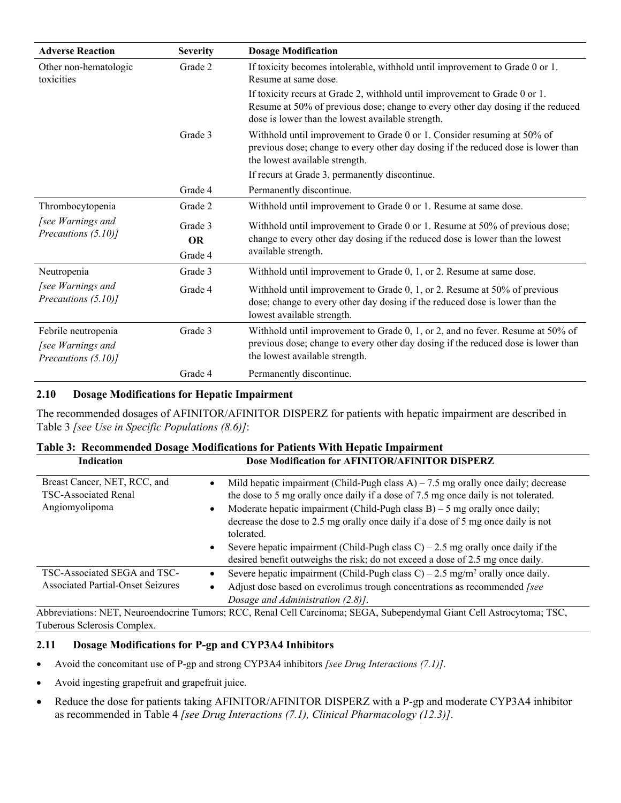| <b>Adverse Reaction</b>                                         | <b>Severity</b> | <b>Dosage Modification</b>                                                                                                                                                                                         |  |
|-----------------------------------------------------------------|-----------------|--------------------------------------------------------------------------------------------------------------------------------------------------------------------------------------------------------------------|--|
| Other non-hematologic<br>toxicities                             | Grade 2         | If toxicity becomes intolerable, withhold until improvement to Grade 0 or 1.<br>Resume at same dose.                                                                                                               |  |
|                                                                 |                 | If toxicity recurs at Grade 2, withhold until improvement to Grade 0 or 1.<br>Resume at 50% of previous dose; change to every other day dosing if the reduced<br>dose is lower than the lowest available strength. |  |
|                                                                 | Grade 3         | Withhold until improvement to Grade 0 or 1. Consider resuming at 50% of<br>previous dose; change to every other day dosing if the reduced dose is lower than<br>the lowest available strength.                     |  |
|                                                                 |                 | If recurs at Grade 3, permanently discontinue.                                                                                                                                                                     |  |
|                                                                 | Grade 4         | Permanently discontinue.                                                                                                                                                                                           |  |
| Thrombocytopenia                                                | Grade 2         | Withhold until improvement to Grade 0 or 1. Resume at same dose.                                                                                                                                                   |  |
| [see Warnings and<br>Precautions (5.10)]                        | Grade 3         | Withhold until improvement to Grade 0 or 1. Resume at 50% of previous dose;                                                                                                                                        |  |
|                                                                 | <b>OR</b>       | change to every other day dosing if the reduced dose is lower than the lowest                                                                                                                                      |  |
|                                                                 | Grade 4         | available strength.                                                                                                                                                                                                |  |
| Neutropenia                                                     | Grade 3         | Withhold until improvement to Grade 0, 1, or 2. Resume at same dose.                                                                                                                                               |  |
| [see Warnings and<br>Precautions (5.10)]                        | Grade 4         | Withhold until improvement to Grade 0, 1, or 2. Resume at 50% of previous<br>dose; change to every other day dosing if the reduced dose is lower than the<br>lowest available strength.                            |  |
| Febrile neutropenia<br>[see Warnings and<br>Precautions (5.10)] | Grade 3         | Withhold until improvement to Grade 0, 1, or 2, and no fever. Resume at 50% of<br>previous dose; change to every other day dosing if the reduced dose is lower than<br>the lowest available strength.              |  |
|                                                                 | Grade 4         | Permanently discontinue.                                                                                                                                                                                           |  |

# <span id="page-4-1"></span>**2.10 Dosage Modifications for Hepatic Impairment**

The recommended dosages of AFINITOR/AFINITOR DISPERZ for patients with hepatic impairment are described in Table 3 *[see Use in Specific Populations (8.6)]*:

| Indication                                                               | Dose Modification for AFINITOR/AFINITOR DISPERZ                                                                                                                                                                                                                                                                                                                                          |
|--------------------------------------------------------------------------|------------------------------------------------------------------------------------------------------------------------------------------------------------------------------------------------------------------------------------------------------------------------------------------------------------------------------------------------------------------------------------------|
| Breast Cancer, NET, RCC, and<br>TSC-Associated Renal<br>Angiomyolipoma   | Mild hepatic impairment (Child-Pugh class $A$ ) – 7.5 mg orally once daily; decrease<br>$\bullet$<br>the dose to 5 mg orally once daily if a dose of 7.5 mg once daily is not tolerated.<br>Moderate hepatic impairment (Child-Pugh class B) $-$ 5 mg orally once daily;<br>$\bullet$<br>decrease the dose to 2.5 mg orally once daily if a dose of 5 mg once daily is not<br>tolerated. |
|                                                                          | Severe hepatic impairment (Child-Pugh class C) – 2.5 mg orally once daily if the<br>٠<br>desired benefit outweighs the risk; do not exceed a dose of 2.5 mg once daily.                                                                                                                                                                                                                  |
| TSC-Associated SEGA and TSC-<br><b>Associated Partial-Onset Seizures</b> | Severe hepatic impairment (Child-Pugh class C) – 2.5 mg/m <sup>2</sup> orally once daily.<br>٠<br>Adjust dose based on everolimus trough concentrations as recommended [see<br>٠<br>Dosage and Administration (2.8)].                                                                                                                                                                    |
| $\sqrt{1}$<br>$\cdot$ .<br>$\blacksquare$<br>$\overline{1}$              | $P(A \cap A) = P(A \cap A)$<br>$\blacksquare$<br>$\sim$ $\sim$ $\sim$ $\sim$ $\sim$ $\sim$<br>ma <sub>2</sub>                                                                                                                                                                                                                                                                            |

Abbreviations: NET, Neuroendocrine Tumors; RCC, Renal Cell Carcinoma; SEGA, Subependymal Giant Cell Astrocytoma; TSC,

Tuberous Sclerosis Complex.

## <span id="page-4-0"></span>**2.11 Dosage Modifications for P-gp and CYP3A4 Inhibitors**

Avoid the concomitant use of P-gp and strong CYP3A4 inhibitors *[see Drug Interactions (7.1)]*.

**Table 3: Recommended Dosage Modifications for Patients With Hepatic Impairment**

- Avoid ingesting grapefruit and grapefruit juice.
- Reduce the dose for patients taking AFINITOR/AFINITOR DISPERZ with a P-gp and moderate CYP3A4 inhibitor as recommended in Table 4 *[see Drug Interactions (7.1), Clinical Pharmacology (12.3)]*.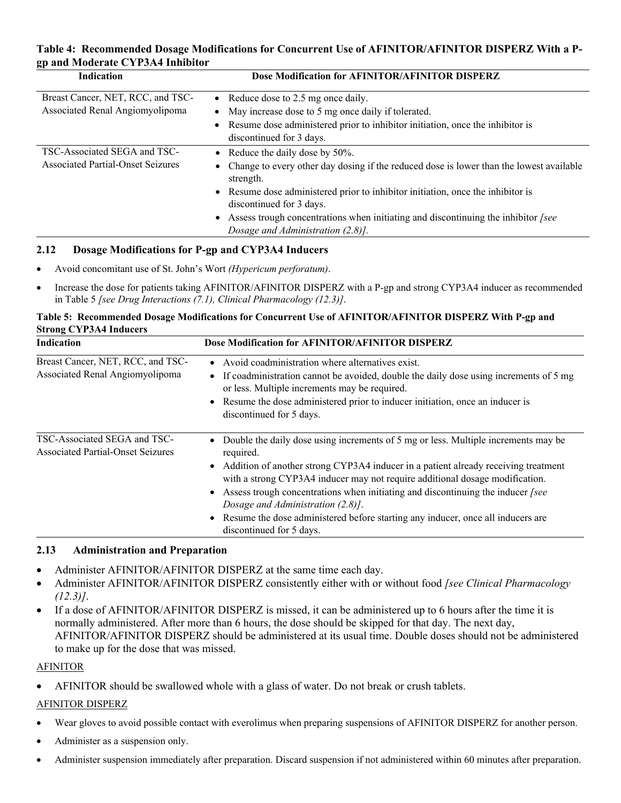# **Table 4: Recommended Dosage Modifications for Concurrent Use of AFINITOR/AFINITOR DISPERZ With a Pgp and Moderate CYP3A4 Inhibitor**

| <b>Indication</b>                                                        | Dose Modification for AFINITOR/AFINITOR DISPERZ                                                                                                                                                                                                                                                                                                                                                     |
|--------------------------------------------------------------------------|-----------------------------------------------------------------------------------------------------------------------------------------------------------------------------------------------------------------------------------------------------------------------------------------------------------------------------------------------------------------------------------------------------|
| Breast Cancer, NET, RCC, and TSC-<br>Associated Renal Angiomyolipoma     | Reduce dose to 2.5 mg once daily.<br>$\bullet$<br>May increase dose to 5 mg once daily if tolerated.<br>$\bullet$<br>Resume dose administered prior to inhibitor initiation, once the inhibitor is<br>$\bullet$<br>discontinued for 3 days.                                                                                                                                                         |
| TSC-Associated SEGA and TSC-<br><b>Associated Partial-Onset Seizures</b> | • Reduce the daily dose by $50\%$ .<br>• Change to every other day dosing if the reduced dose is lower than the lowest available<br>strength.<br>• Resume dose administered prior to inhibitor initiation, once the inhibitor is<br>discontinued for 3 days.<br>Assess trough concentrations when initiating and discontinuing the inhibitor [see<br>$\bullet$<br>Dosage and Administration (2.8)]. |

## <span id="page-5-0"></span>**2.12 Dosage Modifications for P-gp and CYP3A4 Inducers**

- Avoid concomitant use of St. John's Wort *(Hypericum perforatum)*.
- Increase the dose for patients taking AFINITOR/AFINITOR DISPERZ with a P-gp and strong CYP3A4 inducer as recommended in Table 5 *[see Drug Interactions (7.1), Clinical Pharmacology (12.3)]*.

| Table 5: Recommended Dosage Modifications for Concurrent Use of AFINITOR/AFINITOR DISPERZ With P-gp and |  |
|---------------------------------------------------------------------------------------------------------|--|
| <b>Strong CYP3A4 Inducers</b>                                                                           |  |

| Indication                                                               | Dose Modification for AFINITOR/AFINITOR DISPERZ                                                                                                                                                                                                                                                                                                                                                                                                                                                                             |  |  |  |
|--------------------------------------------------------------------------|-----------------------------------------------------------------------------------------------------------------------------------------------------------------------------------------------------------------------------------------------------------------------------------------------------------------------------------------------------------------------------------------------------------------------------------------------------------------------------------------------------------------------------|--|--|--|
| Breast Cancer, NET, RCC, and TSC-<br>Associated Renal Angiomyolipoma     | • Avoid coadministration where alternatives exist.<br>• If coadministration cannot be avoided, double the daily dose using increments of $5 \text{ mg}$<br>or less. Multiple increments may be required.<br>• Resume the dose administered prior to inducer initiation, once an inducer is<br>discontinued for 5 days.                                                                                                                                                                                                      |  |  |  |
| TSC-Associated SEGA and TSC-<br><b>Associated Partial-Onset Seizures</b> | • Double the daily dose using increments of 5 mg or less. Multiple increments may be<br>required.<br>• Addition of another strong CYP3A4 inducer in a patient already receiving treatment<br>with a strong CYP3A4 inducer may not require additional dosage modification.<br>Assess trough concentrations when initiating and discontinuing the inducer <i>[see</i> ]<br>Dosage and Administration (2.8)].<br>• Resume the dose administered before starting any inducer, once all inducers are<br>discontinued for 5 days. |  |  |  |

## <span id="page-5-1"></span>**2.13 Administration and Preparation**

- Administer AFINITOR/AFINITOR DISPERZ at the same time each day.
- Administer AFINITOR/AFINITOR DISPERZ consistently either with or without food *[see Clinical Pharmacology (12.3)]*.
- If a dose of AFINITOR/AFINITOR DISPERZ is missed, it can be administered up to 6 hours after the time it is normally administered. After more than 6 hours, the dose should be skipped for that day. The next day, AFINITOR/AFINITOR DISPERZ should be administered at its usual time. Double doses should not be administered to make up for the dose that was missed.

## **AFINITOR**

AFINITOR should be swallowed whole with a glass of water. Do not break or crush tablets.

## AFINITOR DISPERZ

- Wear gloves to avoid possible contact with everolimus when preparing suspensions of AFINITOR DISPERZ for another person.
- Administer as a suspension only.
- Administer suspension immediately after preparation. Discard suspension if not administered within 60 minutes after preparation.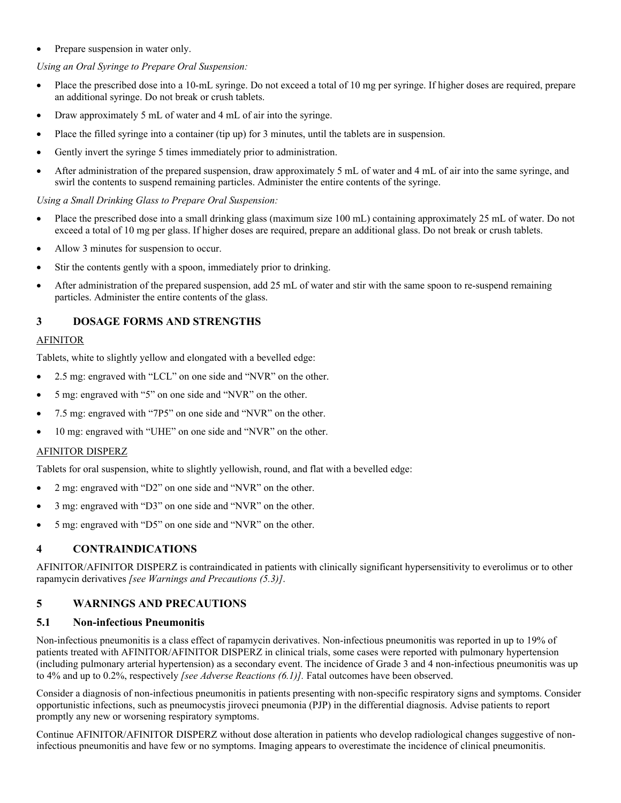• Prepare suspension in water only.

#### *Using an Oral Syringe to Prepare Oral Suspension:*

- Place the prescribed dose into a 10-mL syringe. Do not exceed a total of 10 mg per syringe. If higher doses are required, prepare an additional syringe. Do not break or crush tablets.
- Draw approximately 5 mL of water and 4 mL of air into the syringe.
- Place the filled syringe into a container (tip up) for 3 minutes, until the tablets are in suspension.
- Gently invert the syringe 5 times immediately prior to administration.
- After administration of the prepared suspension, draw approximately 5 mL of water and 4 mL of air into the same syringe, and swirl the contents to suspend remaining particles. Administer the entire contents of the syringe.

*Using a Small Drinking Glass to Prepare Oral Suspension:*

- Place the prescribed dose into a small drinking glass (maximum size 100 mL) containing approximately 25 mL of water. Do not exceed a total of 10 mg per glass. If higher doses are required, prepare an additional glass. Do not break or crush tablets.
- Allow 3 minutes for suspension to occur.
- Stir the contents gently with a spoon, immediately prior to drinking.
- After administration of the prepared suspension, add 25 mL of water and stir with the same spoon to re-suspend remaining particles. Administer the entire contents of the glass.

# <span id="page-6-0"></span>**3 DOSAGE FORMS AND STRENGTHS**

#### AFINITOR

Tablets, white to slightly yellow and elongated with a bevelled edge:

- 2.5 mg: engraved with "LCL" on one side and "NVR" on the other.
- 5 mg: engraved with "5" on one side and "NVR" on the other.
- 7.5 mg: engraved with "7P5" on one side and "NVR" on the other.
- 10 mg: engraved with "UHE" on one side and "NVR" on the other.

#### AFINITOR DISPERZ

Tablets for oral suspension, white to slightly yellowish, round, and flat with a bevelled edge:

- 2 mg: engraved with "D2" on one side and "NVR" on the other.
- 3 mg: engraved with "D3" on one side and "NVR" on the other.
- <span id="page-6-1"></span>5 mg: engraved with "D5" on one side and "NVR" on the other.

# **4 CONTRAINDICATIONS**

AFINITOR/AFINITOR DISPERZ is contraindicated in patients with clinically significant hypersensitivity to everolimus or to other rapamycin derivatives *[see Warnings and Precautions (5.3)]*.

# <span id="page-6-3"></span>**5 WARNINGS AND PRECAUTIONS**

## <span id="page-6-2"></span>**5.1 Non-infectious Pneumonitis**

Non-infectious pneumonitis is a class effect of rapamycin derivatives. Non-infectious pneumonitis was reported in up to 19% of patients treated with AFINITOR/AFINITOR DISPERZ in clinical trials, some cases were reported with pulmonary hypertension (including pulmonary arterial hypertension) as a secondary event. The incidence of Grade 3 and 4 non-infectious pneumonitis was up to 4% and up to 0.2%, respectively *[see Adverse Reactions (6.1)].* Fatal outcomes have been observed.

Consider a diagnosis of non-infectious pneumonitis in patients presenting with non-specific respiratory signs and symptoms. Consider opportunistic infections, such as pneumocystis jiroveci pneumonia (PJP) in the differential diagnosis. Advise patients to report promptly any new or worsening respiratory symptoms.

Continue AFINITOR/AFINITOR DISPERZ without dose alteration in patients who develop radiological changes suggestive of noninfectious pneumonitis and have few or no symptoms. Imaging appears to overestimate the incidence of clinical pneumonitis.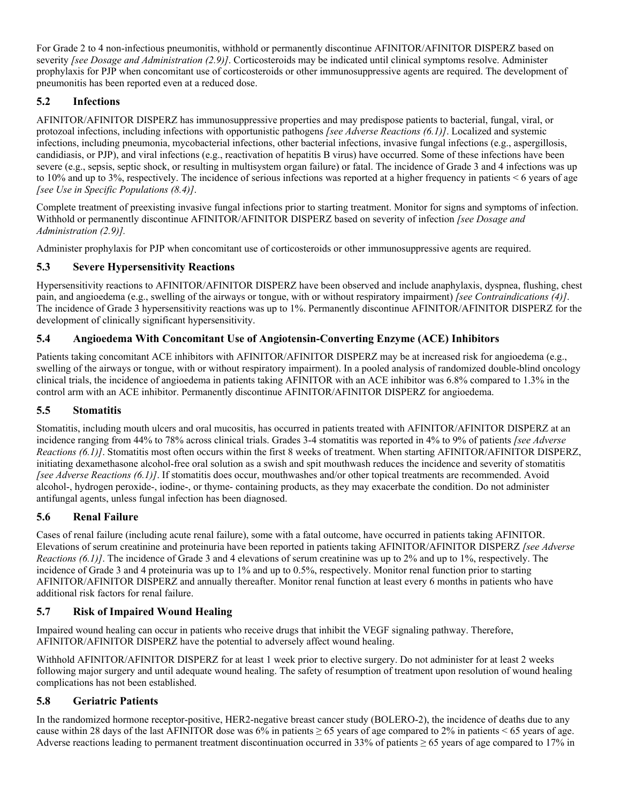For Grade 2 to 4 non-infectious pneumonitis, withhold or permanently discontinue AFINITOR/AFINITOR DISPERZ based on severity *[see Dosage and Administration (2.9)]*. Corticosteroids may be indicated until clinical symptoms resolve. Administer prophylaxis for PJP when concomitant use of corticosteroids or other immunosuppressive agents are required. The development of pneumonitis has been reported even at a reduced dose.

# <span id="page-7-0"></span>**5.2 Infections**

AFINITOR/AFINITOR DISPERZ has immunosuppressive properties and may predispose patients to bacterial, fungal, viral, or protozoal infections, including infections with opportunistic pathogens *[see Adverse Reactions (6.1)]*. Localized and systemic infections, including pneumonia, mycobacterial infections, other bacterial infections, invasive fungal infections (e.g., aspergillosis, candidiasis, or PJP), and viral infections (e.g., reactivation of hepatitis B virus) have occurred. Some of these infections have been severe (e.g., sepsis, septic shock, or resulting in multisystem organ failure) or fatal. The incidence of Grade 3 and 4 infections was up to 10% and up to 3%, respectively. The incidence of serious infections was reported at a higher frequency in patients < 6 years of age *[see Use in Specific Populations (8.4)]*.

Complete treatment of preexisting invasive fungal infections prior to starting treatment. Monitor for signs and symptoms of infection. Withhold or permanently discontinue AFINITOR/AFINITOR DISPERZ based on severity of infection *[see Dosage and Administration (2.9)].* 

Administer prophylaxis for PJP when concomitant use of corticosteroids or other immunosuppressive agents are required.

# <span id="page-7-1"></span>**5.3 Severe Hypersensitivity Reactions**

Hypersensitivity reactions to AFINITOR/AFINITOR DISPERZ have been observed and include anaphylaxis, dyspnea, flushing, chest pain, and angioedema (e.g., swelling of the airways or tongue, with or without respiratory impairment) *[see Contraindications (4)]*. The incidence of Grade 3 hypersensitivity reactions was up to 1%. Permanently discontinue AFINITOR/AFINITOR DISPERZ for the development of clinically significant hypersensitivity.

# <span id="page-7-2"></span>**5.4 Angioedema With Concomitant Use of Angiotensin-Converting Enzyme (ACE) Inhibitors**

Patients taking concomitant ACE inhibitors with AFINITOR/AFINITOR DISPERZ may be at increased risk for angioedema (e.g., swelling of the airways or tongue, with or without respiratory impairment). In a pooled analysis of randomized double-blind oncology clinical trials, the incidence of angioedema in patients taking AFINITOR with an ACE inhibitor was 6.8% compared to 1.3% in the control arm with an ACE inhibitor. Permanently discontinue AFINITOR/AFINITOR DISPERZ for angioedema.

# <span id="page-7-3"></span>**5.5 Stomatitis**

Stomatitis, including mouth ulcers and oral mucositis, has occurred in patients treated with AFINITOR/AFINITOR DISPERZ at an incidence ranging from 44% to 78% across clinical trials. Grades 3-4 stomatitis was reported in 4% to 9% of patients *[see Adverse Reactions (6.1)]*. Stomatitis most often occurs within the first 8 weeks of treatment. When starting AFINITOR/AFINITOR DISPERZ, initiating dexamethasone alcohol-free oral solution as a swish and spit mouthwash reduces the incidence and severity of stomatitis *[see Adverse Reactions (6.1)]*. If stomatitis does occur, mouthwashes and/or other topical treatments are recommended. Avoid alcohol-, hydrogen peroxide-, iodine-, or thyme- containing products, as they may exacerbate the condition. Do not administer antifungal agents, unless fungal infection has been diagnosed.

# <span id="page-7-4"></span>**5.6 Renal Failure**

Cases of renal failure (including acute renal failure), some with a fatal outcome, have occurred in patients taking AFINITOR. Elevations of serum creatinine and proteinuria have been reported in patients taking AFINITOR/AFINITOR DISPERZ *[see Adverse Reactions (6.1)]*. The incidence of Grade 3 and 4 elevations of serum creatinine was up to 2% and up to 1%, respectively. The incidence of Grade 3 and 4 proteinuria was up to 1% and up to 0.5%, respectively. Monitor renal function prior to starting AFINITOR/AFINITOR DISPERZ and annually thereafter. Monitor renal function at least every 6 months in patients who have additional risk factors for renal failure.

# <span id="page-7-5"></span>**5.7 Risk of Impaired Wound Healing**

Impaired wound healing can occur in patients who receive drugs that inhibit the VEGF signaling pathway. Therefore, AFINITOR/AFINITOR DISPERZ have the potential to adversely affect wound healing.

Withhold AFINITOR/AFINITOR DISPERZ for at least 1 week prior to elective surgery. Do not administer for at least 2 weeks following major surgery and until adequate wound healing. The safety of resumption of treatment upon resolution of wound healing complications has not been established.

# <span id="page-7-6"></span>**5.8 Geriatric Patients**

In the randomized hormone receptor-positive, HER2-negative breast cancer study (BOLERO-2), the incidence of deaths due to any cause within 28 days of the last AFINITOR dose was 6% in patients  $\geq$  65 years of age compared to 2% in patients < 65 years of age. Adverse reactions leading to permanent treatment discontinuation occurred in 33% of patients  $\geq$  65 years of age compared to 17% in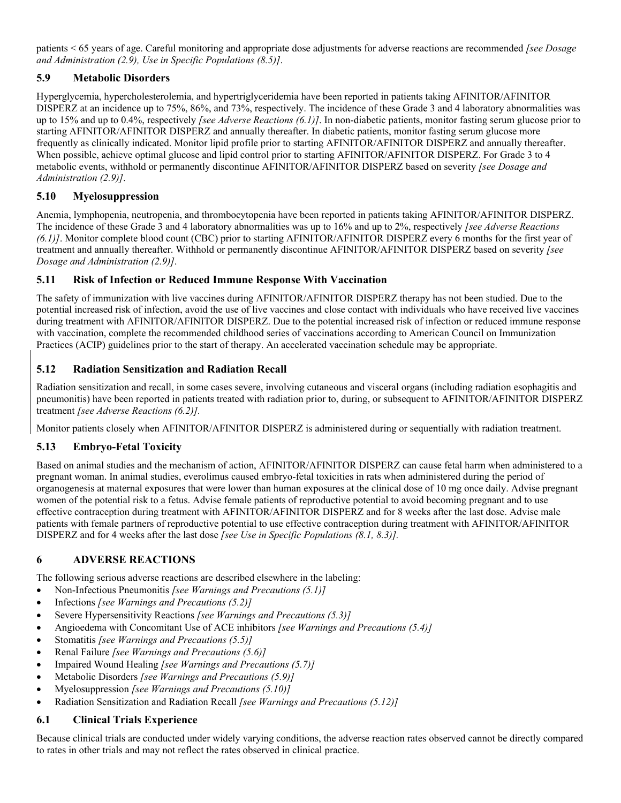patients < 65 years of age. Careful monitoring and appropriate dose adjustments for adverse reactions are recommended *[see Dosage and Administration (2.9), Use in Specific Populations (8.5)]*.

# <span id="page-8-2"></span>**5.9 Metabolic Disorders**

Hyperglycemia, hypercholesterolemia, and hypertriglyceridemia have been reported in patients taking AFINITOR/AFINITOR DISPERZ at an incidence up to 75%, 86%, and 73%, respectively. The incidence of these Grade 3 and 4 laboratory abnormalities was up to 15% and up to 0.4%, respectively *[see Adverse Reactions (6.1)]*. In non-diabetic patients, monitor fasting serum glucose prior to starting AFINITOR/AFINITOR DISPERZ and annually thereafter. In diabetic patients, monitor fasting serum glucose more frequently as clinically indicated. Monitor lipid profile prior to starting AFINITOR/AFINITOR DISPERZ and annually thereafter. When possible, achieve optimal glucose and lipid control prior to starting AFINITOR/AFINITOR DISPERZ. For Grade 3 to 4 metabolic events, withhold or permanently discontinue AFINITOR/AFINITOR DISPERZ based on severity *[see Dosage and Administration (2.9)]*.

# <span id="page-8-3"></span>**5.10 Myelosuppression**

Anemia, lymphopenia, neutropenia, and thrombocytopenia have been reported in patients taking AFINITOR/AFINITOR DISPERZ. The incidence of these Grade 3 and 4 laboratory abnormalities was up to 16% and up to 2%, respectively *[see Adverse Reactions (6.1)]*. Monitor complete blood count (CBC) prior to starting AFINITOR/AFINITOR DISPERZ every 6 months for the first year of treatment and annually thereafter. Withhold or permanently discontinue AFINITOR/AFINITOR DISPERZ based on severity *[see Dosage and Administration (2.9)]*.

# <span id="page-8-4"></span>**5.11 Risk of Infection or Reduced Immune Response With Vaccination**

The safety of immunization with live vaccines during AFINITOR/AFINITOR DISPERZ therapy has not been studied. Due to the potential increased risk of infection, avoid the use of live vaccines and close contact with individuals who have received live vaccines during treatment with AFINITOR/AFINITOR DISPERZ. Due to the potential increased risk of infection or reduced immune response with vaccination, complete the recommended childhood series of vaccinations according to American Council on Immunization Practices (ACIP) guidelines prior to the start of therapy. An accelerated vaccination schedule may be appropriate.

# <span id="page-8-0"></span>**5.12 Radiation Sensitization and Radiation Recall**

Radiation sensitization and recall, in some cases severe, involving cutaneous and visceral organs (including radiation esophagitis and pneumonitis) have been reported in patients treated with radiation prior to, during, or subsequent to AFINITOR/AFINITOR DISPERZ treatment *[see Adverse Reactions (6.2)].* 

Monitor patients closely when AFINITOR/AFINITOR DISPERZ is administered during or sequentially with radiation treatment.

# <span id="page-8-5"></span>**5.13 Embryo-Fetal Toxicity**

Based on animal studies and the mechanism of action, AFINITOR/AFINITOR DISPERZ can cause fetal harm when administered to a pregnant woman. In animal studies, everolimus caused embryo-fetal toxicities in rats when administered during the period of organogenesis at maternal exposures that were lower than human exposures at the clinical dose of 10 mg once daily. Advise pregnant women of the potential risk to a fetus. Advise female patients of reproductive potential to avoid becoming pregnant and to use effective contraception during treatment with AFINITOR/AFINITOR DISPERZ and for 8 weeks after the last dose. Advise male patients with female partners of reproductive potential to use effective contraception during treatment with AFINITOR/AFINITOR DISPERZ and for 4 weeks after the last dose *[see Use in Specific Populations (8.1, 8.3)].* 

# <span id="page-8-6"></span>**6 ADVERSE REACTIONS**

The following serious adverse reactions are described elsewhere in the labeling:

- Non-Infectious Pneumonitis *[see Warnings and Precautions (5.1)]*
- Infections *[see Warnings and Precautions (5.2)]*
- Severe Hypersensitivity Reactions *[see Warnings and Precautions (5.3)]*
- Angioedema with Concomitant Use of ACE inhibitors *[see Warnings and Precautions (5.4)]*
- Stomatitis *[see Warnings and Precautions (5.5)]*
- Renal Failure *[see Warnings and Precautions (5.6)]*
- Impaired Wound Healing *[see Warnings and Precautions (5.7)]*
- Metabolic Disorders *[see Warnings and Precautions (5.9)]*
- Myelosuppression *[see Warnings and Precautions (5.10)]*
- Radiation Sensitization and Radiation Recall *[see Warnings and Precautions (5.12)]*

# <span id="page-8-1"></span>**6.1 Clinical Trials Experience**

Because clinical trials are conducted under widely varying conditions, the adverse reaction rates observed cannot be directly compared to rates in other trials and may not reflect the rates observed in clinical practice.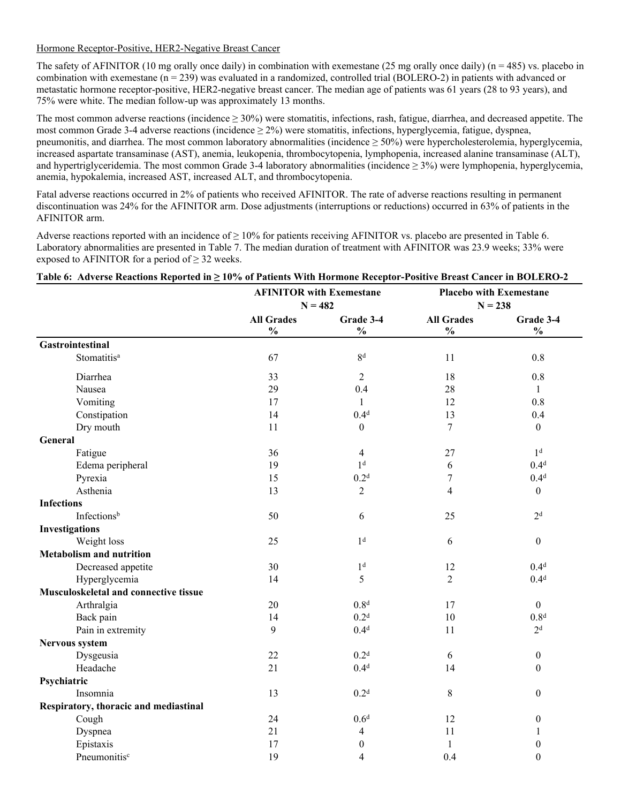#### Hormone Receptor-Positive, HER2-Negative Breast Cancer

The safety of AFINITOR (10 mg orally once daily) in combination with exemestane (25 mg orally once daily) (n = 485) vs. placebo in combination with exemestane  $(n = 239)$  was evaluated in a randomized, controlled trial (BOLERO-2) in patients with advanced or metastatic hormone receptor-positive, HER2-negative breast cancer. The median age of patients was 61 years (28 to 93 years), and 75% were white. The median follow-up was approximately 13 months.

The most common adverse reactions (incidence  $\geq 30\%$ ) were stomatitis, infections, rash, fatigue, diarrhea, and decreased appetite. The most common Grade 3-4 adverse reactions (incidence  $\geq 2\%$ ) were stomatitis, infections, hyperglycemia, fatigue, dyspnea, pneumonitis, and diarrhea. The most common laboratory abnormalities (incidence  $>$  50%) were hypercholesterolemia, hyperglycemia, increased aspartate transaminase (AST), anemia, leukopenia, thrombocytopenia, lymphopenia, increased alanine transaminase (ALT), and hypertriglyceridemia. The most common Grade 3-4 laboratory abnormalities (incidence  $\geq$  3%) were lymphopenia, hyperglycemia, anemia, hypokalemia, increased AST, increased ALT, and thrombocytopenia.

Fatal adverse reactions occurred in 2% of patients who received AFINITOR. The rate of adverse reactions resulting in permanent discontinuation was 24% for the AFINITOR arm. Dose adjustments (interruptions or reductions) occurred in 63% of patients in the AFINITOR arm.

Adverse reactions reported with an incidence of  $\geq 10\%$  for patients receiving AFINITOR vs. placebo are presented in Table 6. Laboratory abnormalities are presented in Table 7. The median duration of treatment with AFINITOR was 23.9 weeks; 33% were exposed to AFINITOR for a period of  $\geq$  32 weeks.

|                                       | <b>AFINITOR</b> with Exemestane |                  | <b>Placebo with Exemestane</b> |                  |  |
|---------------------------------------|---------------------------------|------------------|--------------------------------|------------------|--|
|                                       |                                 | $N = 482$        |                                | $N = 238$        |  |
|                                       | <b>All Grades</b>               | Grade 3-4        | <b>All Grades</b>              | Grade 3-4        |  |
|                                       | $\frac{0}{0}$                   | $\frac{0}{0}$    | $\frac{0}{0}$                  | $\frac{0}{0}$    |  |
| <b>Gastrointestinal</b>               |                                 |                  |                                |                  |  |
| Stomatitis <sup>a</sup>               | 67                              | 8 <sup>d</sup>   | 11                             | 0.8              |  |
| Diarrhea                              | 33                              | $\overline{2}$   | 18                             | 0.8              |  |
| Nausea                                | 29                              | 0.4              | 28                             | 1                |  |
| Vomiting                              | 17                              | $\mathbf{1}$     | 12                             | 0.8              |  |
| Constipation                          | 14                              | 0.4 <sup>d</sup> | 13                             | 0.4              |  |
| Dry mouth                             | 11                              | $\mathbf{0}$     | $\overline{7}$                 | $\mathbf{0}$     |  |
| General                               |                                 |                  |                                |                  |  |
| Fatigue                               | 36                              | $\overline{4}$   | 27                             | 1 <sup>d</sup>   |  |
| Edema peripheral                      | 19                              | 1 <sup>d</sup>   | 6                              | 0.4 <sup>d</sup> |  |
| Pyrexia                               | 15                              | 0.2 <sup>d</sup> | 7                              | 0.4 <sup>d</sup> |  |
| Asthenia                              | 13                              | $\overline{2}$   | $\overline{4}$                 | $\boldsymbol{0}$ |  |
| <b>Infections</b>                     |                                 |                  |                                |                  |  |
| Infectionsb                           | 50                              | 6                | 25                             | 2 <sup>d</sup>   |  |
| Investigations                        |                                 |                  |                                |                  |  |
| Weight loss                           | 25                              | 1 <sup>d</sup>   | 6                              | $\mathbf{0}$     |  |
| <b>Metabolism and nutrition</b>       |                                 |                  |                                |                  |  |
| Decreased appetite                    | 30                              | 1 <sup>d</sup>   | 12                             | 0.4 <sup>d</sup> |  |
| Hyperglycemia                         | 14                              | 5                | $\overline{2}$                 | 0.4 <sup>d</sup> |  |
| Musculoskeletal and connective tissue |                                 |                  |                                |                  |  |
| Arthralgia                            | 20                              | 0.8 <sup>d</sup> | 17                             | $\mathbf{0}$     |  |
| Back pain                             | 14                              | 0.2 <sup>d</sup> | 10                             | 0.8 <sup>d</sup> |  |
| Pain in extremity                     | 9                               | 0.4 <sup>d</sup> | 11                             | 2 <sup>d</sup>   |  |
| Nervous system                        |                                 |                  |                                |                  |  |
| Dysgeusia                             | 22                              | 0.2 <sup>d</sup> | 6                              | $\boldsymbol{0}$ |  |
| Headache                              | 21                              | 0.4 <sup>d</sup> | 14                             | $\mathbf{0}$     |  |
| Psychiatric                           |                                 |                  |                                |                  |  |
| Insomnia                              | 13                              | 0.2 <sup>d</sup> | 8                              | $\boldsymbol{0}$ |  |
| Respiratory, thoracic and mediastinal |                                 |                  |                                |                  |  |
| Cough                                 | 24                              | 0.6 <sup>d</sup> | 12                             | $\boldsymbol{0}$ |  |
| Dyspnea                               | 21                              | 4                | 11                             | 1                |  |
| Epistaxis                             | 17                              | $\boldsymbol{0}$ | 1                              | $\boldsymbol{0}$ |  |
| Pneumonitisc                          | 19                              | $\overline{4}$   | 0.4                            | $\overline{0}$   |  |

#### **Table 6: Adverse Reactions Reported in ≥ 10% of Patients With Hormone Receptor-Positive Breast Cancer in BOLERO-2**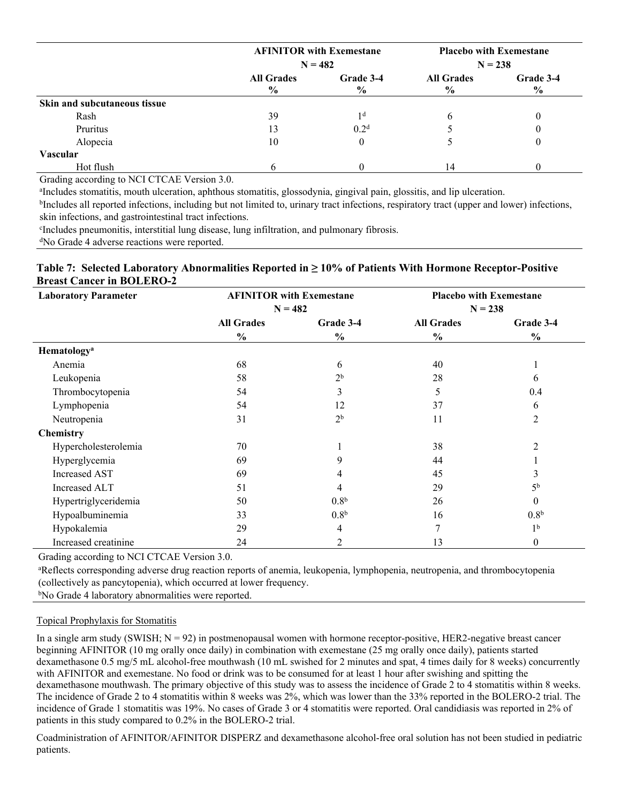|                              | <b>AFINITOR with Exemestane</b><br>$N = 482$ |                            | <b>Placebo with Exemestane</b><br>$N = 238$ |                            |
|------------------------------|----------------------------------------------|----------------------------|---------------------------------------------|----------------------------|
|                              | <b>All Grades</b><br>$\%$                    | Grade 3-4<br>$\frac{6}{9}$ | <b>All Grades</b><br>$\frac{6}{6}$          | Grade 3-4<br>$\frac{6}{9}$ |
| Skin and subcutaneous tissue |                                              |                            |                                             |                            |
| Rash                         | 39                                           | 1 <sub>d</sub>             |                                             |                            |
| Pruritus                     | 13                                           | 0.2 <sup>d</sup>           |                                             |                            |
| Alopecia                     | 10                                           | $\theta$                   |                                             |                            |
| <b>Vascular</b>              |                                              |                            |                                             |                            |
| Hot flush                    | h                                            |                            | 14                                          |                            |

Grading according to NCI CTCAE Version 3.0.

a Includes stomatitis, mouth ulceration, aphthous stomatitis, glossodynia, gingival pain, glossitis, and lip ulceration.

<sup>b</sup>Includes all reported infections, including but not limited to, urinary tract infections, respiratory tract (upper and lower) infections, skin infections, and gastrointestinal tract infections.

c Includes pneumonitis, interstitial lung disease, lung infiltration, and pulmonary fibrosis.

<sup>d</sup>No Grade 4 adverse reactions were reported.

#### **Table 7: Selected Laboratory Abnormalities Reported in ≥ 10% of Patients With Hormone Receptor-Positive Breast Cancer in BOLERO-2**

| <b>Laboratory Parameter</b> |                   | <b>AFINITOR</b> with Exemestane | <b>Placebo with Exemestane</b> |                  |  |
|-----------------------------|-------------------|---------------------------------|--------------------------------|------------------|--|
|                             | $N = 482$         |                                 |                                | $N = 238$        |  |
|                             | <b>All Grades</b> | Grade 3-4                       | <b>All Grades</b>              | Grade 3-4        |  |
|                             | $\frac{0}{0}$     | $\frac{0}{0}$                   | $\frac{0}{0}$                  | $\frac{6}{9}$    |  |
| Hematology <sup>a</sup>     |                   |                                 |                                |                  |  |
| Anemia                      | 68                | 6                               | 40                             |                  |  |
| Leukopenia                  | 58                | 2 <sup>b</sup>                  | 28                             | 6                |  |
| Thrombocytopenia            | 54                | 3                               | 5                              | 0.4              |  |
| Lymphopenia                 | 54                | 12                              | 37                             | 6                |  |
| Neutropenia                 | 31                | 2 <sup>b</sup>                  | 11                             | $\overline{2}$   |  |
| <b>Chemistry</b>            |                   |                                 |                                |                  |  |
| Hypercholesterolemia        | 70                |                                 | 38                             | $\overline{2}$   |  |
| Hyperglycemia               | 69                | 9                               | 44                             |                  |  |
| <b>Increased AST</b>        | 69                |                                 | 45                             | 3                |  |
| <b>Increased ALT</b>        | 51                |                                 | 29                             | 5 <sup>b</sup>   |  |
| Hypertriglyceridemia        | 50                | 0.8 <sup>b</sup>                | 26                             | $\theta$         |  |
| Hypoalbuminemia             | 33                | 0.8 <sup>b</sup>                | 16                             | 0.8 <sup>b</sup> |  |
| Hypokalemia                 | 29                | 4                               | $\overline{7}$                 | 1 <sup>b</sup>   |  |
| Increased creatinine        | 24                | 2                               | 13                             | $\mathbf{0}$     |  |

Grading according to NCI CTCAE Version 3.0.

<sup>a</sup>Reflects corresponding adverse drug reaction reports of anemia, leukopenia, lymphopenia, neutropenia, and thrombocytopenia (collectively as pancytopenia), which occurred at lower frequency.

<sup>b</sup>No Grade 4 laboratory abnormalities were reported.

#### Topical Prophylaxis for Stomatitis

In a single arm study (SWISH;  $N = 92$ ) in postmenopausal women with hormone receptor-positive, HER2-negative breast cancer beginning AFINITOR (10 mg orally once daily) in combination with exemestane (25 mg orally once daily), patients started dexamethasone 0.5 mg/5 mL alcohol-free mouthwash (10 mL swished for 2 minutes and spat, 4 times daily for 8 weeks) concurrently with AFINITOR and exemestane. No food or drink was to be consumed for at least 1 hour after swishing and spitting the dexamethasone mouthwash. The primary objective of this study was to assess the incidence of Grade 2 to 4 stomatitis within 8 weeks. The incidence of Grade 2 to 4 stomatitis within 8 weeks was 2%, which was lower than the 33% reported in the BOLERO-2 trial. The incidence of Grade 1 stomatitis was 19%. No cases of Grade 3 or 4 stomatitis were reported. Oral candidiasis was reported in 2% of patients in this study compared to 0.2% in the BOLERO-2 trial.

Coadministration of AFINITOR/AFINITOR DISPERZ and dexamethasone alcohol-free oral solution has not been studied in pediatric patients.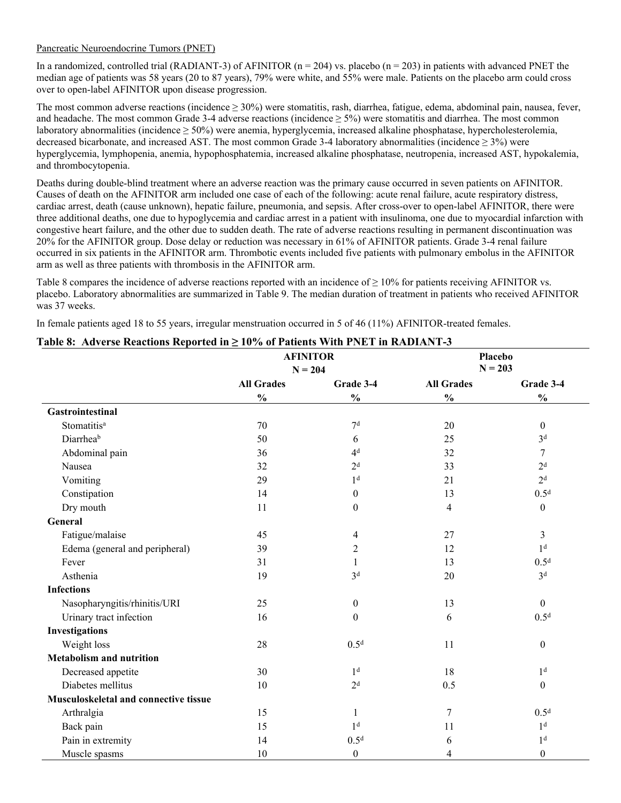#### Pancreatic Neuroendocrine Tumors (PNET)

In a randomized, controlled trial (RADIANT-3) of AFINITOR ( $n = 204$ ) vs. placebo ( $n = 203$ ) in patients with advanced PNET the median age of patients was 58 years (20 to 87 years), 79% were white, and 55% were male. Patients on the placebo arm could cross over to open-label AFINITOR upon disease progression.

The most common adverse reactions (incidence  $\geq 30\%$ ) were stomatitis, rash, diarrhea, fatigue, edema, abdominal pain, nausea, fever, and headache. The most common Grade 3-4 adverse reactions (incidence  $\geq$  5%) were stomatitis and diarrhea. The most common laboratory abnormalities (incidence  $\geq 50\%$ ) were anemia, hyperglycemia, increased alkaline phosphatase, hypercholesterolemia, decreased bicarbonate, and increased AST. The most common Grade 3-4 laboratory abnormalities (incidence ≥ 3%) were hyperglycemia, lymphopenia, anemia, hypophosphatemia, increased alkaline phosphatase, neutropenia, increased AST, hypokalemia, and thrombocytopenia.

Deaths during double-blind treatment where an adverse reaction was the primary cause occurred in seven patients on AFINITOR. Causes of death on the AFINITOR arm included one case of each of the following: acute renal failure, acute respiratory distress, cardiac arrest, death (cause unknown), hepatic failure, pneumonia, and sepsis. After cross-over to open-label AFINITOR, there were three additional deaths, one due to hypoglycemia and cardiac arrest in a patient with insulinoma, one due to myocardial infarction with congestive heart failure, and the other due to sudden death. The rate of adverse reactions resulting in permanent discontinuation was 20% for the AFINITOR group. Dose delay or reduction was necessary in 61% of AFINITOR patients. Grade 3-4 renal failure occurred in six patients in the AFINITOR arm. Thrombotic events included five patients with pulmonary embolus in the AFINITOR arm as well as three patients with thrombosis in the AFINITOR arm.

Table 8 compares the incidence of adverse reactions reported with an incidence of  $\geq 10\%$  for patients receiving AFINITOR vs. placebo. Laboratory abnormalities are summarized in Table 9. The median duration of treatment in patients who received AFINITOR was 37 weeks.

In female patients aged 18 to 55 years, irregular menstruation occurred in 5 of 46 (11%) AFINITOR-treated females.

## **Table 8: Adverse Reactions Reported in ≥ 10% of Patients With PNET in RADIANT-3**

|                                       |                   | <b>AFINITOR</b>  | Placebo           |                  |  |
|---------------------------------------|-------------------|------------------|-------------------|------------------|--|
|                                       | $N = 204$         |                  | $N = 203$         |                  |  |
|                                       | <b>All Grades</b> | Grade 3-4        | <b>All Grades</b> | Grade 3-4        |  |
|                                       | $\frac{0}{0}$     | $\frac{0}{0}$    | $\frac{0}{0}$     | $\frac{0}{0}$    |  |
| Gastrointestinal                      |                   |                  |                   |                  |  |
| Stomatitis <sup>a</sup>               | 70                | 7 <sup>d</sup>   | 20                | $\boldsymbol{0}$ |  |
| Diarrheab                             | 50                | 6                | 25                | 3 <sup>d</sup>   |  |
| Abdominal pain                        | 36                | 4 <sup>d</sup>   | 32                | $\overline{7}$   |  |
| Nausea                                | 32                | 2 <sup>d</sup>   | 33                | 2 <sup>d</sup>   |  |
| Vomiting                              | 29                | 1 <sup>d</sup>   | 21                | 2 <sup>d</sup>   |  |
| Constipation                          | 14                | $\boldsymbol{0}$ | 13                | 0.5 <sup>d</sup> |  |
| Dry mouth                             | 11                | $\theta$         | 4                 | $\boldsymbol{0}$ |  |
| <b>General</b>                        |                   |                  |                   |                  |  |
| Fatigue/malaise                       | 45                | 4                | 27                | 3                |  |
| Edema (general and peripheral)        | 39                | 2                | 12                | 1 <sup>d</sup>   |  |
| Fever                                 | 31                | 1                | 13                | 0.5 <sup>d</sup> |  |
| Asthenia                              | 19                | 3 <sup>d</sup>   | 20                | 3 <sup>d</sup>   |  |
| <b>Infections</b>                     |                   |                  |                   |                  |  |
| Nasopharyngitis/rhinitis/URI          | 25                | $\boldsymbol{0}$ | 13                | $\theta$         |  |
| Urinary tract infection               | 16                | $\theta$         | 6                 | 0.5 <sup>d</sup> |  |
| <b>Investigations</b>                 |                   |                  |                   |                  |  |
| Weight loss                           | 28                | 0.5 <sup>d</sup> | 11                | $\boldsymbol{0}$ |  |
| <b>Metabolism and nutrition</b>       |                   |                  |                   |                  |  |
| Decreased appetite                    | 30                | 1 <sup>d</sup>   | 18                | 1 <sup>d</sup>   |  |
| Diabetes mellitus                     | 10                | 2 <sup>d</sup>   | 0.5               | $\mathbf{0}$     |  |
| Musculoskeletal and connective tissue |                   |                  |                   |                  |  |
| Arthralgia                            | 15                | 1                | $\overline{7}$    | 0.5 <sup>d</sup> |  |
| Back pain                             | 15                | 1 <sup>d</sup>   | 11                | 1 <sup>d</sup>   |  |
| Pain in extremity                     | 14                | 0.5 <sup>d</sup> | 6                 | 1 <sup>d</sup>   |  |
| Muscle spasms                         | 10                | $\theta$         | 4                 | $\mathbf{0}$     |  |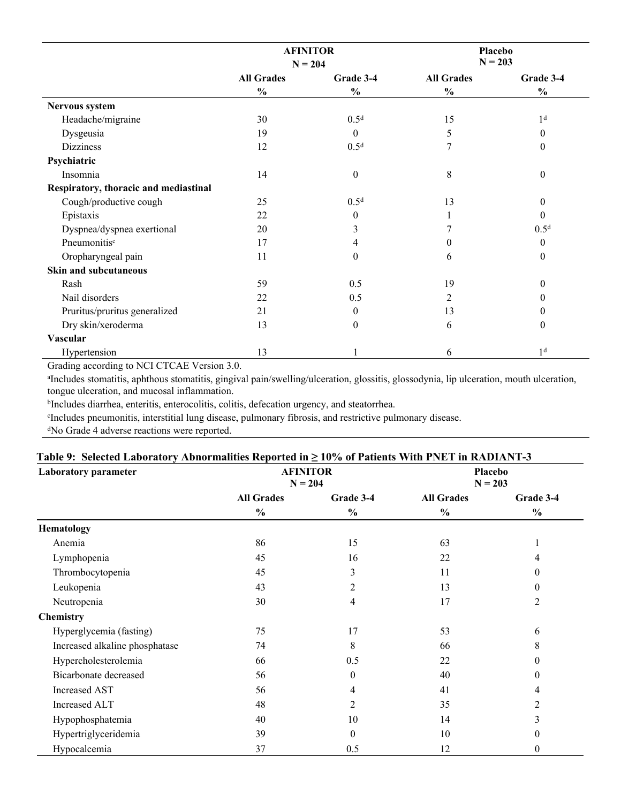|                                       | <b>AFINITOR</b><br>$N = 204$ |                  | Placebo<br>$N = 203$ |                  |
|---------------------------------------|------------------------------|------------------|----------------------|------------------|
|                                       | <b>All Grades</b>            | Grade 3-4        | <b>All Grades</b>    | Grade 3-4        |
|                                       | $\frac{0}{0}$                | $\frac{0}{0}$    | $\frac{0}{0}$        | $\frac{0}{0}$    |
| <b>Nervous system</b>                 |                              |                  |                      |                  |
| Headache/migraine                     | 30                           | 0.5 <sup>d</sup> | 15                   | 1 <sup>d</sup>   |
| Dysgeusia                             | 19                           | $\Omega$         | 5                    | $\theta$         |
| <b>Dizziness</b>                      | 12                           | 0.5 <sup>d</sup> |                      | $\theta$         |
| Psychiatric                           |                              |                  |                      |                  |
| Insomnia                              | 14                           | $\mathbf{0}$     | 8                    | $\theta$         |
| Respiratory, thoracic and mediastinal |                              |                  |                      |                  |
| Cough/productive cough                | 25                           | 0.5 <sup>d</sup> | 13                   | $^{(1)}$         |
| Epistaxis                             | 22                           | $\bf{0}$         |                      | 0                |
| Dyspnea/dyspnea exertional            | 20                           | 3                |                      | 0.5 <sup>d</sup> |
| Pneumonitis <sup>c</sup>              | 17                           | 4                | 0                    | $\theta$         |
| Oropharyngeal pain                    | 11                           | $\theta$         | 6                    | $\theta$         |
| Skin and subcutaneous                 |                              |                  |                      |                  |
| Rash                                  | 59                           | 0.5              | 19                   | 0                |
| Nail disorders                        | 22                           | 0.5              | 2                    | 0                |
| Pruritus/pruritus generalized         | 21                           | $\bf{0}$         | 13                   | $^{(1)}$         |
| Dry skin/xeroderma                    | 13                           | $\mathbf{0}$     | 6                    | $\theta$         |
| Vascular                              |                              |                  |                      |                  |
| Hypertension                          | 13                           |                  | 6                    | 1 <sup>d</sup>   |

Grading according to NCI CTCAE Version 3.0.

a Includes stomatitis, aphthous stomatitis, gingival pain/swelling/ulceration, glossitis, glossodynia, lip ulceration, mouth ulceration, tongue ulceration, and mucosal inflammation.

b Includes diarrhea, enteritis, enterocolitis, colitis, defecation urgency, and steatorrhea.

c Includes pneumonitis, interstitial lung disease, pulmonary fibrosis, and restrictive pulmonary disease.

<sup>d</sup>No Grade 4 adverse reactions were reported.

#### **Table 9: Selected Laboratory Abnormalities Reported in ≥ 10% of Patients With PNET in RADIANT-3**

| Laboratory parameter           |                   | <b>AFINITOR</b><br>$N = 204$ |                   | Placebo<br>$N = 203$ |
|--------------------------------|-------------------|------------------------------|-------------------|----------------------|
|                                | <b>All Grades</b> | Grade 3-4                    | <b>All Grades</b> | Grade 3-4            |
|                                | $\frac{0}{0}$     | $\frac{0}{0}$                | $\frac{0}{0}$     | $\frac{0}{0}$        |
| Hematology                     |                   |                              |                   |                      |
| Anemia                         | 86                | 15                           | 63                |                      |
| Lymphopenia                    | 45                | 16                           | 22                | 4                    |
| Thrombocytopenia               | 45                | 3                            | 11                | $\theta$             |
| Leukopenia                     | 43                | 2                            | 13                | $\theta$             |
| Neutropenia                    | 30                | 4                            | 17                | 2                    |
| <b>Chemistry</b>               |                   |                              |                   |                      |
| Hyperglycemia (fasting)        | 75                | 17                           | 53                | 6                    |
| Increased alkaline phosphatase | 74                | 8                            | 66                | 8                    |
| Hypercholesterolemia           | 66                | 0.5                          | 22                | $\theta$             |
| <b>Bicarbonate</b> decreased   | 56                | $\mathbf{0}$                 | 40                | $\theta$             |
| <b>Increased AST</b>           | 56                | 4                            | 41                | 4                    |
| <b>Increased ALT</b>           | 48                | 2                            | 35                | 2                    |
| Hypophosphatemia               | 40                | 10                           | 14                | 3                    |
| Hypertriglyceridemia           | 39                | 0                            | 10                | $\mathbf{0}$         |
| Hypocalcemia                   | 37                | 0.5                          | 12                | $\theta$             |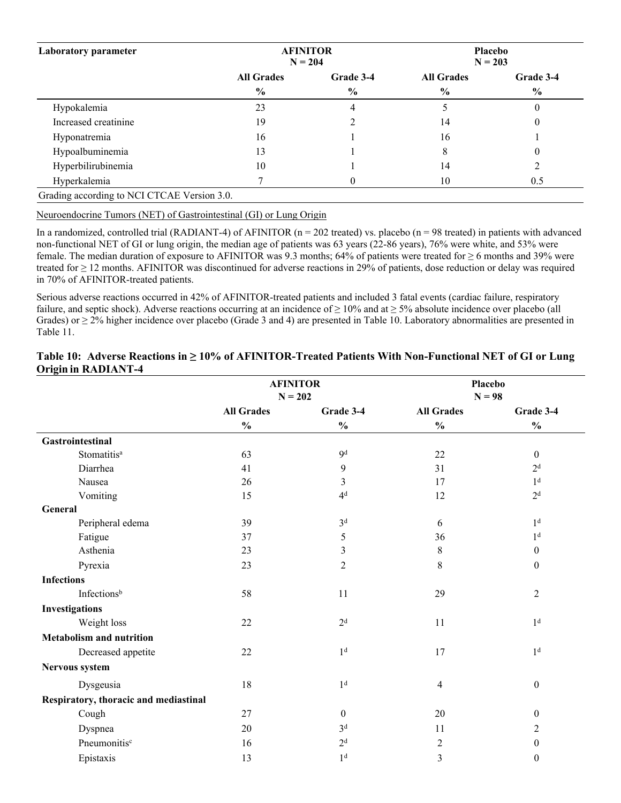| Laboratory parameter |                   | <b>AFINITOR</b><br>$N = 204$ | Placebo<br>$N = 203$ |           |  |
|----------------------|-------------------|------------------------------|----------------------|-----------|--|
|                      | <b>All Grades</b> | Grade 3-4                    | <b>All Grades</b>    | Grade 3-4 |  |
|                      | $\frac{0}{0}$     | $\frac{6}{6}$                | $\frac{6}{6}$        | $\%$      |  |
| Hypokalemia          | 23                |                              |                      |           |  |
| Increased creatinine | 19                |                              | 14                   |           |  |
| Hyponatremia         | 16                |                              | 16                   |           |  |
| Hypoalbuminemia      | 13                |                              | 8                    | U         |  |
| Hyperbilirubinemia   | 10                |                              | 14                   |           |  |
| Hyperkalemia         |                   |                              | 10                   | 0.5       |  |

Grading according to NCI CTCAE Version 3.0.

Neuroendocrine Tumors (NET) of Gastrointestinal (GI) or Lung Origin

In a randomized, controlled trial (RADIANT-4) of AFINITOR  $(n = 202$  treated) vs. placebo  $(n = 98$  treated) in patients with advanced non-functional NET of GI or lung origin, the median age of patients was 63 years (22-86 years), 76% were white, and 53% were female. The median duration of exposure to AFINITOR was 9.3 months;  $64%$  of patients were treated for  $\geq 6$  months and 39% were treated for  $\geq$  12 months. AFINITOR was discontinued for adverse reactions in 29% of patients, dose reduction or delay was required in 70% of AFINITOR-treated patients.

Serious adverse reactions occurred in 42% of AFINITOR-treated patients and included 3 fatal events (cardiac failure, respiratory failure, and septic shock). Adverse reactions occurring at an incidence of  $\geq 10\%$  and at  $\geq 5\%$  absolute incidence over placebo (all Grades) or  $\geq$  2% higher incidence over placebo (Grade 3 and 4) are presented in Table 10. Laboratory abnormalities are presented in Table 11.

|                                       |               | <b>AFINITOR</b><br>$N = 202$   |                                    | Placebo<br>$N = 98$ |
|---------------------------------------|---------------|--------------------------------|------------------------------------|---------------------|
|                                       |               | Grade 3-4<br><b>All Grades</b> |                                    | Grade 3-4           |
|                                       | $\frac{0}{0}$ | $\frac{0}{0}$                  | <b>All Grades</b><br>$\frac{0}{0}$ | $\frac{0}{0}$       |
| Gastrointestinal                      |               |                                |                                    |                     |
| Stomatitis <sup>a</sup>               | 63            | 9 <sup>d</sup>                 | $22\,$                             | $\boldsymbol{0}$    |
| Diarrhea                              | 41            | 9                              | 31                                 | 2 <sup>d</sup>      |
| Nausea                                | 26            | 3                              | 17                                 | 1 <sup>d</sup>      |
| Vomiting                              | 15            | 4 <sup>d</sup>                 | 12                                 | 2 <sup>d</sup>      |
| General                               |               |                                |                                    |                     |
| Peripheral edema                      | 39            | 3 <sup>d</sup>                 | 6                                  | 1 <sup>d</sup>      |
| Fatigue                               | 37            | 5                              | 36                                 | 1 <sup>d</sup>      |
| Asthenia                              | 23            | 3                              | 8                                  | $\boldsymbol{0}$    |
| Pyrexia                               | 23            | $\overline{2}$                 | $\,$ 8 $\,$                        | $\boldsymbol{0}$    |
| <b>Infections</b>                     |               |                                |                                    |                     |
| Infectionsb                           | 58            | 11                             | 29                                 | $\overline{2}$      |
| Investigations                        |               |                                |                                    |                     |
| Weight loss                           | 22            | 2 <sup>d</sup>                 | 11                                 | 1 <sup>d</sup>      |
| <b>Metabolism and nutrition</b>       |               |                                |                                    |                     |
| Decreased appetite                    | 22            | 1 <sup>d</sup>                 | 17                                 | 1 <sup>d</sup>      |
| Nervous system                        |               |                                |                                    |                     |
| Dysgeusia                             | 18            | 1 <sup>d</sup>                 | 4                                  | $\boldsymbol{0}$    |
| Respiratory, thoracic and mediastinal |               |                                |                                    |                     |
| Cough                                 | 27            | $\theta$                       | 20                                 | $\mathbf{0}$        |
| Dyspnea                               | 20            | 3 <sup>d</sup>                 | 11                                 | 2                   |
| Pneumonitisc                          | 16            | 2 <sup>d</sup>                 | $\sqrt{2}$                         | $\boldsymbol{0}$    |
| Epistaxis                             | 13            | 1 <sup>d</sup>                 | 3                                  | $\boldsymbol{0}$    |
|                                       |               |                                |                                    |                     |

# **Table 10: Adverse Reactions in ≥ 10% of AFINITOR-Treated Patients With Non-Functional NET of GI or Lung Origin in RADIANT-4**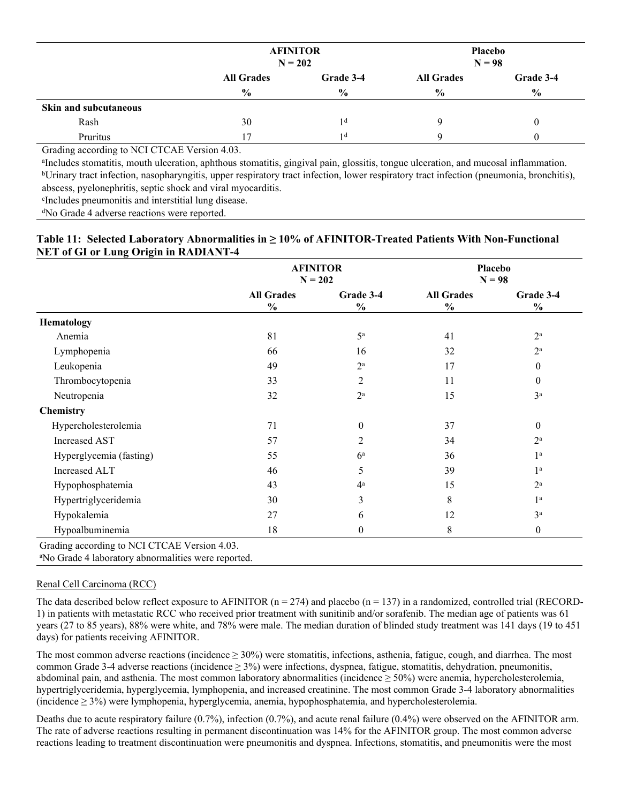|                       | <b>AFINITOR</b><br>$N = 202$ |               | <b>Placebo</b><br>$N = 98$ |               |  |
|-----------------------|------------------------------|---------------|----------------------------|---------------|--|
|                       | <b>All Grades</b>            | Grade 3-4     | <b>All Grades</b>          | Grade 3-4     |  |
|                       | $\frac{0}{0}$                | $\frac{0}{0}$ | $\frac{0}{0}$              | $\frac{0}{0}$ |  |
| Skin and subcutaneous |                              |               |                            |               |  |
| Rash                  | 30                           | 1 d           |                            | 0             |  |
| Pruritus              | 17                           | 1 d           |                            | 0             |  |

Grading according to NCI CTCAE Version 4.03.

a Includes stomatitis, mouth ulceration, aphthous stomatitis, gingival pain, glossitis, tongue ulceration, and mucosal inflammation. <sup>b</sup>Urinary tract infection, nasopharyngitis, upper respiratory tract infection, lower respiratory tract infection (pneumonia, bronchitis), abscess, pyelonephritis, septic shock and viral myocarditis.

c Includes pneumonitis and interstitial lung disease.

<sup>d</sup>No Grade 4 adverse reactions were reported.

#### **Table 11: Selected Laboratory Abnormalities in ≥ 10% of AFINITOR-Treated Patients With Non-Functional NET of GI or Lung Origin in RADIANT-4**

|                         |                                    | <b>AFINITOR</b><br>$N = 202$ |                                    | Placebo<br>$N = 98$        |  |
|-------------------------|------------------------------------|------------------------------|------------------------------------|----------------------------|--|
|                         | <b>All Grades</b><br>$\frac{0}{0}$ | Grade 3-4<br>$\frac{6}{6}$   | <b>All Grades</b><br>$\frac{0}{0}$ | Grade 3-4<br>$\frac{0}{0}$ |  |
| Hematology              |                                    |                              |                                    |                            |  |
| Anemia                  | 81                                 | 5 <sup>a</sup>               | 41                                 | $2^{\mathrm{a}}$           |  |
| Lymphopenia             | 66                                 | 16                           | 32                                 | $2^{\mathrm{a}}$           |  |
| Leukopenia              | 49                                 | $2^{\mathrm{a}}$             | 17                                 | $\boldsymbol{0}$           |  |
| Thrombocytopenia        | 33                                 | $\overline{c}$               | 11                                 | $\boldsymbol{0}$           |  |
| Neutropenia             | 32                                 | $2^{\mathrm{a}}$             | 15                                 | 3 <sup>a</sup>             |  |
| <b>Chemistry</b>        |                                    |                              |                                    |                            |  |
| Hypercholesterolemia    | 71                                 | $\boldsymbol{0}$             | 37                                 | $\boldsymbol{0}$           |  |
| <b>Increased AST</b>    | 57                                 | $\overline{2}$               | 34                                 | $2^{\mathrm{a}}$           |  |
| Hyperglycemia (fasting) | 55                                 | 6 <sup>a</sup>               | 36                                 | 1 <sup>a</sup>             |  |
| Increased ALT           | 46                                 | 5                            | 39                                 | 1 <sup>a</sup>             |  |
| Hypophosphatemia        | 43                                 | 4 <sup>a</sup>               | 15                                 | $2^{\mathrm{a}}$           |  |
| Hypertriglyceridemia    | 30                                 | 3                            | 8                                  | 1 <sup>a</sup>             |  |
| Hypokalemia             | 27                                 | 6                            | 12                                 | 3 <sup>a</sup>             |  |
| Hypoalbuminemia         | 18                                 | $\boldsymbol{0}$             | 8                                  | $\boldsymbol{0}$           |  |

#### Renal Cell Carcinoma (RCC)

The data described below reflect exposure to AFINITOR  $(n = 274)$  and placebo  $(n = 137)$  in a randomized, controlled trial (RECORD-1) in patients with metastatic RCC who received prior treatment with sunitinib and/or sorafenib. The median age of patients was 61 years (27 to 85 years), 88% were white, and 78% were male. The median duration of blinded study treatment was 141 days (19 to 451 days) for patients receiving AFINITOR.

The most common adverse reactions (incidence  $\geq$  30%) were stomatitis, infections, asthenia, fatigue, cough, and diarrhea. The most common Grade 3-4 adverse reactions (incidence  $>$  3%) were infections, dyspnea, fatigue, stomatitis, dehydration, pneumonitis, abdominal pain, and asthenia. The most common laboratory abnormalities (incidence  $\geq$  50%) were anemia, hypercholesterolemia, hypertriglyceridemia, hyperglycemia, lymphopenia, and increased creatinine. The most common Grade 3-4 laboratory abnormalities (incidence  $\geq 3\%$ ) were lymphopenia, hyperglycemia, anemia, hypophosphatemia, and hypercholesterolemia.

Deaths due to acute respiratory failure (0.7%), infection (0.7%), and acute renal failure (0.4%) were observed on the AFINITOR arm. The rate of adverse reactions resulting in permanent discontinuation was 14% for the AFINITOR group. The most common adverse reactions leading to treatment discontinuation were pneumonitis and dyspnea. Infections, stomatitis, and pneumonitis were the most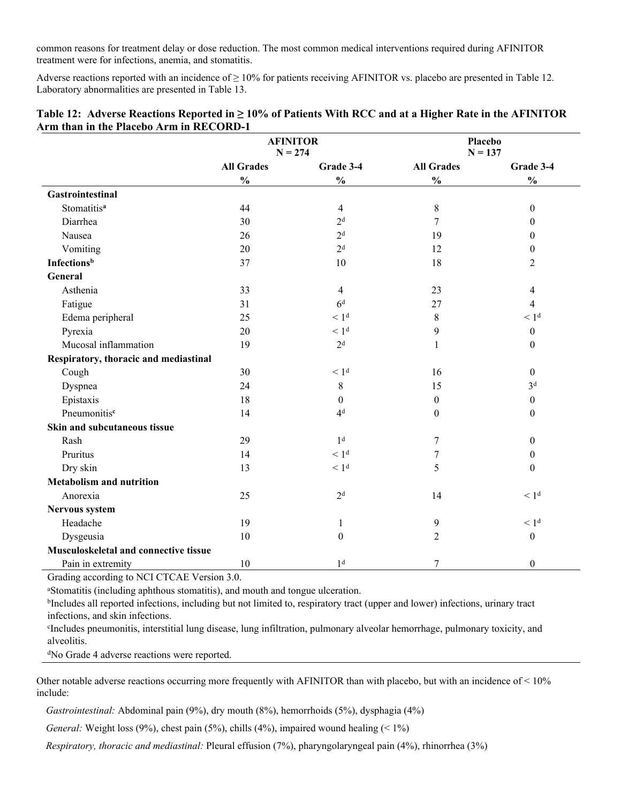common reasons for treatment delay or dose reduction. The most common medical interventions required during AFINITOR treatment were for infections, anemia, and stomatitis.

Adverse reactions reported with an incidence of  $\geq 10\%$  for patients receiving AFINITOR vs. placebo are presented in Table 12. Laboratory abnormalities are presented in Table 13.

|                                       | $N = 274$         | <b>AFINITOR</b>  |                   | Placebo<br>$N = 137$ |  |  |
|---------------------------------------|-------------------|------------------|-------------------|----------------------|--|--|
|                                       | <b>All Grades</b> | Grade 3-4        | <b>All Grades</b> | Grade 3-4            |  |  |
|                                       | $\frac{0}{0}$     | $\frac{0}{0}$    | $\frac{0}{0}$     | $\frac{0}{0}$        |  |  |
| Gastrointestinal                      |                   |                  |                   |                      |  |  |
| Stomatitis <sup>a</sup>               | 44                | $\overline{4}$   | $8\,$             | $\boldsymbol{0}$     |  |  |
| Diarrhea                              | 30                | 2 <sup>d</sup>   | 7                 | $\theta$             |  |  |
| Nausea                                | 26                | 2 <sup>d</sup>   | 19                | $\theta$             |  |  |
| Vomiting                              | 20                | 2 <sup>d</sup>   | 12                | $\mathbf{0}$         |  |  |
| Infectionsb                           | 37                | 10               | 18                | $\overline{2}$       |  |  |
| General                               |                   |                  |                   |                      |  |  |
| Asthenia                              | 33                | 4                | 23                | 4                    |  |  |
| Fatigue                               | 31                | 6 <sup>d</sup>   | 27                | $\overline{4}$       |  |  |
| Edema peripheral                      | 25                | < 1 <sup>d</sup> | $\,$ 8 $\,$       | < 1 <sup>d</sup>     |  |  |
| Pyrexia                               | 20                | < 1 <sup>d</sup> | 9                 | $\boldsymbol{0}$     |  |  |
| Mucosal inflammation                  | 19                | 2 <sup>d</sup>   | 1                 | $\overline{0}$       |  |  |
| Respiratory, thoracic and mediastinal |                   |                  |                   |                      |  |  |
| Cough                                 | 30                | < 1 <sup>d</sup> | 16                | $\boldsymbol{0}$     |  |  |
| Dyspnea                               | 24                | 8                | 15                | 3 <sup>d</sup>       |  |  |
| Epistaxis                             | 18                | $\theta$         | $\boldsymbol{0}$  | $\boldsymbol{0}$     |  |  |
| Pneumonitisc                          | 14                | 4 <sup>d</sup>   | $\boldsymbol{0}$  | $\mathbf{0}$         |  |  |
| Skin and subcutaneous tissue          |                   |                  |                   |                      |  |  |
| Rash                                  | 29                | 1 <sup>d</sup>   | 7                 | $\mathbf{0}$         |  |  |
| Pruritus                              | 14                | < 1 <sup>d</sup> | 7                 | $\overline{0}$       |  |  |
| Dry skin                              | 13                | < 1 <sup>d</sup> | 5                 | $\boldsymbol{0}$     |  |  |
| <b>Metabolism and nutrition</b>       |                   |                  |                   |                      |  |  |
| Anorexia                              | 25                | 2 <sup>d</sup>   | 14                | < 1 <sup>d</sup>     |  |  |
| Nervous system                        |                   |                  |                   |                      |  |  |
| Headache                              | 19                | 1                | 9                 | < 1 <sup>d</sup>     |  |  |
| Dysgeusia                             | 10                | $\theta$         | $\overline{2}$    | $\boldsymbol{0}$     |  |  |
| Musculoskeletal and connective tissue |                   |                  |                   |                      |  |  |
| Pain in extremity                     | 10                | 1 <sup>d</sup>   | 7                 | $\boldsymbol{0}$     |  |  |

#### **Table 12: Adverse Reactions Reported in ≥ 10% of Patients With RCC and at a Higher Rate in the AFINITOR Arm than in the Placebo Arm in RECORD-1**

Grading according to NCI CTCAE Version 3.0.

<sup>a</sup>Stomatitis (including aphthous stomatitis), and mouth and tongue ulceration.

b Includes all reported infections, including but not limited to, respiratory tract (upper and lower) infections, urinary tract infections, and skin infections.

c Includes pneumonitis, interstitial lung disease, lung infiltration, pulmonary alveolar hemorrhage, pulmonary toxicity, and alveolitis.

<sup>d</sup>No Grade 4 adverse reactions were reported.

Other notable adverse reactions occurring more frequently with AFINITOR than with placebo, but with an incidence of < 10% include:

*Gastrointestinal:* Abdominal pain (9%), dry mouth (8%), hemorrhoids (5%), dysphagia (4%)

*General:* Weight loss (9%), chest pain (5%), chills (4%), impaired wound healing (< 1%)

*Respiratory, thoracic and mediastinal:* Pleural effusion (7%), pharyngolaryngeal pain (4%), rhinorrhea (3%)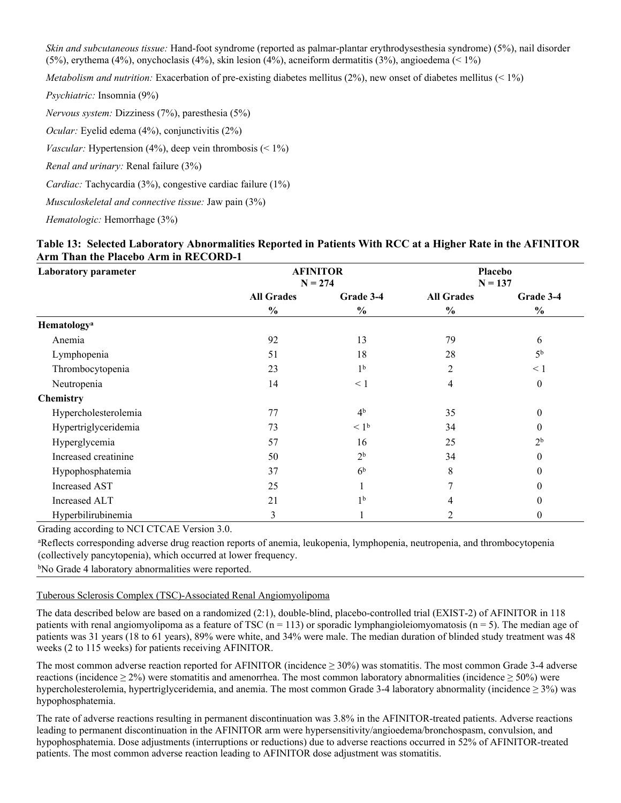*Skin and subcutaneous tissue:* Hand-foot syndrome (reported as palmar-plantar erythrodysesthesia syndrome) (5%), nail disorder (5%), erythema (4%), onychoclasis (4%), skin lesion (4%), acneiform dermatitis (3%), angioedema (< 1%)

*Metabolism and nutrition:* Exacerbation of pre-existing diabetes mellitus (2%), new onset of diabetes mellitus (< 1%)

*Psychiatric:* Insomnia (9%)

*Nervous system:* Dizziness (7%), paresthesia (5%)

*Ocular:* Eyelid edema (4%), conjunctivitis (2%)

*Vascular:* Hypertension (4%), deep vein thrombosis ( $\leq 1\%$ )

*Renal and urinary:* Renal failure (3%)

*Cardiac:* Tachycardia (3%), congestive cardiac failure (1%)

*Musculoskeletal and connective tissue:* Jaw pain (3%)

*Hematologic:* Hemorrhage (3%)

#### **Table 13: Selected Laboratory Abnormalities Reported in Patients With RCC at a Higher Rate in the AFINITOR Arm Than the Placebo Arm in RECORD-1**

| Laboratory parameter    |                   | <b>AFINITOR</b><br>$N = 274$ |                          | <b>Placebo</b><br>$N = 137$ |
|-------------------------|-------------------|------------------------------|--------------------------|-----------------------------|
|                         | <b>All Grades</b> | Grade 3-4                    | <b>All Grades</b>        | Grade 3-4                   |
|                         | $\frac{0}{0}$     | $\frac{6}{6}$                | $\frac{0}{0}$            | $\frac{0}{0}$               |
| Hematology <sup>a</sup> |                   |                              |                          |                             |
| Anemia                  | 92                | 13                           | 79                       | 6                           |
| Lymphopenia             | 51                | 18                           | 28                       | 5 <sup>b</sup>              |
| Thrombocytopenia        | 23                | 1 <sup>b</sup>               | $\overline{2}$           | $\leq 1$                    |
| Neutropenia             | 14                | $\leq$ 1                     | $\overline{\mathcal{L}}$ | $\boldsymbol{0}$            |
| Chemistry               |                   |                              |                          |                             |
| Hypercholesterolemia    | 77                | 4 <sup>b</sup>               | 35                       | $\boldsymbol{0}$            |
| Hypertriglyceridemia    | 73                | < 1 <sup>b</sup>             | 34                       | $\theta$                    |
| Hyperglycemia           | 57                | 16                           | 25                       | 2 <sup>b</sup>              |
| Increased creatinine    | 50                | 2 <sup>b</sup>               | 34                       | $\theta$                    |
| Hypophosphatemia        | 37                | 6 <sup>b</sup>               | 8                        | $\theta$                    |
| <b>Increased AST</b>    | 25                | 1                            | 7                        | $\theta$                    |
| Increased ALT           | 21                | 1 <sup>b</sup>               | 4                        | $\theta$                    |
| Hyperbilirubinemia      | 3                 |                              | 2                        | $\theta$                    |

Grading according to NCI CTCAE Version 3.0.

<sup>a</sup>Reflects corresponding adverse drug reaction reports of anemia, leukopenia, lymphopenia, neutropenia, and thrombocytopenia (collectively pancytopenia), which occurred at lower frequency.

bNo Grade 4 laboratory abnormalities were reported.

#### Tuberous Sclerosis Complex (TSC)-Associated Renal Angiomyolipoma

The data described below are based on a randomized (2:1), double-blind, placebo-controlled trial (EXIST-2) of AFINITOR in 118 patients with renal angiomyolipoma as a feature of TSC ( $n = 113$ ) or sporadic lymphangioleiomyomatosis ( $n = 5$ ). The median age of patients was 31 years (18 to 61 years), 89% were white, and 34% were male. The median duration of blinded study treatment was 48 weeks (2 to 115 weeks) for patients receiving AFINITOR.

The most common adverse reaction reported for AFINITOR (incidence  $\geq$  30%) was stomatitis. The most common Grade 3-4 adverse reactions (incidence  $\geq 2\%$ ) were stomatitis and amenorrhea. The most common laboratory abnormalities (incidence  $\geq 50\%$ ) were hypercholesterolemia, hypertriglyceridemia, and anemia. The most common Grade 3-4 laboratory abnormality (incidence  $\geq$  3%) was hypophosphatemia.

The rate of adverse reactions resulting in permanent discontinuation was 3.8% in the AFINITOR-treated patients. Adverse reactions leading to permanent discontinuation in the AFINITOR arm were hypersensitivity/angioedema/bronchospasm, convulsion, and hypophosphatemia. Dose adjustments (interruptions or reductions) due to adverse reactions occurred in 52% of AFINITOR-treated patients. The most common adverse reaction leading to AFINITOR dose adjustment was stomatitis.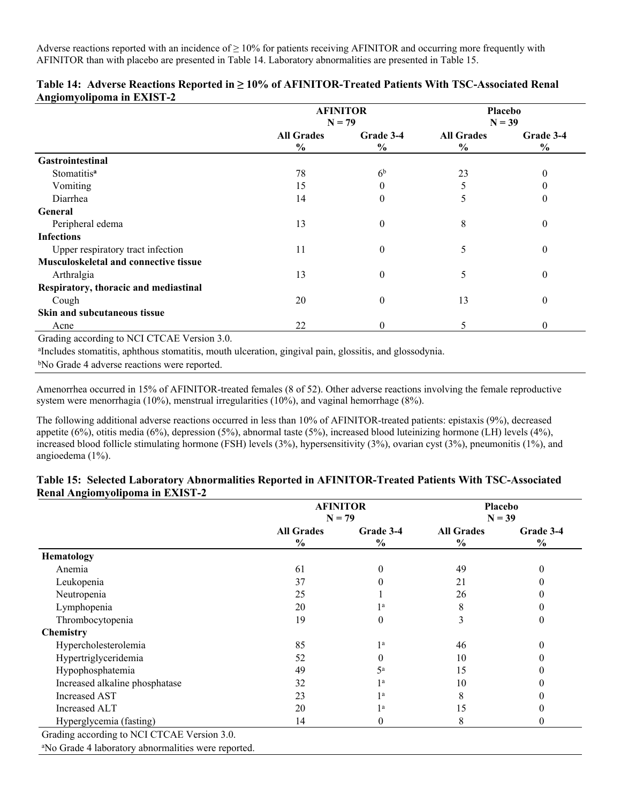Adverse reactions reported with an incidence of  $\geq 10\%$  for patients receiving AFINITOR and occurring more frequently with AFINITOR than with placebo are presented in Table 14. Laboratory abnormalities are presented in Table 15.

|                                              | <b>AFINITOR</b><br>$N = 79$        |                            | Placebo<br>$N = 39$                |                            |
|----------------------------------------------|------------------------------------|----------------------------|------------------------------------|----------------------------|
|                                              | <b>All Grades</b><br>$\frac{6}{9}$ | Grade 3-4<br>$\frac{6}{9}$ | <b>All Grades</b><br>$\frac{6}{9}$ | Grade 3-4<br>$\frac{6}{6}$ |
| Gastrointestinal                             |                                    |                            |                                    |                            |
| Stomatitis <sup>a</sup>                      | 78                                 | 6 <sup>b</sup>             | 23                                 | $\theta$                   |
| Vomiting                                     | 15                                 |                            |                                    |                            |
| Diarrhea                                     | 14                                 | $\theta$                   |                                    | $\theta$                   |
| General                                      |                                    |                            |                                    |                            |
| Peripheral edema                             | 13                                 | $\Omega$                   | 8                                  | 0                          |
| <b>Infections</b>                            |                                    |                            |                                    |                            |
| Upper respiratory tract infection            | 11                                 | $\Omega$                   | 5                                  | 0                          |
| <b>Musculoskeletal and connective tissue</b> |                                    |                            |                                    |                            |
| Arthralgia                                   | 13                                 | $\Omega$                   | 5                                  | 0                          |
| Respiratory, thoracic and mediastinal        |                                    |                            |                                    |                            |
| Cough                                        | 20                                 | $\Omega$                   | 13                                 | 0                          |
| Skin and subcutaneous tissue                 |                                    |                            |                                    |                            |
| Acne                                         | 22                                 | 0                          |                                    | 0                          |

#### **Table 14: Adverse Reactions Reported in ≥ 10% of AFINITOR-Treated Patients With TSC-Associated Renal Angiomyolipoma in EXIST-2**

Grading according to NCI CTCAE Version 3.0.

a Includes stomatitis, aphthous stomatitis, mouth ulceration, gingival pain, glossitis, and glossodynia.

<sup>b</sup>No Grade 4 adverse reactions were reported.

Amenorrhea occurred in 15% of AFINITOR-treated females (8 of 52). Other adverse reactions involving the female reproductive system were menorrhagia (10%), menstrual irregularities (10%), and vaginal hemorrhage (8%).

The following additional adverse reactions occurred in less than 10% of AFINITOR-treated patients: epistaxis (9%), decreased appetite (6%), otitis media (6%), depression (5%), abnormal taste (5%), increased blood luteinizing hormone (LH) levels (4%), increased blood follicle stimulating hormone (FSH) levels (3%), hypersensitivity (3%), ovarian cyst (3%), pneumonitis (1%), and angioedema (1%).

#### **Table 15: Selected Laboratory Abnormalities Reported in AFINITOR-Treated Patients With TSC-Associated Renal Angiomyolipoma in EXIST-2**

|                                                                 | <b>AFINITOR</b><br>$N = 79$ |                   | <b>Placebo</b><br>$N = 39$ |                   |
|-----------------------------------------------------------------|-----------------------------|-------------------|----------------------------|-------------------|
|                                                                 | <b>All Grades</b><br>$\%$   | Grade 3-4<br>$\%$ | <b>All Grades</b><br>$\%$  | Grade 3-4<br>$\%$ |
| <b>Hematology</b>                                               |                             |                   |                            |                   |
| Anemia                                                          | 61                          | 0                 | 49                         | 0                 |
| Leukopenia                                                      | 37                          |                   | 21                         |                   |
| Neutropenia                                                     | 25                          |                   | 26                         |                   |
| Lymphopenia                                                     | 20                          | 1 <sup>a</sup>    | 8                          |                   |
| Thrombocytopenia                                                | 19                          |                   | 3                          | 0                 |
| <b>Chemistry</b>                                                |                             |                   |                            |                   |
| Hypercholesterolemia                                            | 85                          | 1 <sup>a</sup>    | 46                         | 0                 |
| Hypertriglyceridemia                                            | 52                          |                   | 10                         |                   |
| Hypophosphatemia                                                | 49                          | 5 <sup>a</sup>    | 15                         |                   |
| Increased alkaline phosphatase                                  | 32                          | 1 <sup>a</sup>    | 10                         |                   |
| <b>Increased AST</b>                                            | 23                          | 1 <sup>a</sup>    | 8                          |                   |
| Increased ALT                                                   | 20                          | 1 <sup>a</sup>    | 15                         |                   |
| Hyperglycemia (fasting)                                         | 14                          | 0                 | 8                          | $_{0}$            |
| Grading according to NCI CTCAE Version 3.0.                     |                             |                   |                            |                   |
| <sup>a</sup> No Grade 4 laboratory abnormalities were reported. |                             |                   |                            |                   |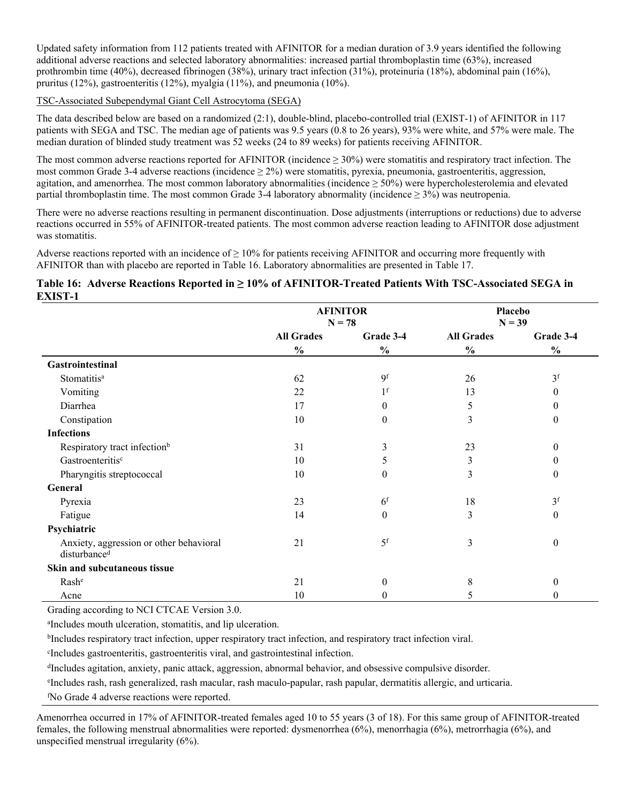Updated safety information from 112 patients treated with AFINITOR for a median duration of 3.9 years identified the following additional adverse reactions and selected laboratory abnormalities: increased partial thromboplastin time (63%), increased prothrombin time (40%), decreased fibrinogen (38%), urinary tract infection (31%), proteinuria (18%), abdominal pain (16%), pruritus (12%), gastroenteritis (12%), myalgia (11%), and pneumonia (10%).

#### TSC-Associated Subependymal Giant Cell Astrocytoma (SEGA)

The data described below are based on a randomized (2:1), double-blind, placebo-controlled trial (EXIST-1) of AFINITOR in 117 patients with SEGA and TSC. The median age of patients was 9.5 years (0.8 to 26 years), 93% were white, and 57% were male. The median duration of blinded study treatment was 52 weeks (24 to 89 weeks) for patients receiving AFINITOR.

The most common adverse reactions reported for AFINITOR (incidence  $\geq$  30%) were stomatitis and respiratory tract infection. The most common Grade 3-4 adverse reactions (incidence  $\geq 2\%$ ) were stomatitis, pyrexia, pneumonia, gastroenteritis, aggression, agitation, and amenorrhea. The most common laboratory abnormalities (incidence  $\geq$  50%) were hypercholesterolemia and elevated partial thromboplastin time. The most common Grade 3-4 laboratory abnormality (incidence  $\geq$  3%) was neutropenia.

There were no adverse reactions resulting in permanent discontinuation. Dose adjustments (interruptions or reductions) due to adverse reactions occurred in 55% of AFINITOR-treated patients. The most common adverse reaction leading to AFINITOR dose adjustment was stomatitis.

Adverse reactions reported with an incidence of  $\geq 10\%$  for patients receiving AFINITOR and occurring more frequently with AFINITOR than with placebo are reported in Table 16. Laboratory abnormalities are presented in Table 17.

#### **Table 16: Adverse Reactions Reported in ≥ 10% of AFINITOR-Treated Patients With TSC-Associated SEGA in EXIST-1**

|                                                         | <b>AFINITOR</b><br>$N = 78$ |                | Placebo<br>$N = 39$ |                  |
|---------------------------------------------------------|-----------------------------|----------------|---------------------|------------------|
|                                                         | <b>All Grades</b>           | Grade 3-4      | <b>All Grades</b>   | Grade 3-4        |
|                                                         | $\frac{0}{0}$               | $\frac{0}{0}$  | $\frac{0}{0}$       | $\frac{0}{0}$    |
| Gastrointestinal                                        |                             |                |                     |                  |
| Stomatitis <sup>a</sup>                                 | 62                          | 9 <sup>f</sup> | 26                  | 3 <sup>f</sup>   |
| Vomiting                                                | 22                          | 1 <sup>f</sup> | 13                  | $\mathbf{0}$     |
| Diarrhea                                                | 17                          | $\theta$       | 5                   | $\boldsymbol{0}$ |
| Constipation                                            | 10                          | $\theta$       | 3                   | $\theta$         |
| <b>Infections</b>                                       |                             |                |                     |                  |
| Respiratory tract infection <sup>b</sup>                | 31                          | 3              | 23                  | $\mathbf{0}$     |
| Gastroenteritisc                                        | 10                          | 5              | 3                   | $\theta$         |
| Pharyngitis streptococcal                               | 10                          | $\theta$       | 3                   | $\theta$         |
| General                                                 |                             |                |                     |                  |
| Pyrexia                                                 | 23                          | 6 <sup>f</sup> | 18                  | 3 <sup>f</sup>   |
| Fatigue                                                 | 14                          | $\theta$       | 3                   | $\theta$         |
| Psychiatric                                             |                             |                |                     |                  |
| Anxiety, aggression or other behavioral<br>disturbanced | 21                          | 5 <sup>f</sup> | 3                   | $\boldsymbol{0}$ |
| Skin and subcutaneous tissue                            |                             |                |                     |                  |
| Rashe                                                   | 21                          | $\theta$       | 8                   | $\theta$         |
| Acne                                                    | 10                          | $\Omega$       | 5                   | 0                |

Grading according to NCI CTCAE Version 3.0.

a Includes mouth ulceration, stomatitis, and lip ulceration.

b Includes respiratory tract infection, upper respiratory tract infection, and respiratory tract infection viral.

c Includes gastroenteritis, gastroenteritis viral, and gastrointestinal infection.

d Includes agitation, anxiety, panic attack, aggression, abnormal behavior, and obsessive compulsive disorder.

e Includes rash, rash generalized, rash macular, rash maculo-papular, rash papular, dermatitis allergic, and urticaria.

<sup>f</sup>No Grade 4 adverse reactions were reported.

Amenorrhea occurred in 17% of AFINITOR-treated females aged 10 to 55 years (3 of 18). For this same group of AFINITOR-treated females, the following menstrual abnormalities were reported: dysmenorrhea (6%), menorrhagia (6%), metrorrhagia (6%), and unspecified menstrual irregularity (6%).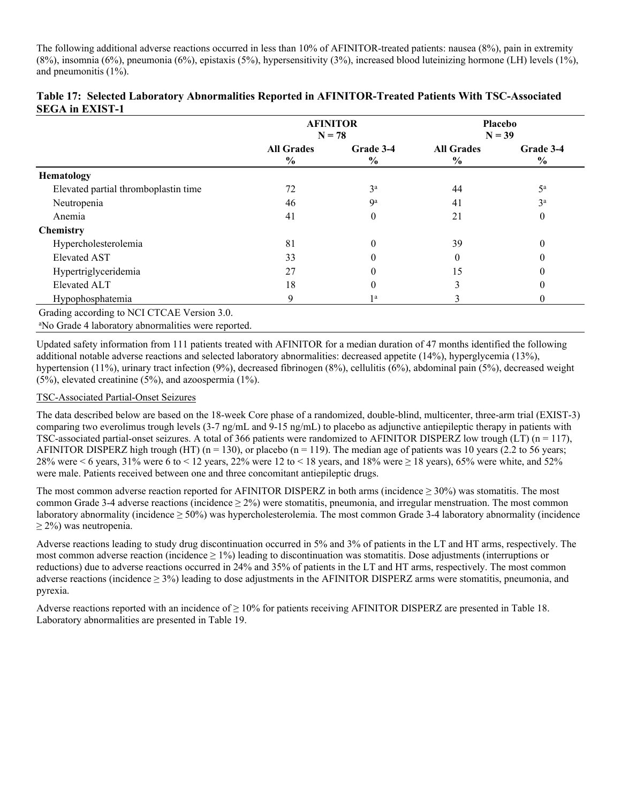The following additional adverse reactions occurred in less than 10% of AFINITOR-treated patients: nausea (8%), pain in extremity (8%), insomnia (6%), pneumonia (6%), epistaxis (5%), hypersensitivity (3%), increased blood luteinizing hormone (LH) levels (1%), and pneumonitis (1%).

|                                             | <b>AFINITOR</b><br>$N = 78$        |                   | Placebo<br>$N = 39$       |                   |
|---------------------------------------------|------------------------------------|-------------------|---------------------------|-------------------|
|                                             | <b>All Grades</b><br>$\frac{6}{9}$ | Grade 3-4<br>$\%$ | <b>All Grades</b><br>$\%$ | Grade 3-4<br>$\%$ |
| Hematology                                  |                                    |                   |                           |                   |
| Elevated partial thromboplastin time        | 72                                 | 3 <sup>a</sup>    | 44                        | 5 <sup>a</sup>    |
| Neutropenia                                 | 46                                 | <b>ga</b>         | 41                        | 3 <sup>a</sup>    |
| Anemia                                      | 41                                 | $\boldsymbol{0}$  | 21                        | $\overline{0}$    |
| <b>Chemistry</b>                            |                                    |                   |                           |                   |
| Hypercholesterolemia                        | 81                                 | 0                 | 39                        | $\Omega$          |
| <b>Elevated AST</b>                         | 33                                 | 0                 | 0                         | $\theta$          |
| Hypertriglyceridemia                        | 27                                 |                   | 15                        | 0                 |
| Elevated ALT                                | 18                                 | 0                 |                           | $\theta$          |
| Hypophosphatemia                            | 9                                  | 1 <sup>a</sup>    | 3                         | $\theta$          |
| Grading according to NCI CTCAE Version 3.0. |                                    |                   |                           |                   |

#### **Table 17: Selected Laboratory Abnormalities Reported in AFINITOR-Treated Patients With TSC-Associated SEGA in EXIST-1**

<sup>a</sup>No Grade 4 laboratory abnormalities were reported.

Updated safety information from 111 patients treated with AFINITOR for a median duration of 47 months identified the following additional notable adverse reactions and selected laboratory abnormalities: decreased appetite (14%), hyperglycemia (13%), hypertension (11%), urinary tract infection (9%), decreased fibrinogen (8%), cellulitis (6%), abdominal pain (5%), decreased weight (5%), elevated creatinine (5%), and azoospermia (1%).

TSC-Associated Partial-Onset Seizures

The data described below are based on the 18-week Core phase of a randomized, double-blind, multicenter, three-arm trial (EXIST-3) comparing two everolimus trough levels (3-7 ng/mL and 9-15 ng/mL) to placebo as adjunctive antiepileptic therapy in patients with TSC-associated partial-onset seizures. A total of 366 patients were randomized to AFINITOR DISPERZ low trough (LT)  $(n = 117)$ , AFINITOR DISPERZ high trough (HT) ( $n = 130$ ), or placebo ( $n = 119$ ). The median age of patients was 10 years (2.2 to 56 years; 28% were  $\leq$  6 years, 31% were 6 to  $\leq$  12 years, 22% were 12 to  $\leq$  18 years, and 18% were  $\geq$  18 years), 65% were white, and 52% were male. Patients received between one and three concomitant antiepileptic drugs.

The most common adverse reaction reported for AFINITOR DISPERZ in both arms (incidence  $\geq$  30%) was stomatitis. The most common Grade 3-4 adverse reactions (incidence  $\geq 2\%$ ) were stomatitis, pneumonia, and irregular menstruation. The most common laboratory abnormality (incidence  $\geq 50\%$ ) was hypercholesterolemia. The most common Grade 3-4 laboratory abnormality (incidence  $\geq$  2%) was neutropenia.

Adverse reactions leading to study drug discontinuation occurred in 5% and 3% of patients in the LT and HT arms, respectively. The most common adverse reaction (incidence  $\geq 1\%$ ) leading to discontinuation was stomatitis. Dose adjustments (interruptions or reductions) due to adverse reactions occurred in 24% and 35% of patients in the LT and HT arms, respectively. The most common adverse reactions (incidence  $\geq 3\%$ ) leading to dose adjustments in the AFINITOR DISPERZ arms were stomatitis, pneumonia, and pyrexia.

Adverse reactions reported with an incidence of  $\geq 10\%$  for patients receiving AFINITOR DISPERZ are presented in Table 18. Laboratory abnormalities are presented in Table 19.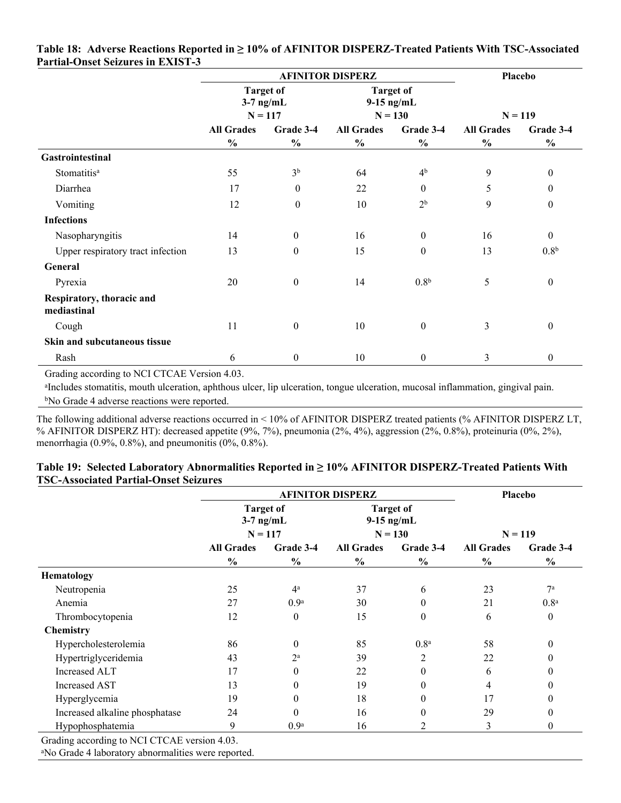#### **AFINITOR DISPERZ Placebo Target of 3-7 ng/mL Target of 9-15 ng/mL N = 117 N = 130 N = 119 All Grades Grade 3-4 All Grades Grade 3-4 All Grades Grade 3-4 % % % % % % Gastrointestinal**  Stomatitis<sup>a</sup> 55 3<sup>b</sup>  $b$  64 4 b 9 0 Diarrhea 17 0 22 0 5 0 Vomiting 12 0 10 2 b 9 0 **Infections**  Nasopharyngitis  $14 \qquad 0 \qquad 16 \qquad 0 \qquad 16$ Upper respiratory tract infection 13 0 15 0 13  $0.8<sup>b</sup>$  0 13 0.8<sup>b</sup> **General**

#### **Table 18: Adverse Reactions Reported in ≥ 10% of AFINITOR DISPERZ-Treated Patients With TSC-Associated Partial-Onset Seizures in EXIST-3**

Grading according to NCI CTCAE Version 4.03.

**Respiratory, thoracic and** 

**Skin and subcutaneous tissue** 

**mediastinal** 

a Includes stomatitis, mouth ulceration, aphthous ulcer, lip ulceration, tongue ulceration, mucosal inflammation, gingival pain. <sup>b</sup>No Grade 4 adverse reactions were reported.

Pyrexia 20 0 14  $0.8^{\circ}$  5 0

 $\text{Cough}$  11 0 10 0 3 0

Rash 6 0 10 0 3 0

The following additional adverse reactions occurred in < 10% of AFINITOR DISPERZ treated patients (% AFINITOR DISPERZ LT, % AFINITOR DISPERZ HT): decreased appetite (9%, 7%), pneumonia (2%, 4%), aggression (2%, 0.8%), proteinuria (0%, 2%), menorrhagia (0.9%, 0.8%), and pneumonitis (0%, 0.8%).

## **Table 19: Selected Laboratory Abnormalities Reported in ≥ 10% AFINITOR DISPERZ-Treated Patients With TSC-Associated Partial-Onset Seizures**

|                                              | <b>AFINITOR DISPERZ</b>                      |                  |                                               |                   | Placebo        |                  |
|----------------------------------------------|----------------------------------------------|------------------|-----------------------------------------------|-------------------|----------------|------------------|
|                                              | <b>Target of</b><br>$3-7$ ng/mL<br>$N = 117$ |                  | <b>Target of</b><br>$9-15$ ng/mL<br>$N = 130$ |                   |                |                  |
|                                              |                                              |                  |                                               |                   | $N = 119$      |                  |
|                                              | <b>All Grades</b><br>Grade 3-4               |                  | <b>All Grades</b><br>Grade 3-4                | <b>All Grades</b> | Grade 3-4      |                  |
|                                              | $\frac{0}{0}$                                | $\frac{6}{10}$   | $\frac{0}{0}$                                 | $\frac{0}{0}$     | $\frac{0}{0}$  | $\frac{6}{10}$   |
| Hematology                                   |                                              |                  |                                               |                   |                |                  |
| Neutropenia                                  | 25                                           | 4 <sup>a</sup>   | 37                                            | 6                 | 23             | 7 <sup>a</sup>   |
| Anemia                                       | 27                                           | 0.9 <sup>a</sup> | 30                                            | $\Omega$          | 21             | 0.8 <sup>a</sup> |
| Thrombocytopenia                             | 12                                           | $\mathbf{0}$     | 15                                            | $\theta$          | 6              | $\boldsymbol{0}$ |
| <b>Chemistry</b>                             |                                              |                  |                                               |                   |                |                  |
| Hypercholesterolemia                         | 86                                           | $\theta$         | 85                                            | 0.8 <sup>a</sup>  | 58             | $\boldsymbol{0}$ |
| Hypertriglyceridemia                         | 43                                           | $2^{\mathrm{a}}$ | 39                                            | 2                 | 22             | $\mathbf{0}$     |
| Increased ALT                                | 17                                           | $\theta$         | 22                                            | $\theta$          | 6              | $\boldsymbol{0}$ |
| <b>Increased AST</b>                         | 13                                           | $\theta$         | 19                                            | $\theta$          | $\overline{4}$ | $\mathbf{0}$     |
| Hyperglycemia                                | 19                                           | $\theta$         | 18                                            | $\Omega$          | 17             | $\mathbf{0}$     |
| Increased alkaline phosphatase               | 24                                           | $\Omega$         | 16                                            | $\Omega$          | 29             | $\mathbf{0}$     |
| Hypophosphatemia                             | 9                                            | 0.9 <sup>a</sup> | 16                                            | 2                 | 3              | $\mathbf{0}$     |
| Grading according to NCI CTCAE version 4.03. |                                              |                  |                                               |                   |                |                  |

aNo Grade 4 laboratory abnormalities were reported.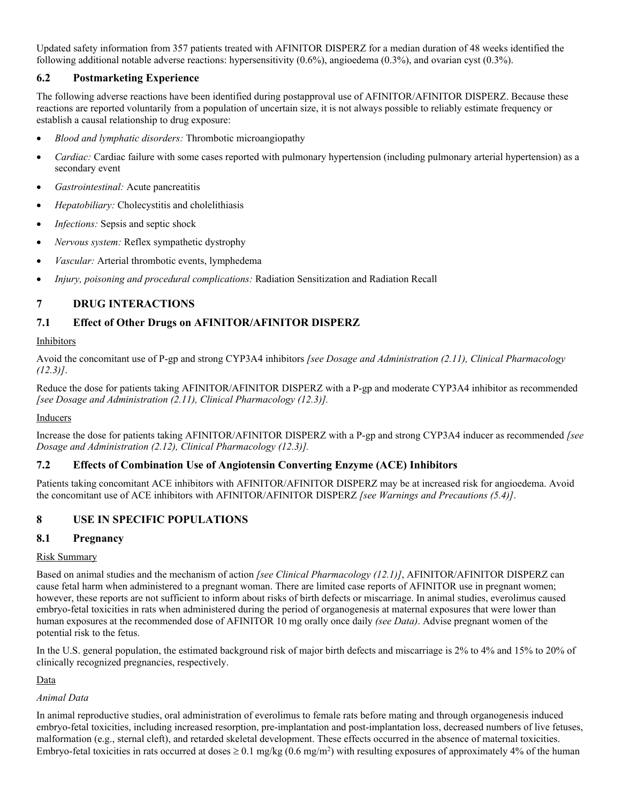Updated safety information from 357 patients treated with AFINITOR DISPERZ for a median duration of 48 weeks identified the following additional notable adverse reactions: hypersensitivity (0.6%), angioedema (0.3%), and ovarian cyst (0.3%).

# <span id="page-21-1"></span>**6.2 Postmarketing Experience**

The following adverse reactions have been identified during postapproval use of AFINITOR/AFINITOR DISPERZ. Because these reactions are reported voluntarily from a population of uncertain size, it is not always possible to reliably estimate frequency or establish a causal relationship to drug exposure:

- *Blood and lymphatic disorders:* Thrombotic microangiopathy
- *Cardiac:* Cardiac failure with some cases reported with pulmonary hypertension (including pulmonary arterial hypertension) as a secondary event
- *Gastrointestinal:* Acute pancreatitis
- *Hepatobiliary:* Cholecystitis and cholelithiasis
- *Infections:* Sepsis and septic shock
- *Nervous system:* Reflex sympathetic dystrophy
- *Vascular:* Arterial thrombotic events, lymphedema
- <span id="page-21-4"></span>*Injury, poisoning and procedural complications:* Radiation Sensitization and Radiation Recall

# **7 DRUG INTERACTIONS**

# <span id="page-21-3"></span>**7.1 Effect of Other Drugs on AFINITOR/AFINITOR DISPERZ**

#### Inhibitors

Avoid the concomitant use of P-gp and strong CYP3A4 inhibitors *[see Dosage and Administration (2.11), Clinical Pharmacology (12.3)]*.

Reduce the dose for patients taking AFINITOR/AFINITOR DISPERZ with a P-gp and moderate CYP3A4 inhibitor as recommended *[see Dosage and Administration (2.11), Clinical Pharmacology (12.3)].*

#### Inducers

Increase the dose for patients taking AFINITOR/AFINITOR DISPERZ with a P-gp and strong CYP3A4 inducer as recommended *[see Dosage and Administration (2.12), Clinical Pharmacology (12.3)].*

## <span id="page-21-0"></span>**7.2 Effects of Combination Use of Angiotensin Converting Enzyme (ACE) Inhibitors**

Patients taking concomitant ACE inhibitors with AFINITOR/AFINITOR DISPERZ may be at increased risk for angioedema. Avoid the concomitant use of ACE inhibitors with AFINITOR/AFINITOR DISPERZ *[see Warnings and Precautions (5.4)]*.

## <span id="page-21-5"></span>**8 USE IN SPECIFIC POPULATIONS**

## <span id="page-21-2"></span>**8.1 Pregnancy**

## Risk Summary

Based on animal studies and the mechanism of action *[see Clinical Pharmacology (12.1)]*, AFINITOR/AFINITOR DISPERZ can cause fetal harm when administered to a pregnant woman. There are limited case reports of AFINITOR use in pregnant women; however, these reports are not sufficient to inform about risks of birth defects or miscarriage. In animal studies, everolimus caused embryo-fetal toxicities in rats when administered during the period of organogenesis at maternal exposures that were lower than human exposures at the recommended dose of AFINITOR 10 mg orally once daily *(see Data)*. Advise pregnant women of the potential risk to the fetus.

In the U.S. general population, the estimated background risk of major birth defects and miscarriage is 2% to 4% and 15% to 20% of clinically recognized pregnancies, respectively.

## Data

## *Animal Data*

In animal reproductive studies, oral administration of everolimus to female rats before mating and through organogenesis induced embryo-fetal toxicities, including increased resorption, pre-implantation and post-implantation loss, decreased numbers of live fetuses, malformation (e.g., sternal cleft), and retarded skeletal development. These effects occurred in the absence of maternal toxicities. Embryo-fetal toxicities in rats occurred at doses  $\geq 0.1$  mg/kg (0.6 mg/m<sup>2</sup>) with resulting exposures of approximately 4% of the human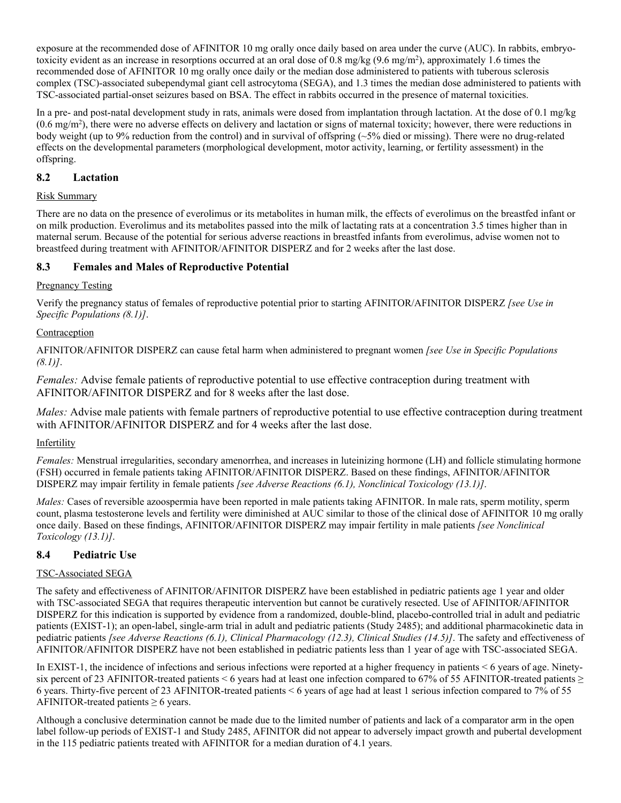exposure at the recommended dose of AFINITOR 10 mg orally once daily based on area under the curve (AUC). In rabbits, embryotoxicity evident as an increase in resorptions occurred at an oral dose of 0.8 mg/kg (9.6 mg/m<sup>2</sup> ), approximately 1.6 times the recommended dose of AFINITOR 10 mg orally once daily or the median dose administered to patients with tuberous sclerosis complex (TSC)-associated subependymal giant cell astrocytoma (SEGA), and 1.3 times the median dose administered to patients with TSC-associated partial-onset seizures based on BSA. The effect in rabbits occurred in the presence of maternal toxicities.

In a pre- and post-natal development study in rats, animals were dosed from implantation through lactation. At the dose of 0.1 mg/kg (0.6 mg/m<sup>2</sup> ), there were no adverse effects on delivery and lactation or signs of maternal toxicity; however, there were reductions in body weight (up to 9% reduction from the control) and in survival of offspring  $\sim$  5% died or missing). There were no drug-related effects on the developmental parameters (morphological development, motor activity, learning, or fertility assessment) in the offspring.

# <span id="page-22-1"></span>**8.2 Lactation**

## Risk Summary

There are no data on the presence of everolimus or its metabolites in human milk, the effects of everolimus on the breastfed infant or on milk production. Everolimus and its metabolites passed into the milk of lactating rats at a concentration 3.5 times higher than in maternal serum. Because of the potential for serious adverse reactions in breastfed infants from everolimus, advise women not to breastfeed during treatment with AFINITOR/AFINITOR DISPERZ and for 2 weeks after the last dose.

# <span id="page-22-0"></span>**8.3 Females and Males of Reproductive Potential**

#### Pregnancy Testing

Verify the pregnancy status of females of reproductive potential prior to starting AFINITOR/AFINITOR DISPERZ *[see Use in Specific Populations (8.1)]*.

#### Contraception

AFINITOR/AFINITOR DISPERZ can cause fetal harm when administered to pregnant women *[see Use in Specific Populations (8.1)]*.

*Females:* Advise female patients of reproductive potential to use effective contraception during treatment with AFINITOR/AFINITOR DISPERZ and for 8 weeks after the last dose.

*Males:* Advise male patients with female partners of reproductive potential to use effective contraception during treatment with AFINITOR/AFINITOR DISPERZ and for 4 weeks after the last dose.

Infertility

*Females:* Menstrual irregularities, secondary amenorrhea, and increases in luteinizing hormone (LH) and follicle stimulating hormone (FSH) occurred in female patients taking AFINITOR/AFINITOR DISPERZ. Based on these findings, AFINITOR/AFINITOR DISPERZ may impair fertility in female patients *[see Adverse Reactions (6.1), Nonclinical Toxicology (13.1)]*.

*Males:* Cases of reversible azoospermia have been reported in male patients taking AFINITOR. In male rats, sperm motility, sperm count, plasma testosterone levels and fertility were diminished at AUC similar to those of the clinical dose of AFINITOR 10 mg orally once daily. Based on these findings, AFINITOR/AFINITOR DISPERZ may impair fertility in male patients *[see Nonclinical Toxicology (13.1)]*.

# <span id="page-22-2"></span>**8.4 Pediatric Use**

## TSC-Associated SEGA

The safety and effectiveness of AFINITOR/AFINITOR DISPERZ have been established in pediatric patients age 1 year and older with TSC-associated SEGA that requires therapeutic intervention but cannot be curatively resected. Use of AFINITOR/AFINITOR DISPERZ for this indication is supported by evidence from a randomized, double-blind, placebo-controlled trial in adult and pediatric patients (EXIST-1); an open-label, single-arm trial in adult and pediatric patients (Study 2485); and additional pharmacokinetic data in pediatric patients *[see Adverse Reactions (6.1), Clinical Pharmacology (12.3), Clinical Studies (14.5)]*. The safety and effectiveness of AFINITOR/AFINITOR DISPERZ have not been established in pediatric patients less than 1 year of age with TSC-associated SEGA.

In EXIST-1, the incidence of infections and serious infections were reported at a higher frequency in patients < 6 years of age. Ninetysix percent of 23 AFINITOR-treated patients < 6 years had at least one infection compared to 67% of 55 AFINITOR-treated patients  $\geq$ 6 years. Thirty-five percent of 23 AFINITOR-treated patients < 6 years of age had at least 1 serious infection compared to 7% of 55 AFINITOR-treated patients  $\geq 6$  years.

Although a conclusive determination cannot be made due to the limited number of patients and lack of a comparator arm in the open label follow-up periods of EXIST-1 and Study 2485, AFINITOR did not appear to adversely impact growth and pubertal development in the 115 pediatric patients treated with AFINITOR for a median duration of 4.1 years.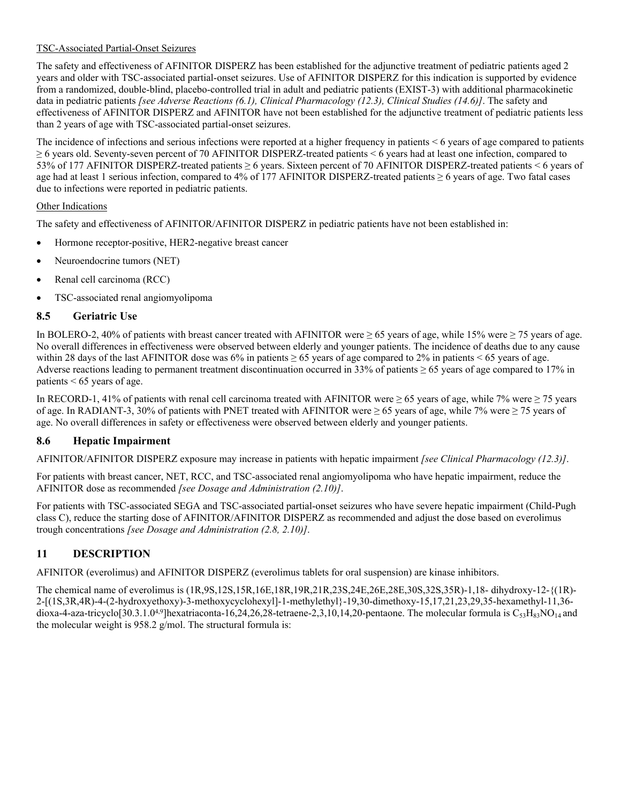#### TSC-Associated Partial-Onset Seizures

The safety and effectiveness of AFINITOR DISPERZ has been established for the adjunctive treatment of pediatric patients aged 2 years and older with TSC-associated partial-onset seizures. Use of AFINITOR DISPERZ for this indication is supported by evidence from a randomized, double-blind, placebo-controlled trial in adult and pediatric patients (EXIST-3) with additional pharmacokinetic data in pediatric patients *[see Adverse Reactions (6.1), Clinical Pharmacology (12.3), Clinical Studies (14.6)]*. The safety and effectiveness of AFINITOR DISPERZ and AFINITOR have not been established for the adjunctive treatment of pediatric patients less than 2 years of age with TSC-associated partial-onset seizures.

The incidence of infections and serious infections were reported at a higher frequency in patients < 6 years of age compared to patients ≥ 6 years old. Seventy-seven percent of 70 AFINITOR DISPERZ-treated patients < 6 years had at least one infection, compared to 53% of 177 AFINITOR DISPERZ-treated patients  $\geq 6$  years. Sixteen percent of 70 AFINITOR DISPERZ-treated patients  $\leq 6$  years of age had at least 1 serious infection, compared to 4% of 177 AFINITOR DISPERZ-treated patients  $\geq 6$  years of age. Two fatal cases due to infections were reported in pediatric patients.

## **Other Indications**

The safety and effectiveness of AFINITOR/AFINITOR DISPERZ in pediatric patients have not been established in:

- Hormone receptor-positive, HER2-negative breast cancer
- Neuroendocrine tumors (NET)
- Renal cell carcinoma (RCC)
- TSC-associated renal angiomyolipoma

# <span id="page-23-1"></span>**8.5 Geriatric Use**

In BOLERO-2, 40% of patients with breast cancer treated with AFINITOR were  $\geq$  65 years of age, while 15% were  $\geq$  75 years of age. No overall differences in effectiveness were observed between elderly and younger patients. The incidence of deaths due to any cause within 28 days of the last AFINITOR dose was 6% in patients  $\geq$  65 years of age compared to 2% in patients < 65 years of age. Adverse reactions leading to permanent treatment discontinuation occurred in 33% of patients ≥ 65 years of age compared to 17% in patients  $\leq 65$  years of age.

In RECORD-1, 41% of patients with renal cell carcinoma treated with AFINITOR were  $\geq$  65 years of age, while 7% were  $\geq$  75 years of age. In RADIANT-3, 30% of patients with PNET treated with AFINITOR were  $\geq$  65 years of age, while 7% were  $\geq$  75 years of age. No overall differences in safety or effectiveness were observed between elderly and younger patients.

# <span id="page-23-0"></span>**8.6 Hepatic Impairment**

AFINITOR/AFINITOR DISPERZ exposure may increase in patients with hepatic impairment *[see Clinical Pharmacology (12.3)]*.

For patients with breast cancer, NET, RCC, and TSC-associated renal angiomyolipoma who have hepatic impairment, reduce the AFINITOR dose as recommended *[see Dosage and Administration (2.10)]*.

For patients with TSC-associated SEGA and TSC-associated partial-onset seizures who have severe hepatic impairment (Child-Pugh class C), reduce the starting dose of AFINITOR/AFINITOR DISPERZ as recommended and adjust the dose based on everolimus trough concentrations *[see Dosage and Administration (2.8, 2.10)]*.

# <span id="page-23-2"></span>**11 DESCRIPTION**

AFINITOR (everolimus) and AFINITOR DISPERZ (everolimus tablets for oral suspension) are kinase inhibitors.

The chemical name of everolimus is (1R,9S,12S,15R,16E,18R,19R,21R,23S,24E,26E,28E,30S,32S,35R)-1,18- dihydroxy-12-{(1R)- 2-[(1S,3R,4R)-4-(2-hydroxyethoxy)-3-methoxycyclohexyl]-1-methylethyl}-19,30-dimethoxy-15,17,21,23,29,35-hexamethyl-11,36 dioxa-4-aza-tricyclo[30.3.1.04,9]hexatriaconta-16,24,26,28-tetraene-2,3,10,14,20-pentaone. The molecular formula is  $C_{53}H_{83}NO_{14}$  and the molecular weight is 958.2 g/mol. The structural formula is: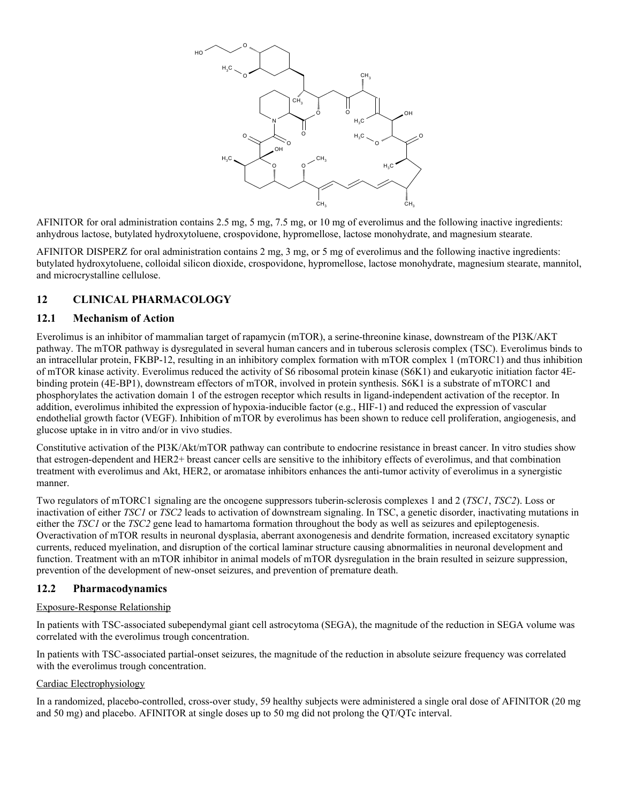

AFINITOR for oral administration contains 2.5 mg, 5 mg, 7.5 mg, or 10 mg of everolimus and the following inactive ingredients: anhydrous lactose, butylated hydroxytoluene, crospovidone, hypromellose, lactose monohydrate, and magnesium stearate.

AFINITOR DISPERZ for oral administration contains 2 mg, 3 mg, or 5 mg of everolimus and the following inactive ingredients: butylated hydroxytoluene, colloidal silicon dioxide, crospovidone, hypromellose, lactose monohydrate, magnesium stearate, mannitol, and microcrystalline cellulose.

# <span id="page-24-0"></span>**12 CLINICAL PHARMACOLOGY**

#### <span id="page-24-1"></span>**12.1 Mechanism of Action**

Everolimus is an inhibitor of mammalian target of rapamycin (mTOR), a serine-threonine kinase, downstream of the PI3K/AKT pathway. The mTOR pathway is dysregulated in several human cancers and in tuberous sclerosis complex (TSC). Everolimus binds to an intracellular protein, FKBP-12, resulting in an inhibitory complex formation with mTOR complex 1 (mTORC1) and thus inhibition of mTOR kinase activity. Everolimus reduced the activity of S6 ribosomal protein kinase (S6K1) and eukaryotic initiation factor 4Ebinding protein (4E-BP1), downstream effectors of mTOR, involved in protein synthesis. S6K1 is a substrate of mTORC1 and phosphorylates the activation domain 1 of the estrogen receptor which results in ligand-independent activation of the receptor. In addition, everolimus inhibited the expression of hypoxia-inducible factor (e.g., HIF-1) and reduced the expression of vascular endothelial growth factor (VEGF). Inhibition of mTOR by everolimus has been shown to reduce cell proliferation, angiogenesis, and glucose uptake in in vitro and/or in vivo studies.

Constitutive activation of the PI3K/Akt/mTOR pathway can contribute to endocrine resistance in breast cancer. In vitro studies show that estrogen-dependent and HER2+ breast cancer cells are sensitive to the inhibitory effects of everolimus, and that combination treatment with everolimus and Akt, HER2, or aromatase inhibitors enhances the anti-tumor activity of everolimus in a synergistic manner.

Two regulators of mTORC1 signaling are the oncogene suppressors tuberin-sclerosis complexes 1 and 2 (*TSC1*, *TSC2*). Loss or inactivation of either *TSC1* or *TSC2* leads to activation of downstream signaling. In TSC, a genetic disorder, inactivating mutations in either the *TSC1* or the *TSC2* gene lead to hamartoma formation throughout the body as well as seizures and epileptogenesis. Overactivation of mTOR results in neuronal dysplasia, aberrant axonogenesis and dendrite formation, increased excitatory synaptic currents, reduced myelination, and disruption of the cortical laminar structure causing abnormalities in neuronal development and function. Treatment with an mTOR inhibitor in animal models of mTOR dysregulation in the brain resulted in seizure suppression, prevention of the development of new-onset seizures, and prevention of premature death.

## <span id="page-24-2"></span>**12.2 Pharmacodynamics**

#### Exposure-Response Relationship

In patients with TSC-associated subependymal giant cell astrocytoma (SEGA), the magnitude of the reduction in SEGA volume was correlated with the everolimus trough concentration.

In patients with TSC-associated partial-onset seizures, the magnitude of the reduction in absolute seizure frequency was correlated with the everolimus trough concentration.

#### Cardiac Electrophysiology

In a randomized, placebo-controlled, cross-over study, 59 healthy subjects were administered a single oral dose of AFINITOR (20 mg and 50 mg) and placebo. AFINITOR at single doses up to 50 mg did not prolong the QT/QTc interval.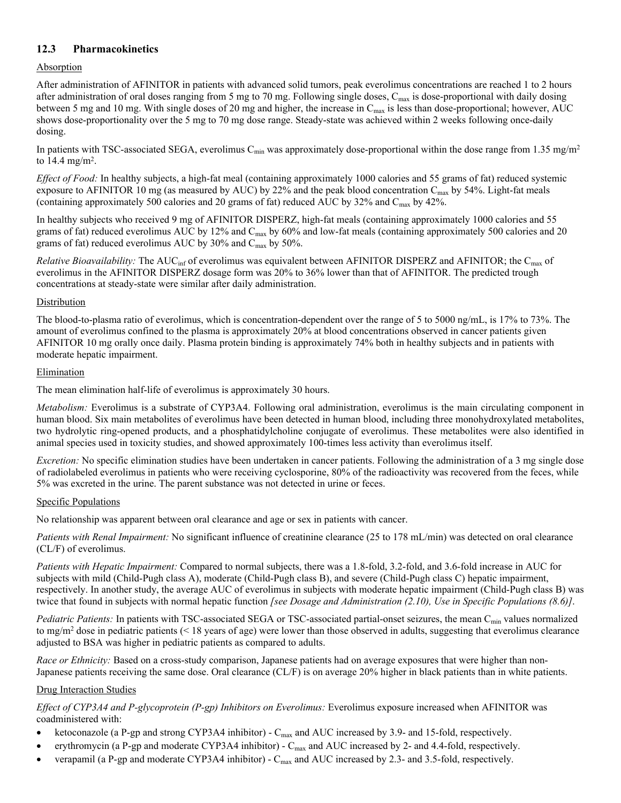# <span id="page-25-0"></span>**12.3 Pharmacokinetics**

#### **Absorption**

After administration of AFINITOR in patients with advanced solid tumors, peak everolimus concentrations are reached 1 to 2 hours after administration of oral doses ranging from 5 mg to 70 mg. Following single doses,  $C_{\text{max}}$  is dose-proportional with daily dosing between 5 mg and 10 mg. With single doses of 20 mg and higher, the increase in C<sub>max</sub> is less than dose-proportional; however, AUC shows dose-proportionality over the 5 mg to 70 mg dose range. Steady-state was achieved within 2 weeks following once-daily dosing.

In patients with TSC-associated SEGA, everolimus  $C_{\text{min}}$  was approximately dose-proportional within the dose range from 1.35 mg/m<sup>2</sup> to 14.4 mg/m<sup>2</sup>.

*Effect of Food:* In healthy subjects, a high-fat meal (containing approximately 1000 calories and 55 grams of fat) reduced systemic exposure to AFINITOR 10 mg (as measured by AUC) by 22% and the peak blood concentration  $C_{\text{max}}$  by 54%. Light-fat meals (containing approximately 500 calories and 20 grams of fat) reduced AUC by 32% and  $C_{\text{max}}$  by 42%.

In healthy subjects who received 9 mg of AFINITOR DISPERZ, high-fat meals (containing approximately 1000 calories and 55 grams of fat) reduced everolimus AUC by 12% and  $C_{\text{max}}$  by 60% and low-fat meals (containing approximately 500 calories and 20 grams of fat) reduced everolimus AUC by 30% and  $C_{\text{max}}$  by 50%.

*Relative Bioavailability:* The AUC<sub>inf</sub> of everolimus was equivalent between AFINITOR DISPERZ and AFINITOR; the C<sub>max</sub> of everolimus in the AFINITOR DISPERZ dosage form was 20% to 36% lower than that of AFINITOR. The predicted trough concentrations at steady-state were similar after daily administration.

#### **Distribution**

The blood-to-plasma ratio of everolimus, which is concentration-dependent over the range of 5 to 5000 ng/mL, is 17% to 73%. The amount of everolimus confined to the plasma is approximately 20% at blood concentrations observed in cancer patients given AFINITOR 10 mg orally once daily. Plasma protein binding is approximately 74% both in healthy subjects and in patients with moderate hepatic impairment.

#### Elimination

The mean elimination half-life of everolimus is approximately 30 hours.

*Metabolism:* Everolimus is a substrate of CYP3A4. Following oral administration, everolimus is the main circulating component in human blood. Six main metabolites of everolimus have been detected in human blood, including three monohydroxylated metabolites, two hydrolytic ring-opened products, and a phosphatidylcholine conjugate of everolimus. These metabolites were also identified in animal species used in toxicity studies, and showed approximately 100-times less activity than everolimus itself.

*Excretion:* No specific elimination studies have been undertaken in cancer patients. Following the administration of a 3 mg single dose of radiolabeled everolimus in patients who were receiving cyclosporine, 80% of the radioactivity was recovered from the feces, while 5% was excreted in the urine. The parent substance was not detected in urine or feces.

#### Specific Populations

No relationship was apparent between oral clearance and age or sex in patients with cancer.

*Patients with Renal Impairment:* No significant influence of creatinine clearance (25 to 178 mL/min) was detected on oral clearance (CL/F) of everolimus.

*Patients with Hepatic Impairment:* Compared to normal subjects, there was a 1.8-fold, 3.2-fold, and 3.6-fold increase in AUC for subjects with mild (Child-Pugh class A), moderate (Child-Pugh class B), and severe (Child-Pugh class C) hepatic impairment, respectively. In another study, the average AUC of everolimus in subjects with moderate hepatic impairment (Child-Pugh class B) was twice that found in subjects with normal hepatic function *[see Dosage and Administration (2.10), Use in Specific Populations (8.6)]*.

*Pediatric Patients:* In patients with TSC-associated SEGA or TSC-associated partial-onset seizures, the mean C<sub>min</sub> values normalized to mg/m<sup>2</sup> dose in pediatric patients (< 18 years of age) were lower than those observed in adults, suggesting that everolimus clearance adjusted to BSA was higher in pediatric patients as compared to adults.

*Race or Ethnicity:* Based on a cross-study comparison, Japanese patients had on average exposures that were higher than non-Japanese patients receiving the same dose. Oral clearance (CL/F) is on average 20% higher in black patients than in white patients.

## Drug Interaction Studies

*Effect of CYP3A4 and P-glycoprotein (P-gp) Inhibitors on Everolimus:* Everolimus exposure increased when AFINITOR was coadministered with:

- ketoconazole (a P-gp and strong CYP3A4 inhibitor) C<sub>max</sub> and AUC increased by 3.9- and 15-fold, respectively.
- erythromycin (a P-gp and moderate CYP3A4 inhibitor) C<sub>max</sub> and AUC increased by 2- and 4.4-fold, respectively.
- verapamil (a P-gp and moderate CYP3A4 inhibitor) C<sub>max</sub> and AUC increased by 2.3- and 3.5-fold, respectively.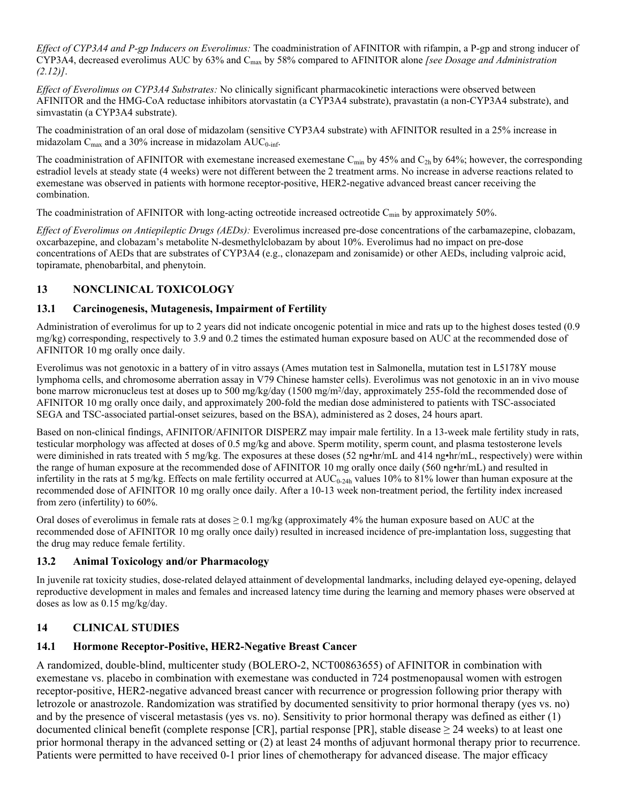*Effect of CYP3A4 and P-gp Inducers on Everolimus:* The coadministration of AFINITOR with rifampin, a P-gp and strong inducer of CYP3A4, decreased everolimus AUC by 63% and Cmax by 58% compared to AFINITOR alone *[see Dosage and Administration (2.12)]*.

*Effect of Everolimus on CYP3A4 Substrates:* No clinically significant pharmacokinetic interactions were observed between AFINITOR and the HMG-CoA reductase inhibitors atorvastatin (a CYP3A4 substrate), pravastatin (a non-CYP3A4 substrate), and simvastatin (a CYP3A4 substrate).

The coadministration of an oral dose of midazolam (sensitive CYP3A4 substrate) with AFINITOR resulted in a 25% increase in midazolam  $C_{\text{max}}$  and a 30% increase in midazolam  $AUC_{0\text{-inf}}$ .

The coadministration of AFINITOR with exemestane increased exemestane  $C_{\text{min}}$  by 45% and  $C_{2h}$  by 64%; however, the corresponding estradiol levels at steady state (4 weeks) were not different between the 2 treatment arms. No increase in adverse reactions related to exemestane was observed in patients with hormone receptor-positive, HER2-negative advanced breast cancer receiving the combination.

The coadministration of AFINITOR with long-acting octreotide increased octreotide C<sub>min</sub> by approximately 50%.

*Effect of Everolimus on Antiepileptic Drugs (AEDs):* Everolimus increased pre-dose concentrations of the carbamazepine, clobazam, oxcarbazepine, and clobazam's metabolite N-desmethylclobazam by about 10%. Everolimus had no impact on pre-dose concentrations of AEDs that are substrates of CYP3A4 (e.g., clonazepam and zonisamide) or other AEDs, including valproic acid, topiramate, phenobarbital, and phenytoin.

# <span id="page-26-0"></span>**13 NONCLINICAL TOXICOLOGY**

# <span id="page-26-1"></span>**13.1 Carcinogenesis, Mutagenesis, Impairment of Fertility**

Administration of everolimus for up to 2 years did not indicate oncogenic potential in mice and rats up to the highest doses tested (0.9 mg/kg) corresponding, respectively to 3.9 and 0.2 times the estimated human exposure based on AUC at the recommended dose of AFINITOR 10 mg orally once daily.

Everolimus was not genotoxic in a battery of in vitro assays (Ames mutation test in Salmonella, mutation test in L5178Y mouse lymphoma cells, and chromosome aberration assay in V79 Chinese hamster cells). Everolimus was not genotoxic in an in vivo mouse bone marrow micronucleus test at doses up to 500 mg/kg/day (1500 mg/m<sup>2</sup> /day, approximately 255-fold the recommended dose of AFINITOR 10 mg orally once daily, and approximately 200-fold the median dose administered to patients with TSC-associated SEGA and TSC-associated partial-onset seizures, based on the BSA), administered as 2 doses, 24 hours apart.

Based on non-clinical findings, AFINITOR/AFINITOR DISPERZ may impair male fertility. In a 13-week male fertility study in rats, testicular morphology was affected at doses of 0.5 mg/kg and above. Sperm motility, sperm count, and plasma testosterone levels were diminished in rats treated with 5 mg/kg. The exposures at these doses (52 ng•hr/mL and 414 ng•hr/mL, respectively) were within the range of human exposure at the recommended dose of AFINITOR 10 mg orally once daily (560 ng•hr/mL) and resulted in infertility in the rats at 5 mg/kg. Effects on male fertility occurred at  $AUC_{0.24h}$  values 10% to 81% lower than human exposure at the recommended dose of AFINITOR 10 mg orally once daily. After a 10-13 week non-treatment period, the fertility index increased from zero (infertility) to 60%.

Oral doses of everolimus in female rats at doses  $\geq 0.1$  mg/kg (approximately 4% the human exposure based on AUC at the recommended dose of AFINITOR 10 mg orally once daily) resulted in increased incidence of pre-implantation loss, suggesting that the drug may reduce female fertility.

## <span id="page-26-2"></span>**13.2 Animal Toxicology and/or Pharmacology**

In juvenile rat toxicity studies, dose-related delayed attainment of developmental landmarks, including delayed eye-opening, delayed reproductive development in males and females and increased latency time during the learning and memory phases were observed at doses as low as 0.15 mg/kg/day.

# <span id="page-26-3"></span>**14 CLINICAL STUDIES**

# <span id="page-26-4"></span>**14.1 Hormone Receptor-Positive, HER2-Negative Breast Cancer**

A randomized, double-blind, multicenter study (BOLERO-2, NCT00863655) of AFINITOR in combination with exemestane vs. placebo in combination with exemestane was conducted in 724 postmenopausal women with estrogen receptor-positive, HER2-negative advanced breast cancer with recurrence or progression following prior therapy with letrozole or anastrozole. Randomization was stratified by documented sensitivity to prior hormonal therapy (yes vs. no) and by the presence of visceral metastasis (yes vs. no). Sensitivity to prior hormonal therapy was defined as either (1) documented clinical benefit (complete response [CR], partial response [PR], stable disease  $\geq$  24 weeks) to at least one prior hormonal therapy in the advanced setting or (2) at least 24 months of adjuvant hormonal therapy prior to recurrence. Patients were permitted to have received 0-1 prior lines of chemotherapy for advanced disease. The major efficacy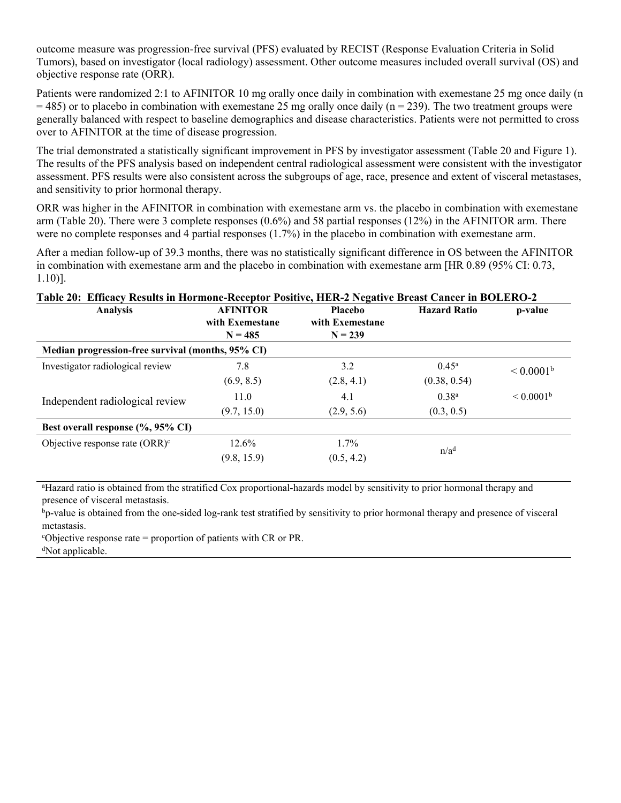outcome measure was progression-free survival (PFS) evaluated by RECIST (Response Evaluation Criteria in Solid Tumors), based on investigator (local radiology) assessment. Other outcome measures included overall survival (OS) and objective response rate (ORR).

Patients were randomized 2:1 to AFINITOR 10 mg orally once daily in combination with exemestane 25 mg once daily (n  $=$  485) or to placebo in combination with exemestane 25 mg orally once daily (n = 239). The two treatment groups were generally balanced with respect to baseline demographics and disease characteristics. Patients were not permitted to cross over to AFINITOR at the time of disease progression.

The trial demonstrated a statistically significant improvement in PFS by investigator assessment (Table 20 and Figure 1). The results of the PFS analysis based on independent central radiological assessment were consistent with the investigator assessment. PFS results were also consistent across the subgroups of age, race, presence and extent of visceral metastases, and sensitivity to prior hormonal therapy.

ORR was higher in the AFINITOR in combination with exemestane arm vs. the placebo in combination with exemestane arm (Table 20). There were 3 complete responses (0.6%) and 58 partial responses (12%) in the AFINITOR arm. There were no complete responses and 4 partial responses (1.7%) in the placebo in combination with exemestane arm.

After a median follow-up of 39.3 months, there was no statistically significant difference in OS between the AFINITOR in combination with exemestane arm and the placebo in combination with exemestane arm [HR 0.89 (95% CI: 0.73, 1.10)].

| <b>Analysis</b>                                   | <b>AFINITOR</b> | <b>Placebo</b>  | <b>Hazard Ratio</b> | p-value               |
|---------------------------------------------------|-----------------|-----------------|---------------------|-----------------------|
|                                                   | with Exemestane | with Exemestane |                     |                       |
|                                                   | $N = 485$       | $N = 239$       |                     |                       |
| Median progression-free survival (months, 95% CI) |                 |                 |                     |                       |
| Investigator radiological review                  | 7.8             | 3.2             | $0.45^{\rm a}$      | < 0.0001 <sup>b</sup> |
|                                                   | (6.9, 8.5)      | (2.8, 4.1)      | (0.38, 0.54)        |                       |
| Independent radiological review                   | 11.0            | 4.1             | 0.38 <sup>a</sup>   | < 0.0001 <sup>b</sup> |
|                                                   | (9.7, 15.0)     | (2.9, 5.6)      | (0.3, 0.5)          |                       |
| Best overall response (%, 95% CI)                 |                 |                 |                     |                       |
| Objective response rate $(ORR)^c$                 | $12.6\%$        | $1.7\%$         | n/a <sup>d</sup>    |                       |
|                                                   | (9.8, 15.9)     | (0.5, 4.2)      |                     |                       |

<sup>a</sup>Hazard ratio is obtained from the stratified Cox proportional-hazards model by sensitivity to prior hormonal therapy and presence of visceral metastasis.

<sup>b</sup>p-value is obtained from the one-sided log-rank test stratified by sensitivity to prior hormonal therapy and presence of visceral metastasis.

<sup>c</sup>Objective response rate = proportion of patients with CR or PR. dNot applicable.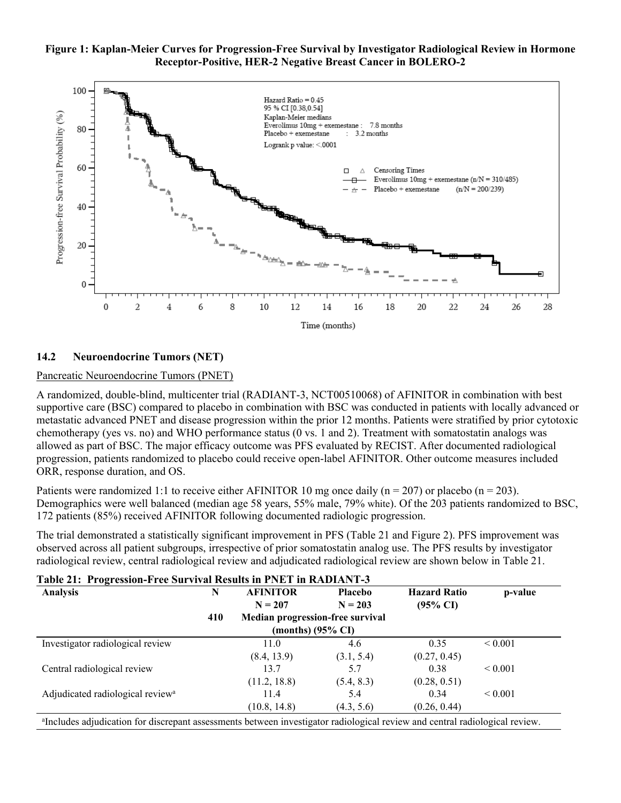#### **Figure 1: Kaplan-Meier Curves for Progression-Free Survival by Investigator Radiological Review in Hormone Receptor-Positive, HER-2 Negative Breast Cancer in BOLERO-2**



# <span id="page-28-0"></span>**14.2 Neuroendocrine Tumors (NET)**

#### Pancreatic Neuroendocrine Tumors (PNET)

A randomized, double-blind, multicenter trial (RADIANT-3, NCT00510068) of AFINITOR in combination with best supportive care (BSC) compared to placebo in combination with BSC was conducted in patients with locally advanced or metastatic advanced PNET and disease progression within the prior 12 months. Patients were stratified by prior cytotoxic chemotherapy (yes vs. no) and WHO performance status (0 vs. 1 and 2). Treatment with somatostatin analogs was allowed as part of BSC. The major efficacy outcome was PFS evaluated by RECIST. After documented radiological progression, patients randomized to placebo could receive open-label AFINITOR. Other outcome measures included ORR, response duration, and OS.

Patients were randomized 1:1 to receive either AFINITOR 10 mg once daily ( $n = 207$ ) or placebo ( $n = 203$ ). Demographics were well balanced (median age 58 years, 55% male, 79% white). Of the 203 patients randomized to BSC, 172 patients (85%) received AFINITOR following documented radiologic progression.

The trial demonstrated a statistically significant improvement in PFS (Table 21 and Figure 2). PFS improvement was observed across all patient subgroups, irrespective of prior somatostatin analog use. The PFS results by investigator radiological review, central radiological review and adjudicated radiological review are shown below in Table 21.

| Analysis                                     |     | <b>AFINITOR</b>                  | <b>Placebo</b> | <b>Hazard Ratio</b> | p-value      |
|----------------------------------------------|-----|----------------------------------|----------------|---------------------|--------------|
|                                              |     | $N = 207$                        | $N = 203$      | $(95\% \text{ CI})$ |              |
|                                              | 410 | Median progression-free survival |                |                     |              |
|                                              |     | (months) (95% CI)                |                |                     |              |
| Investigator radiological review             |     | 11.0                             | 4.6            | 0.35                | ${}_{0.001}$ |
|                                              |     | (8.4, 13.9)                      | (3.1, 5.4)     | (0.27, 0.45)        |              |
| Central radiological review                  |     | 13.7                             | 5.7            | 0.38                | ${}_{0.001}$ |
|                                              |     | (11.2, 18.8)                     | (5.4, 8.3)     | (0.28, 0.51)        |              |
| Adjudicated radiological review <sup>a</sup> |     | 11.4                             | 5.4            | 0.34                | ${}_{0.001}$ |
|                                              |     | (10.8, 14.8)                     | (4.3, 5.6)     | (0.26, 0.44)        |              |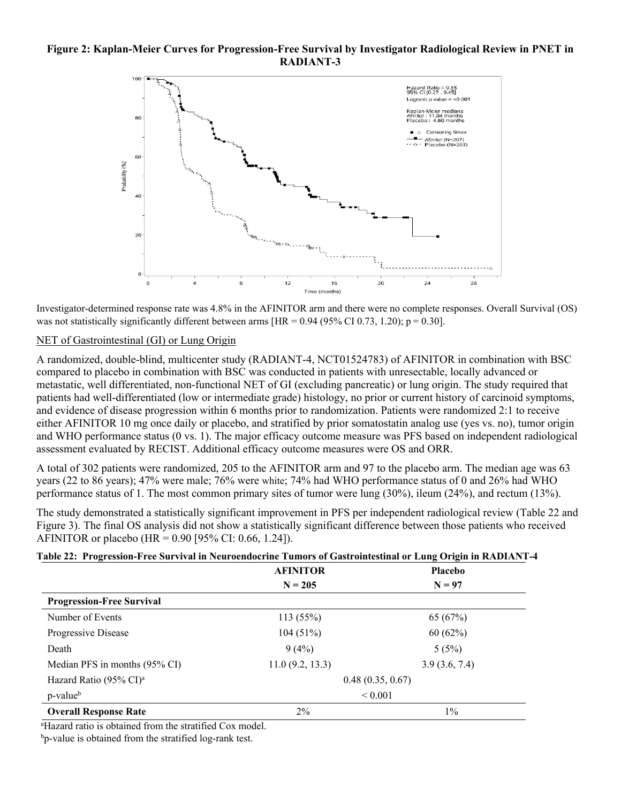## **Figure 2: Kaplan-Meier Curves for Progression-Free Survival by Investigator Radiological Review in PNET in RADIANT-3**



Investigator-determined response rate was 4.8% in the AFINITOR arm and there were no complete responses. Overall Survival (OS) was not statistically significantly different between arms [HR =  $0.94$  (95% CI 0.73, 1.20); p = 0.30].

# NET of Gastrointestinal (GI) or Lung Origin

A randomized, double-blind, multicenter study (RADIANT-4, NCT01524783) of AFINITOR in combination with BSC compared to placebo in combination with BSC was conducted in patients with unresectable, locally advanced or metastatic, well differentiated, non-functional NET of GI (excluding pancreatic) or lung origin. The study required that patients had well-differentiated (low or intermediate grade) histology, no prior or current history of carcinoid symptoms, and evidence of disease progression within 6 months prior to randomization. Patients were randomized 2:1 to receive either AFINITOR 10 mg once daily or placebo, and stratified by prior somatostatin analog use (yes vs. no), tumor origin and WHO performance status (0 vs. 1). The major efficacy outcome measure was PFS based on independent radiological assessment evaluated by RECIST. Additional efficacy outcome measures were OS and ORR.

A total of 302 patients were randomized, 205 to the AFINITOR arm and 97 to the placebo arm. The median age was 63 years (22 to 86 years); 47% were male; 76% were white; 74% had WHO performance status of 0 and 26% had WHO performance status of 1. The most common primary sites of tumor were lung (30%), ileum (24%), and rectum (13%).

The study demonstrated a statistically significant improvement in PFS per independent radiological review (Table 22 and Figure 3). The final OS analysis did not show a statistically significant difference between those patients who received AFINITOR or placebo (HR = 0.90 [95% CI: 0.66, 1.24]).

|                                    | <b>AFINITOR</b>  | <b>Placebo</b> |  |
|------------------------------------|------------------|----------------|--|
|                                    | $N = 205$        | $N = 97$       |  |
| <b>Progression-Free Survival</b>   |                  |                |  |
| Number of Events                   | 113(55%)         | 65 $(67%)$     |  |
| Progressive Disease                | 104(51%)         | 60(62%)        |  |
| Death                              | 9(4%)            | 5(5%)          |  |
| Median PFS in months (95% CI)      | 11.0(9.2, 13.3)  | 3.9(3.6, 7.4)  |  |
| Hazard Ratio (95% CI) <sup>a</sup> | 0.48(0.35, 0.67) |                |  |
| p-value <sup>b</sup>               | ${}_{0.001}$     |                |  |
| <b>Overall Response Rate</b>       | $2\%$            | $1\%$          |  |

<sup>a</sup>Hazard ratio is obtained from the stratified Cox model.

b<sub>p</sub>-value is obtained from the stratified log-rank test.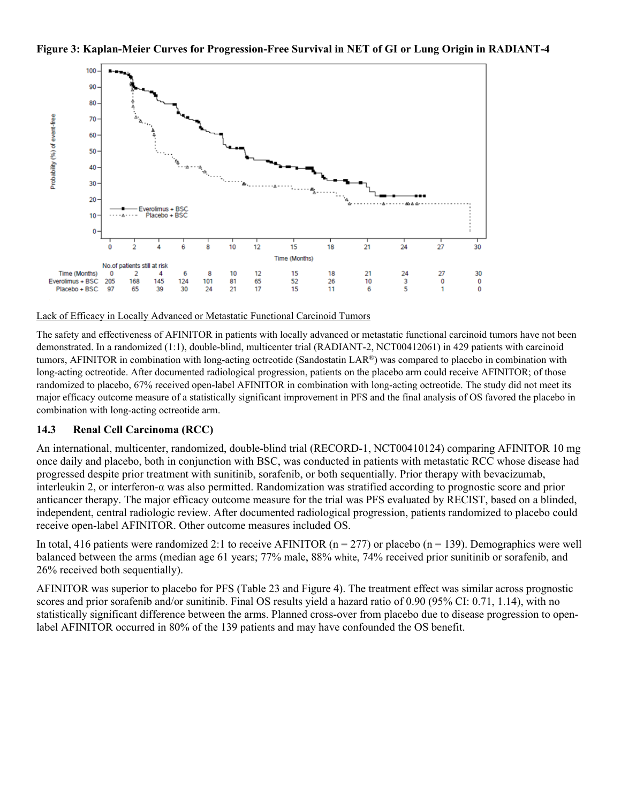**Figure 3: Kaplan-Meier Curves for Progression-Free Survival in NET of GI or Lung Origin in RADIANT-4** 



## Lack of Efficacy in Locally Advanced or Metastatic Functional Carcinoid Tumors

The safety and effectiveness of AFINITOR in patients with locally advanced or metastatic functional carcinoid tumors have not been demonstrated. In a randomized (1:1), double-blind, multicenter trial (RADIANT-2, NCT00412061) in 429 patients with carcinoid tumors, AFINITOR in combination with long-acting octreotide (Sandostatin LAR®) was compared to placebo in combination with long-acting octreotide. After documented radiological progression, patients on the placebo arm could receive AFINITOR; of those randomized to placebo, 67% received open-label AFINITOR in combination with long-acting octreotide. The study did not meet its major efficacy outcome measure of a statistically significant improvement in PFS and the final analysis of OS favored the placebo in combination with long-acting octreotide arm.

# <span id="page-30-0"></span>**14.3 Renal Cell Carcinoma (RCC)**

An international, multicenter, randomized, double-blind trial (RECORD-1, NCT00410124) comparing AFINITOR 10 mg once daily and placebo, both in conjunction with BSC, was conducted in patients with metastatic RCC whose disease had progressed despite prior treatment with sunitinib, sorafenib, or both sequentially. Prior therapy with bevacizumab, interleukin 2, or interferon-α was also permitted. Randomization was stratified according to prognostic score and prior anticancer therapy. The major efficacy outcome measure for the trial was PFS evaluated by RECIST, based on a blinded, independent, central radiologic review. After documented radiological progression, patients randomized to placebo could receive open-label AFINITOR. Other outcome measures included OS.

In total, 416 patients were randomized 2:1 to receive AFINITOR ( $n = 277$ ) or placebo ( $n = 139$ ). Demographics were well balanced between the arms (median age 61 years; 77% male, 88% white, 74% received prior sunitinib or sorafenib, and 26% received both sequentially).

AFINITOR was superior to placebo for PFS (Table 23 and Figure 4). The treatment effect was similar across prognostic scores and prior sorafenib and/or sunitinib. Final OS results yield a hazard ratio of 0.90 (95% CI: 0.71, 1.14), with no statistically significant difference between the arms. Planned cross-over from placebo due to disease progression to openlabel AFINITOR occurred in 80% of the 139 patients and may have confounded the OS benefit.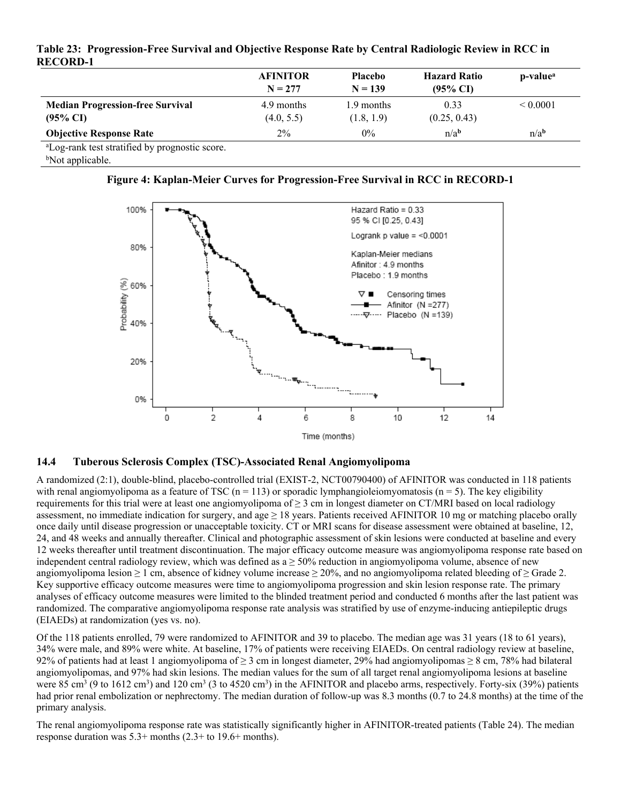| NEUVNP-1                                                   |                              |                             |                                            |                      |
|------------------------------------------------------------|------------------------------|-----------------------------|--------------------------------------------|----------------------|
|                                                            | <b>AFINITOR</b><br>$N = 277$ | <b>Placebo</b><br>$N = 139$ | <b>Hazard Ratio</b><br>$(95\% \text{ CI})$ | p-value <sup>a</sup> |
| <b>Median Progression-free Survival</b>                    | 4.9 months                   | 1.9 months                  | 0.33                                       | $\leq 0.0001$        |
| $(95\% \text{ CI})$                                        | (4.0, 5.5)                   | (1.8, 1.9)                  | (0.25, 0.43)                               |                      |
| <b>Objective Response Rate</b>                             | $2\%$                        | $0\%$                       | n/a <sup>b</sup>                           | n/a <sup>b</sup>     |
| <sup>a</sup> Log-rank test stratified by prognostic score. |                              |                             |                                            |                      |

**Table 23: Progression-Free Survival and Objective Response Rate by Central Radiologic Review in RCC in RECORD-1** 

<sup>a</sup>Log-rank test stratified by prognostic score.

b<sub>Not</sub> applicable.





#### <span id="page-31-0"></span>**14.4 Tuberous Sclerosis Complex (TSC)-Associated Renal Angiomyolipoma**

A randomized (2:1), double-blind, placebo-controlled trial (EXIST-2, NCT00790400) of AFINITOR was conducted in 118 patients with renal angiomyolipoma as a feature of TSC  $(n = 113)$  or sporadic lymphangioleiomyomatosis  $(n = 5)$ . The key eligibility requirements for this trial were at least one angiomyolipoma of  $\geq 3$  cm in longest diameter on CT/MRI based on local radiology assessment, no immediate indication for surgery, and age  $\geq 18$  years. Patients received AFINITOR 10 mg or matching placebo orally once daily until disease progression or unacceptable toxicity. CT or MRI scans for disease assessment were obtained at baseline, 12, 24, and 48 weeks and annually thereafter. Clinical and photographic assessment of skin lesions were conducted at baseline and every 12 weeks thereafter until treatment discontinuation. The major efficacy outcome measure was angiomyolipoma response rate based on independent central radiology review, which was defined as  $a \ge 50\%$  reduction in angiomyolipoma volume, absence of new angiomyolipoma lesion  $\geq 1$  cm, absence of kidney volume increase  $\geq 20\%$ , and no angiomyolipoma related bleeding of  $\geq$  Grade 2. Key supportive efficacy outcome measures were time to angiomyolipoma progression and skin lesion response rate. The primary analyses of efficacy outcome measures were limited to the blinded treatment period and conducted 6 months after the last patient was randomized. The comparative angiomyolipoma response rate analysis was stratified by use of enzyme-inducing antiepileptic drugs (EIAEDs) at randomization (yes vs. no).

Of the 118 patients enrolled, 79 were randomized to AFINITOR and 39 to placebo. The median age was 31 years (18 to 61 years), 34% were male, and 89% were white. At baseline, 17% of patients were receiving EIAEDs. On central radiology review at baseline, 92% of patients had at least 1 angiomyolipoma of  $\geq$  3 cm in longest diameter, 29% had angiomyolipomas  $\geq$  8 cm, 78% had bilateral angiomyolipomas, and 97% had skin lesions. The median values for the sum of all target renal angiomyolipoma lesions at baseline were 85 cm<sup>3</sup> (9 to 1612 cm<sup>3</sup>) and 120 cm<sup>3</sup> (3 to 4520 cm<sup>3</sup>) in the AFINITOR and placebo arms, respectively. Forty-six (39%) patients had prior renal embolization or nephrectomy. The median duration of follow-up was 8.3 months (0.7 to 24.8 months) at the time of the primary analysis.

The renal angiomyolipoma response rate was statistically significantly higher in AFINITOR-treated patients (Table 24). The median response duration was 5.3+ months (2.3+ to 19.6+ months).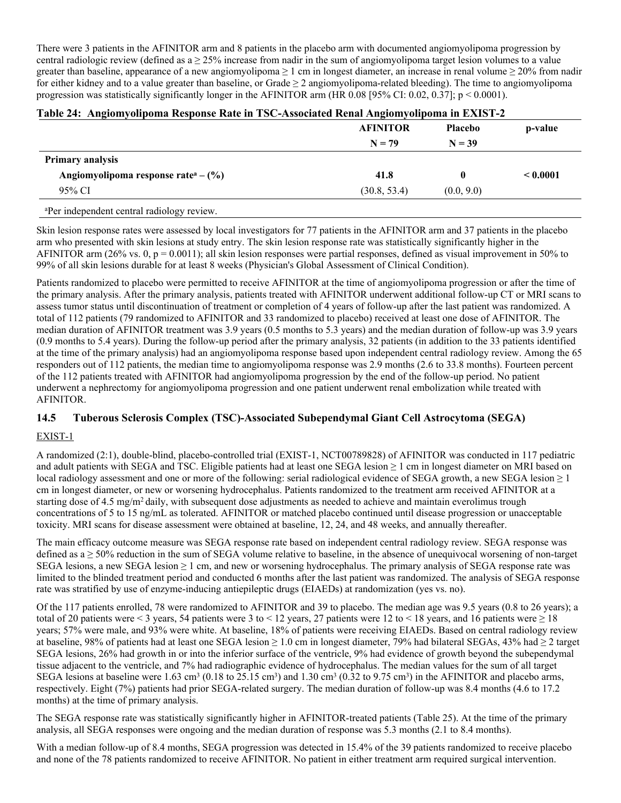There were 3 patients in the AFINITOR arm and 8 patients in the placebo arm with documented angiomyolipoma progression by central radiologic review (defined as  $a \ge 25\%$  increase from nadir in the sum of angiomyolipoma target lesion volumes to a value greater than baseline, appearance of a new angiomyolipoma  $\geq 1$  cm in longest diameter, an increase in renal volume  $\geq 20\%$  from nadir for either kidney and to a value greater than baseline, or Grade  $\geq 2$  angiomyolipoma-related bleeding). The time to angiomyolipoma progression was statistically significantly longer in the AFINITOR arm (HR 0.08 [95% CI: 0.02, 0.37]; p < 0.0001).

|                                                  | <b>AFINITOR</b> | <b>Placebo</b> | p-value  |
|--------------------------------------------------|-----------------|----------------|----------|
|                                                  | $N = 79$        | $N = 39$       |          |
| <b>Primary analysis</b>                          |                 |                |          |
| Angiomyolipoma response rate $a - (\frac{6}{6})$ | 41.8            |                | < 0.0001 |
| 95% CI                                           | (30.8, 53.4)    | (0.0, 9.0)     |          |

# **Table 24: Angiomyolipoma Response Rate in TSC-Associated Renal Angiomyolipoma in EXIST-2**

Skin lesion response rates were assessed by local investigators for 77 patients in the AFINITOR arm and 37 patients in the placebo arm who presented with skin lesions at study entry. The skin lesion response rate was statistically significantly higher in the AFINITOR arm  $(26\% \text{ vs. } 0, \text{ p} = 0.0011)$ ; all skin lesion responses were partial responses, defined as visual improvement in 50% to 99% of all skin lesions durable for at least 8 weeks (Physician's Global Assessment of Clinical Condition).

Patients randomized to placebo were permitted to receive AFINITOR at the time of angiomyolipoma progression or after the time of the primary analysis. After the primary analysis, patients treated with AFINITOR underwent additional follow-up CT or MRI scans to assess tumor status until discontinuation of treatment or completion of 4 years of follow-up after the last patient was randomized. A total of 112 patients (79 randomized to AFINITOR and 33 randomized to placebo) received at least one dose of AFINITOR. The median duration of AFINITOR treatment was 3.9 years (0.5 months to 5.3 years) and the median duration of follow-up was 3.9 years (0.9 months to 5.4 years). During the follow-up period after the primary analysis, 32 patients (in addition to the 33 patients identified at the time of the primary analysis) had an angiomyolipoma response based upon independent central radiology review. Among the 65 responders out of 112 patients, the median time to angiomyolipoma response was 2.9 months (2.6 to 33.8 months). Fourteen percent of the 112 patients treated with AFINITOR had angiomyolipoma progression by the end of the follow-up period. No patient underwent a nephrectomy for angiomyolipoma progression and one patient underwent renal embolization while treated with AFINITOR.

## <span id="page-32-0"></span>**14.5 Tuberous Sclerosis Complex (TSC)-Associated Subependymal Giant Cell Astrocytoma (SEGA)**

## EXIST-1

A randomized (2:1), double-blind, placebo-controlled trial (EXIST-1, NCT00789828) of AFINITOR was conducted in 117 pediatric and adult patients with SEGA and TSC. Eligible patients had at least one SEGA lesion ≥ 1 cm in longest diameter on MRI based on local radiology assessment and one or more of the following: serial radiological evidence of SEGA growth, a new SEGA lesion  $\geq 1$ cm in longest diameter, or new or worsening hydrocephalus. Patients randomized to the treatment arm received AFINITOR at a starting dose of 4.5 mg/m<sup>2</sup> daily, with subsequent dose adjustments as needed to achieve and maintain everolimus trough concentrations of 5 to 15 ng/mL as tolerated. AFINITOR or matched placebo continued until disease progression or unacceptable toxicity. MRI scans for disease assessment were obtained at baseline, 12, 24, and 48 weeks, and annually thereafter.

The main efficacy outcome measure was SEGA response rate based on independent central radiology review. SEGA response was defined as  $a \ge 50\%$  reduction in the sum of SEGA volume relative to baseline, in the absence of unequivocal worsening of non-target SEGA lesions, a new SEGA lesion  $\geq 1$  cm, and new or worsening hydrocephalus. The primary analysis of SEGA response rate was limited to the blinded treatment period and conducted 6 months after the last patient was randomized. The analysis of SEGA response rate was stratified by use of enzyme-inducing antiepileptic drugs (EIAEDs) at randomization (yes vs. no).

Of the 117 patients enrolled, 78 were randomized to AFINITOR and 39 to placebo. The median age was 9.5 years (0.8 to 26 years); a total of 20 patients were < 3 years, 54 patients were 3 to < 12 years, 27 patients were 12 to < 18 years, and 16 patients were  $\geq 18$ years; 57% were male, and 93% were white. At baseline, 18% of patients were receiving EIAEDs. Based on central radiology review at baseline, 98% of patients had at least one SEGA lesion  $\geq 1.0$  cm in longest diameter, 79% had bilateral SEGAs, 43% had  $\geq 2$  target SEGA lesions, 26% had growth in or into the inferior surface of the ventricle, 9% had evidence of growth beyond the subependymal tissue adjacent to the ventricle, and 7% had radiographic evidence of hydrocephalus. The median values for the sum of all target SEGA lesions at baseline were  $1.63 \text{ cm}^3 (0.18 \text{ to } 25.15 \text{ cm}^3)$  and  $1.30 \text{ cm}^3 (0.32 \text{ to } 9.75 \text{ cm}^3)$  in the AFINITOR and placebo arms, respectively. Eight (7%) patients had prior SEGA-related surgery. The median duration of follow-up was 8.4 months (4.6 to 17.2 months) at the time of primary analysis.

The SEGA response rate was statistically significantly higher in AFINITOR-treated patients (Table 25). At the time of the primary analysis, all SEGA responses were ongoing and the median duration of response was 5.3 months (2.1 to 8.4 months).

With a median follow-up of 8.4 months, SEGA progression was detected in 15.4% of the 39 patients randomized to receive placebo and none of the 78 patients randomized to receive AFINITOR. No patient in either treatment arm required surgical intervention.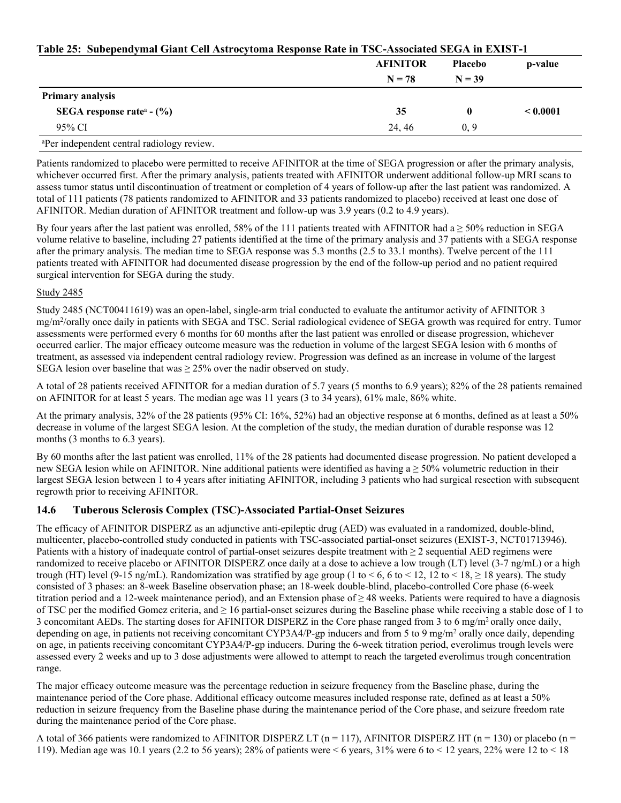#### **Table 25: Subependymal Giant Cell Astrocytoma Response Rate in TSC-Associated SEGA in EXIST-1**

|                                                                                                                                                                                                                                 | <b>AFINITOR</b> | <b>Placebo</b> | p-value       |  |
|---------------------------------------------------------------------------------------------------------------------------------------------------------------------------------------------------------------------------------|-----------------|----------------|---------------|--|
|                                                                                                                                                                                                                                 | $N = 78$        | $N = 39$       |               |  |
| Primary analysis                                                                                                                                                                                                                |                 |                |               |  |
| SEGA response rate <sup>a</sup> - $\frac{6}{6}$                                                                                                                                                                                 | 35              | 0              | $\leq 0.0001$ |  |
| 95% CI                                                                                                                                                                                                                          | 24.46           | 0, 9           |               |  |
| $\sim$ , and the set of the set of the set of the set of the set of the set of the set of the set of the set of the set of the set of the set of the set of the set of the set of the set of the set of the set of the set of t |                 |                |               |  |

<sup>a</sup>Per independent central radiology review.

Patients randomized to placebo were permitted to receive AFINITOR at the time of SEGA progression or after the primary analysis, whichever occurred first. After the primary analysis, patients treated with AFINITOR underwent additional follow-up MRI scans to assess tumor status until discontinuation of treatment or completion of 4 years of follow-up after the last patient was randomized. A total of 111 patients (78 patients randomized to AFINITOR and 33 patients randomized to placebo) received at least one dose of AFINITOR. Median duration of AFINITOR treatment and follow-up was 3.9 years (0.2 to 4.9 years).

By four years after the last patient was enrolled, 58% of the 111 patients treated with AFINITOR had a  $\geq$  50% reduction in SEGA volume relative to baseline, including 27 patients identified at the time of the primary analysis and 37 patients with a SEGA response after the primary analysis. The median time to SEGA response was 5.3 months (2.5 to 33.1 months). Twelve percent of the 111 patients treated with AFINITOR had documented disease progression by the end of the follow-up period and no patient required surgical intervention for SEGA during the study.

#### Study 2485

Study 2485 (NCT00411619) was an open-label, single-arm trial conducted to evaluate the antitumor activity of AFINITOR 3 mg/m<sup>2</sup> /orally once daily in patients with SEGA and TSC. Serial radiological evidence of SEGA growth was required for entry. Tumor assessments were performed every 6 months for 60 months after the last patient was enrolled or disease progression, whichever occurred earlier. The major efficacy outcome measure was the reduction in volume of the largest SEGA lesion with 6 months of treatment, as assessed via independent central radiology review. Progression was defined as an increase in volume of the largest SEGA lesion over baseline that was  $\geq$  25% over the nadir observed on study.

A total of 28 patients received AFINITOR for a median duration of 5.7 years (5 months to 6.9 years); 82% of the 28 patients remained on AFINITOR for at least 5 years. The median age was 11 years (3 to 34 years), 61% male, 86% white.

At the primary analysis, 32% of the 28 patients (95% CI: 16%, 52%) had an objective response at 6 months, defined as at least a 50% decrease in volume of the largest SEGA lesion. At the completion of the study, the median duration of durable response was 12 months (3 months to 6.3 years).

By 60 months after the last patient was enrolled, 11% of the 28 patients had documented disease progression. No patient developed a new SEGA lesion while on AFINITOR. Nine additional patients were identified as having  $a \geq 50\%$  volumetric reduction in their largest SEGA lesion between 1 to 4 years after initiating AFINITOR, including 3 patients who had surgical resection with subsequent regrowth prior to receiving AFINITOR.

## <span id="page-33-0"></span>**14.6 Tuberous Sclerosis Complex (TSC)-Associated Partial-Onset Seizures**

The efficacy of AFINITOR DISPERZ as an adjunctive anti-epileptic drug (AED) was evaluated in a randomized, double-blind, multicenter, placebo-controlled study conducted in patients with TSC-associated partial-onset seizures (EXIST-3, NCT01713946). Patients with a history of inadequate control of partial-onset seizures despite treatment with  $\geq 2$  sequential AED regimens were randomized to receive placebo or AFINITOR DISPERZ once daily at a dose to achieve a low trough (LT) level (3-7 ng/mL) or a high trough (HT) level (9-15 ng/mL). Randomization was stratified by age group (1 to < 6, 6 to < 12, 12 to < 18,  $\geq$  18 years). The study consisted of 3 phases: an 8-week Baseline observation phase; an 18-week double-blind, placebo-controlled Core phase (6-week titration period and a 12-week maintenance period), and an Extension phase of  $\geq$  48 weeks. Patients were required to have a diagnosis of TSC per the modified Gomez criteria, and ≥ 16 partial-onset seizures during the Baseline phase while receiving a stable dose of 1 to 3 concomitant AEDs. The starting doses for AFINITOR DISPERZ in the Core phase ranged from 3 to 6 mg/m<sup>2</sup> orally once daily, depending on age, in patients not receiving concomitant CYP3A4/P-gp inducers and from 5 to 9 mg/m<sup>2</sup> orally once daily, depending on age, in patients receiving concomitant CYP3A4/P-gp inducers. During the 6-week titration period, everolimus trough levels were assessed every 2 weeks and up to 3 dose adjustments were allowed to attempt to reach the targeted everolimus trough concentration range.

The major efficacy outcome measure was the percentage reduction in seizure frequency from the Baseline phase, during the maintenance period of the Core phase. Additional efficacy outcome measures included response rate, defined as at least a 50% reduction in seizure frequency from the Baseline phase during the maintenance period of the Core phase, and seizure freedom rate during the maintenance period of the Core phase.

A total of 366 patients were randomized to AFINITOR DISPERZ LT  $(n = 117)$ , AFINITOR DISPERZ HT  $(n = 130)$  or placebo  $(n = 117)$ 119). Median age was 10.1 years (2.2 to 56 years); 28% of patients were  $\leq 6$  years, 31% were 6 to  $\leq 12$  years, 22% were 12 to  $\leq 18$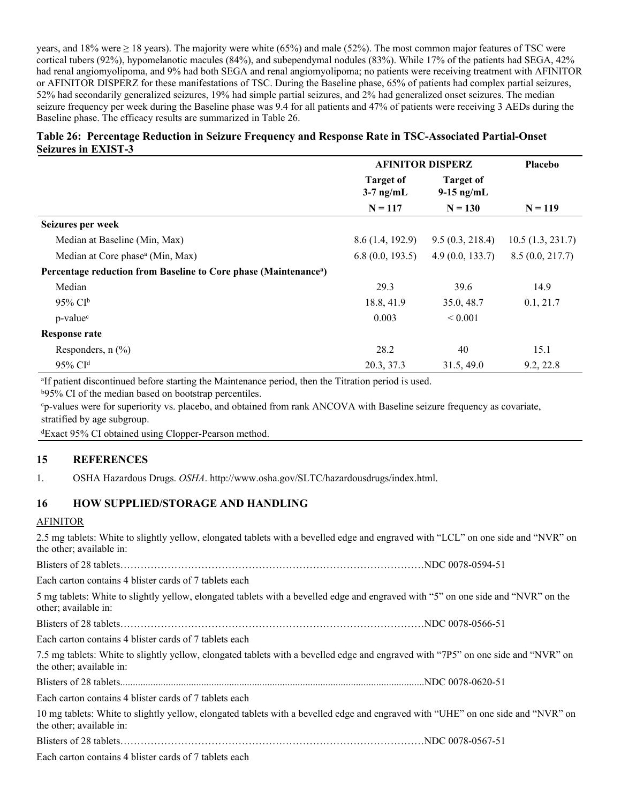years, and 18% were  $\geq$  18 years). The majority were white (65%) and male (52%). The most common major features of TSC were cortical tubers (92%), hypomelanotic macules (84%), and subependymal nodules (83%). While 17% of the patients had SEGA, 42% had renal angiomyolipoma, and 9% had both SEGA and renal angiomyolipoma; no patients were receiving treatment with AFINITOR or AFINITOR DISPERZ for these manifestations of TSC. During the Baseline phase, 65% of patients had complex partial seizures, 52% had secondarily generalized seizures, 19% had simple partial seizures, and 2% had generalized onset seizures. The median seizure frequency per week during the Baseline phase was 9.4 for all patients and 47% of patients were receiving 3 AEDs during the Baseline phase. The efficacy results are summarized in Table 26.

#### **Table 26: Percentage Reduction in Seizure Frequency and Response Rate in TSC-Associated Partial-Onset Seizures in EXIST-3**

|                                                                              | <b>AFINITOR DISPERZ</b>         |                                  | Placebo          |  |
|------------------------------------------------------------------------------|---------------------------------|----------------------------------|------------------|--|
|                                                                              | <b>Target of</b><br>$3-7$ ng/mL | <b>Target of</b><br>$9-15$ ng/mL |                  |  |
|                                                                              | $N = 117$                       | $N = 130$                        | $N = 119$        |  |
| Seizures per week                                                            |                                 |                                  |                  |  |
| Median at Baseline (Min, Max)                                                | 8.6(1.4, 192.9)                 | 9.5(0.3, 218.4)                  | 10.5(1.3, 231.7) |  |
| Median at Core phase <sup>a</sup> (Min, Max)                                 | 6.8(0.0, 193.5)                 | 4.9(0.0, 133.7)                  | 8.5(0.0, 217.7)  |  |
| Percentage reduction from Baseline to Core phase (Maintenance <sup>a</sup> ) |                                 |                                  |                  |  |
| Median                                                                       | 29.3                            | 39.6                             | 14.9             |  |
| $95\%$ CI <sup>b</sup>                                                       | 18.8, 41.9                      | 35.0, 48.7                       | 0.1, 21.7        |  |
| p-value <sup>c</sup>                                                         | 0.003                           | ${}_{0.001}$                     |                  |  |
| <b>Response rate</b>                                                         |                                 |                                  |                  |  |
| Responders, $n$ $\left(\frac{9}{0}\right)$                                   | 28.2                            | 40                               | 15.1             |  |
| $95\%$ CI <sup>d</sup>                                                       | 20.3, 37.3                      | 31.5, 49.0                       | 9.2, 22.8        |  |

a If patient discontinued before starting the Maintenance period, then the Titration period is used.

<sup>b</sup>95% CI of the median based on bootstrap percentiles.

<sup>c</sup>p-values were for superiority vs. placebo, and obtained from rank ANCOVA with Baseline seizure frequency as covariate, stratified by age subgroup.

<span id="page-34-0"></span><sup>d</sup>Exact 95% CI obtained using Clopper-Pearson method.

## **15 REFERENCES**

<span id="page-34-1"></span>1. OSHA Hazardous Drugs. *OSHA*. http://www.osha.gov/SLTC/hazardousdrugs/index.html.

## **16 HOW SUPPLIED/STORAGE AND HANDLING**

#### AFINITOR

| 2.5 mg tablets: White to slightly yellow, elongated tablets with a bevelled edge and engraved with "LCL" on one side and "NVR" on<br>the other; available in: |  |
|---------------------------------------------------------------------------------------------------------------------------------------------------------------|--|
|                                                                                                                                                               |  |
| Each carton contains 4 blister cards of 7 tablets each                                                                                                        |  |
| 5 mg tablets: White to slightly yellow, elongated tablets with a bevelled edge and engraved with "5" on one side and "NVR" on the<br>other; available in:     |  |
|                                                                                                                                                               |  |
| Each carton contains 4 blister cards of 7 tablets each                                                                                                        |  |
| 7.5 mg tablets: White to slightly yellow, elongated tablets with a bevelled edge and engraved with "7P5" on one side and "NVR" on<br>the other; available in: |  |
|                                                                                                                                                               |  |
| Each carton contains 4 blister cards of 7 tablets each                                                                                                        |  |
| 10 mg tablets: White to slightly yellow, elongated tablets with a bevelled edge and engraved with "UHE" on one side and "NVR" on<br>the other; available in:  |  |
|                                                                                                                                                               |  |
|                                                                                                                                                               |  |

Each carton contains 4 blister cards of 7 tablets each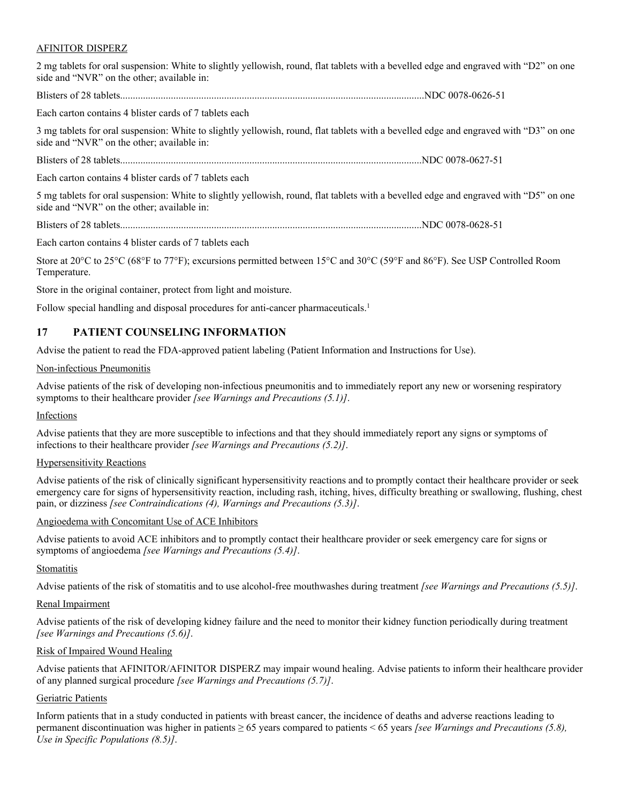#### AFINITOR DISPERZ

2 mg tablets for oral suspension: White to slightly yellowish, round, flat tablets with a bevelled edge and engraved with "D2" on one side and "NVR" on the other; available in:

Blisters of 28 tablets........................................................................................................................NDC 0078-0626-51

Each carton contains 4 blister cards of 7 tablets each

3 mg tablets for oral suspension: White to slightly yellowish, round, flat tablets with a bevelled edge and engraved with "D3" on one side and "NVR" on the other; available in:

Blisters of 28 tablets.......................................................................................................................NDC 0078-0627-51

Each carton contains 4 blister cards of 7 tablets each

5 mg tablets for oral suspension: White to slightly yellowish, round, flat tablets with a bevelled edge and engraved with "D5" on one side and "NVR" on the other; available in:

Blisters of 28 tablets.......................................................................................................................NDC 0078-0628-51

Each carton contains 4 blister cards of 7 tablets each

Store at 20°C to 25°C (68°F to 77°F); excursions permitted between 15°C and 30°C (59°F and 86°F). See USP Controlled Room Temperature.

Store in the original container, protect from light and moisture.

<span id="page-35-0"></span>Follow special handling and disposal procedures for anti-cancer pharmaceuticals.<sup>1</sup>

## **17 PATIENT COUNSELING INFORMATION**

Advise the patient to read the FDA-approved patient labeling (Patient Information and Instructions for Use).

#### Non-infectious Pneumonitis

Advise patients of the risk of developing non-infectious pneumonitis and to immediately report any new or worsening respiratory symptoms to their healthcare provider *[see Warnings and Precautions (5.1)]*.

#### Infections

Advise patients that they are more susceptible to infections and that they should immediately report any signs or symptoms of infections to their healthcare provider *[see Warnings and Precautions (5.2)]*.

#### Hypersensitivity Reactions

Advise patients of the risk of clinically significant hypersensitivity reactions and to promptly contact their healthcare provider or seek emergency care for signs of hypersensitivity reaction, including rash, itching, hives, difficulty breathing or swallowing, flushing, chest pain, or dizziness *[see Contraindications (4), Warnings and Precautions (5.3)]*.

#### Angioedema with Concomitant Use of ACE Inhibitors

Advise patients to avoid ACE inhibitors and to promptly contact their healthcare provider or seek emergency care for signs or symptoms of angioedema *[see Warnings and Precautions (5.4)]*.

#### **Stomatitis**

Advise patients of the risk of stomatitis and to use alcohol-free mouthwashes during treatment *[see Warnings and Precautions (5.5)]*.

#### Renal Impairment

Advise patients of the risk of developing kidney failure and the need to monitor their kidney function periodically during treatment *[see Warnings and Precautions (5.6)]*.

#### Risk of Impaired Wound Healing

Advise patients that AFINITOR/AFINITOR DISPERZ may impair wound healing. Advise patients to inform their healthcare provider of any planned surgical procedure *[see Warnings and Precautions (5.7)]*.

#### Geriatric Patients

Inform patients that in a study conducted in patients with breast cancer, the incidence of deaths and adverse reactions leading to permanent discontinuation was higher in patients ≥ 65 years compared to patients < 65 years *[see Warnings and Precautions (5.8), Use in Specific Populations (8.5)]*.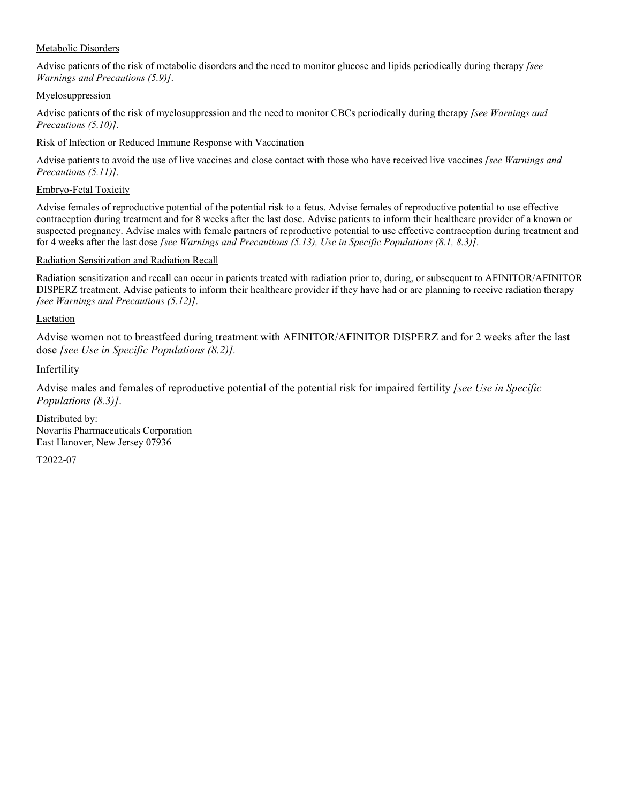#### Metabolic Disorders

Advise patients of the risk of metabolic disorders and the need to monitor glucose and lipids periodically during therapy *[see Warnings and Precautions (5.9)]*.

#### Myelosuppression

Advise patients of the risk of myelosuppression and the need to monitor CBCs periodically during therapy *[see Warnings and Precautions (5.10)]*.

#### Risk of Infection or Reduced Immune Response with Vaccination

Advise patients to avoid the use of live vaccines and close contact with those who have received live vaccines *[see Warnings and Precautions (5.11)]*.

#### Embryo-Fetal Toxicity

Advise females of reproductive potential of the potential risk to a fetus. Advise females of reproductive potential to use effective contraception during treatment and for 8 weeks after the last dose. Advise patients to inform their healthcare provider of a known or suspected pregnancy. Advise males with female partners of reproductive potential to use effective contraception during treatment and for 4 weeks after the last dose *[see Warnings and Precautions (5.13), Use in Specific Populations (8.1, 8.3)]*.

#### Radiation Sensitization and Radiation Recall

Radiation sensitization and recall can occur in patients treated with radiation prior to, during, or subsequent to AFINITOR/AFINITOR DISPERZ treatment. Advise patients to inform their healthcare provider if they have had or are planning to receive radiation therapy *[see Warnings and Precautions (5.12)]*.

#### Lactation

Advise women not to breastfeed during treatment with AFINITOR/AFINITOR DISPERZ and for 2 weeks after the last dose *[see Use in Specific Populations (8.2)].*

#### Infertility

Advise males and females of reproductive potential of the potential risk for impaired fertility *[see Use in Specific Populations (8.3)]*.

Distributed by: Novartis Pharmaceuticals Corporation East Hanover, New Jersey 07936

T2022-07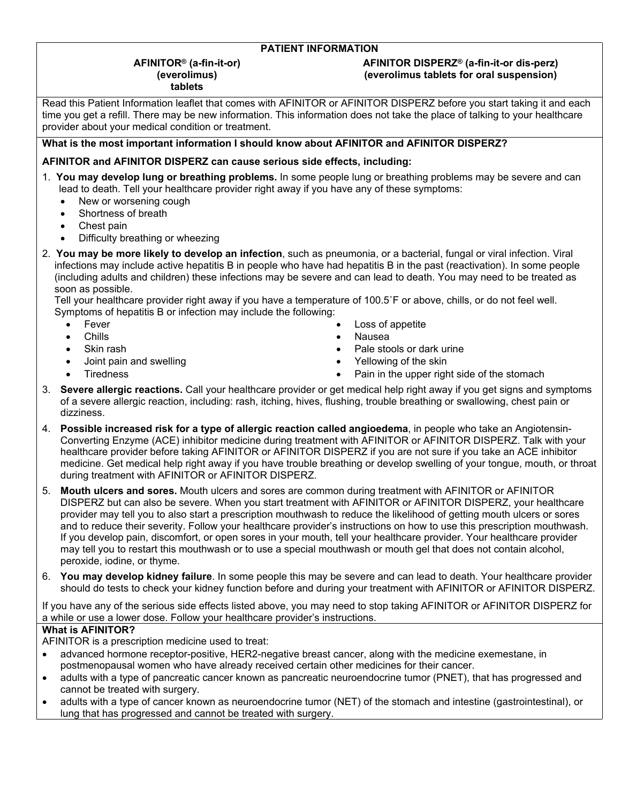# **PATIENT INFORMATION**

# **tablets**

#### **AFINITOR® (a-fin-it-or) AFINITOR DISPERZ® (a-fin-it-or dis-perz) (everolimus) (everolimus tablets for oral suspension)**

Read this Patient Information leaflet that comes with AFINITOR or AFINITOR DISPERZ before you start taking it and each time you get a refill. There may be new information. This information does not take the place of talking to your healthcare provider about your medical condition or treatment.

#### **What is the most important information I should know about AFINITOR and AFINITOR DISPERZ?**

#### **AFINITOR and AFINITOR DISPERZ can cause serious side effects, including:**

- 1. **You may develop lung or breathing problems.** In some people lung or breathing problems may be severe and can lead to death. Tell your healthcare provider right away if you have any of these symptoms:
	- New or worsening cough
	- Shortness of breath
	- Chest pain
	- Difficulty breathing or wheezing
- 2. **You may be more likely to develop an infection**, such as pneumonia, or a bacterial, fungal or viral infection. Viral infections may include active hepatitis B in people who have had hepatitis B in the past (reactivation). In some people (including adults and children) these infections may be severe and can lead to death. You may need to be treated as soon as possible.

Tell your healthcare provider right away if you have a temperature of 100.5˚F or above, chills, or do not feel well. Symptoms of hepatitis B or infection may include the following:

- Fever
- Chills
- Skin rash
- Joint pain and swelling
- **Tiredness**
- Loss of appetite
- Nausea
- Pale stools or dark urine
- Yellowing of the skin
- Pain in the upper right side of the stomach
- 3. **Severe allergic reactions.** Call your healthcare provider or get medical help right away if you get signs and symptoms of a severe allergic reaction, including: rash, itching, hives, flushing, trouble breathing or swallowing, chest pain or dizziness.
- 4. **Possible increased risk for a type of allergic reaction called angioedema**, in people who take an Angiotensin-Converting Enzyme (ACE) inhibitor medicine during treatment with AFINITOR or AFINITOR DISPERZ. Talk with your healthcare provider before taking AFINITOR or AFINITOR DISPERZ if you are not sure if you take an ACE inhibitor medicine. Get medical help right away if you have trouble breathing or develop swelling of your tongue, mouth, or throat during treatment with AFINITOR or AFINITOR DISPERZ.
- 5. **Mouth ulcers and sores.** Mouth ulcers and sores are common during treatment with AFINITOR or AFINITOR DISPERZ but can also be severe. When you start treatment with AFINITOR or AFINITOR DISPERZ, your healthcare provider may tell you to also start a prescription mouthwash to reduce the likelihood of getting mouth ulcers or sores and to reduce their severity. Follow your healthcare provider's instructions on how to use this prescription mouthwash. If you develop pain, discomfort, or open sores in your mouth, tell your healthcare provider. Your healthcare provider may tell you to restart this mouthwash or to use a special mouthwash or mouth gel that does not contain alcohol, peroxide, iodine, or thyme.
- 6. **You may develop kidney failure**. In some people this may be severe and can lead to death. Your healthcare provider should do tests to check your kidney function before and during your treatment with AFINITOR or AFINITOR DISPERZ.

If you have any of the serious side effects listed above, you may need to stop taking AFINITOR or AFINITOR DISPERZ for a while or use a lower dose. Follow your healthcare provider's instructions.

## **What is AFINITOR?**

AFINITOR is a prescription medicine used to treat:

- advanced hormone receptor-positive, HER2-negative breast cancer, along with the medicine exemestane, in postmenopausal women who have already received certain other medicines for their cancer.
- adults with a type of pancreatic cancer known as pancreatic neuroendocrine tumor (PNET), that has progressed and cannot be treated with surgery.
- adults with a type of cancer known as neuroendocrine tumor (NET) of the stomach and intestine (gastrointestinal), or lung that has progressed and cannot be treated with surgery.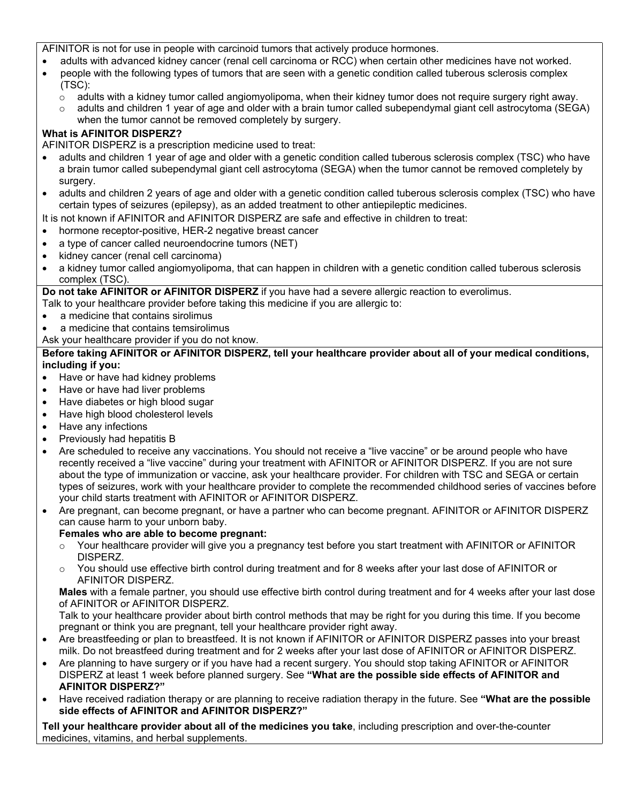AFINITOR is not for use in people with carcinoid tumors that actively produce hormones.

- adults with advanced kidney cancer (renal cell carcinoma or RCC) when certain other medicines have not worked.
- people with the following types of tumors that are seen with a genetic condition called tuberous sclerosis complex (TSC):
	- $\circ$  adults with a kidney tumor called angiomyolipoma, when their kidney tumor does not require surgery right away.
	- $\circ$  adults and children 1 year of age and older with a brain tumor called subependymal giant cell astrocytoma (SEGA) when the tumor cannot be removed completely by surgery.

# **What is AFINITOR DISPERZ?**

AFINITOR DISPERZ is a prescription medicine used to treat:

- adults and children 1 year of age and older with a genetic condition called tuberous sclerosis complex (TSC) who have a brain tumor called subependymal giant cell astrocytoma (SEGA) when the tumor cannot be removed completely by surgery.
- adults and children 2 years of age and older with a genetic condition called tuberous sclerosis complex (TSC) who have certain types of seizures (epilepsy), as an added treatment to other antiepileptic medicines.

It is not known if AFINITOR and AFINITOR DISPERZ are safe and effective in children to treat:

- hormone receptor-positive, HER-2 negative breast cancer
- a type of cancer called neuroendocrine tumors (NET)
- kidney cancer (renal cell carcinoma)
- a kidney tumor called angiomyolipoma, that can happen in children with a genetic condition called tuberous sclerosis complex (TSC).

**Do not take AFINITOR or AFINITOR DISPERZ** if you have had a severe allergic reaction to everolimus.

Talk to your healthcare provider before taking this medicine if you are allergic to:

- a medicine that contains sirolimus
- a medicine that contains temsirolimus
- Ask your healthcare provider if you do not know.

# **Before taking AFINITOR or AFINITOR DISPERZ, tell your healthcare provider about all of your medical conditions, including if you:**

- Have or have had kidney problems
- Have or have had liver problems
- Have diabetes or high blood sugar
- Have high blood cholesterol levels
- Have any infections
- Previously had hepatitis B
- Are scheduled to receive any vaccinations. You should not receive a "live vaccine" or be around people who have recently received a "live vaccine" during your treatment with AFINITOR or AFINITOR DISPERZ. If you are not sure about the type of immunization or vaccine, ask your healthcare provider. For children with TSC and SEGA or certain types of seizures, work with your healthcare provider to complete the recommended childhood series of vaccines before your child starts treatment with AFINITOR or AFINITOR DISPERZ.
- Are pregnant, can become pregnant, or have a partner who can become pregnant. AFINITOR or AFINITOR DISPERZ can cause harm to your unborn baby.

# **Females who are able to become pregnant:**

- $\circ$  Your healthcare provider will give you a pregnancy test before you start treatment with AFINITOR or AFINITOR DISPERZ.
- o You should use effective birth control during treatment and for 8 weeks after your last dose of AFINITOR or AFINITOR DISPERZ.

**Males** with a female partner, you should use effective birth control during treatment and for 4 weeks after your last dose of AFINITOR or AFINITOR DISPERZ.

Talk to your healthcare provider about birth control methods that may be right for you during this time. If you become pregnant or think you are pregnant, tell your healthcare provider right away.

- Are breastfeeding or plan to breastfeed. It is not known if AFINITOR or AFINITOR DISPERZ passes into your breast milk. Do not breastfeed during treatment and for 2 weeks after your last dose of AFINITOR or AFINITOR DISPERZ.
- Are planning to have surgery or if you have had a recent surgery. You should stop taking AFINITOR or AFINITOR DISPERZ at least 1 week before planned surgery. See **"What are the possible side effects of AFINITOR and AFINITOR DISPERZ?"**
- Have received radiation therapy or are planning to receive radiation therapy in the future. See **"What are the possible side effects of AFINITOR and AFINITOR DISPERZ?"**

**Tell your healthcare provider about all of the medicines you take**, including prescription and over-the-counter medicines, vitamins, and herbal supplements.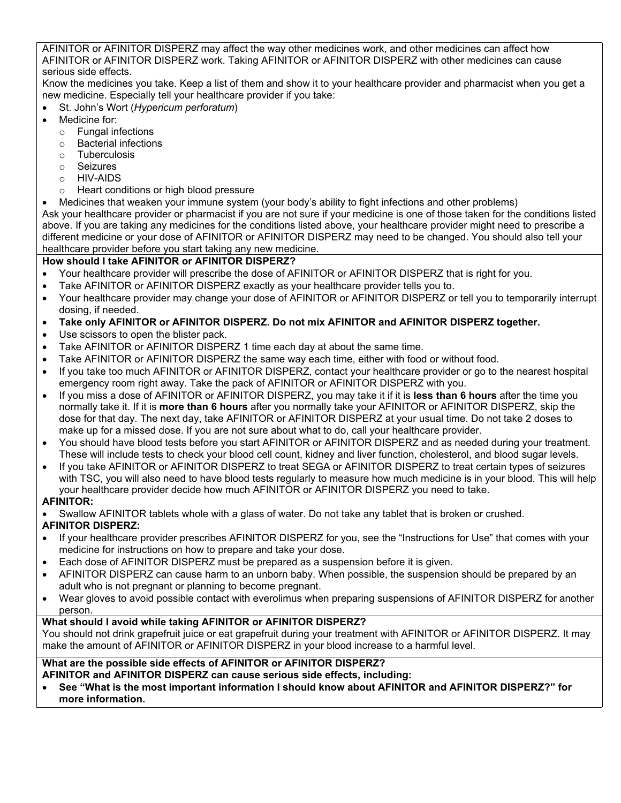AFINITOR or AFINITOR DISPERZ may affect the way other medicines work, and other medicines can affect how AFINITOR or AFINITOR DISPERZ work. Taking AFINITOR or AFINITOR DISPERZ with other medicines can cause serious side effects.

Know the medicines you take. Keep a list of them and show it to your healthcare provider and pharmacist when you get a new medicine. Especially tell your healthcare provider if you take:

- St. John's Wort (*Hypericum perforatum*)
- Medicine for:
	- o Fungal infections
	- o Bacterial infections
	- o Tuberculosis
	- o Seizures
	- o HIV-AIDS
	- o Heart conditions or high blood pressure
- Medicines that weaken your immune system (your body's ability to fight infections and other problems)

Ask your healthcare provider or pharmacist if you are not sure if your medicine is one of those taken for the conditions listed above. If you are taking any medicines for the conditions listed above, your healthcare provider might need to prescribe a different medicine or your dose of AFINITOR or AFINITOR DISPERZ may need to be changed. You should also tell your healthcare provider before you start taking any new medicine.

# **How should I take AFINITOR or AFINITOR DISPERZ?**

- Your healthcare provider will prescribe the dose of AFINITOR or AFINITOR DISPERZ that is right for you.
- Take AFINITOR or AFINITOR DISPERZ exactly as your healthcare provider tells you to.
- Your healthcare provider may change your dose of AFINITOR or AFINITOR DISPERZ or tell you to temporarily interrupt dosing, if needed.
- **Take only AFINITOR or AFINITOR DISPERZ. Do not mix AFINITOR and AFINITOR DISPERZ together.**
- Use scissors to open the blister pack.
- Take AFINITOR or AFINITOR DISPERZ 1 time each day at about the same time.
- Take AFINITOR or AFINITOR DISPERZ the same way each time, either with food or without food.
- If you take too much AFINITOR or AFINITOR DISPERZ, contact your healthcare provider or go to the nearest hospital emergency room right away. Take the pack of AFINITOR or AFINITOR DISPERZ with you.
- If you miss a dose of AFINITOR or AFINITOR DISPERZ, you may take it if it is **less than 6 hours** after the time you normally take it. If it is **more than 6 hours** after you normally take your AFINITOR or AFINITOR DISPERZ, skip the dose for that day. The next day, take AFINITOR or AFINITOR DISPERZ at your usual time. Do not take 2 doses to make up for a missed dose. If you are not sure about what to do, call your healthcare provider.
- You should have blood tests before you start AFINITOR or AFINITOR DISPERZ and as needed during your treatment. These will include tests to check your blood cell count, kidney and liver function, cholesterol, and blood sugar levels.
- If you take AFINITOR or AFINITOR DISPERZ to treat SEGA or AFINITOR DISPERZ to treat certain types of seizures with TSC, you will also need to have blood tests regularly to measure how much medicine is in your blood. This will help your healthcare provider decide how much AFINITOR or AFINITOR DISPERZ you need to take.
- **AFINITOR:**

Swallow AFINITOR tablets whole with a glass of water. Do not take any tablet that is broken or crushed.

# **AFINITOR DISPERZ:**

- If your healthcare provider prescribes AFINITOR DISPERZ for you, see the "Instructions for Use" that comes with your medicine for instructions on how to prepare and take your dose.
- Each dose of AFINITOR DISPERZ must be prepared as a suspension before it is given.
- AFINITOR DISPERZ can cause harm to an unborn baby. When possible, the suspension should be prepared by an adult who is not pregnant or planning to become pregnant.
- Wear gloves to avoid possible contact with everolimus when preparing suspensions of AFINITOR DISPERZ for another person.

# **What should I avoid while taking AFINITOR or AFINITOR DISPERZ?**

You should not drink grapefruit juice or eat grapefruit during your treatment with AFINITOR or AFINITOR DISPERZ. It may make the amount of AFINITOR or AFINITOR DISPERZ in your blood increase to a harmful level.

#### **What are the possible side effects of AFINITOR or AFINITOR DISPERZ? AFINITOR and AFINITOR DISPERZ can cause serious side effects, including:**

 **See "What is the most important information I should know about AFINITOR and AFINITOR DISPERZ?" for more information.**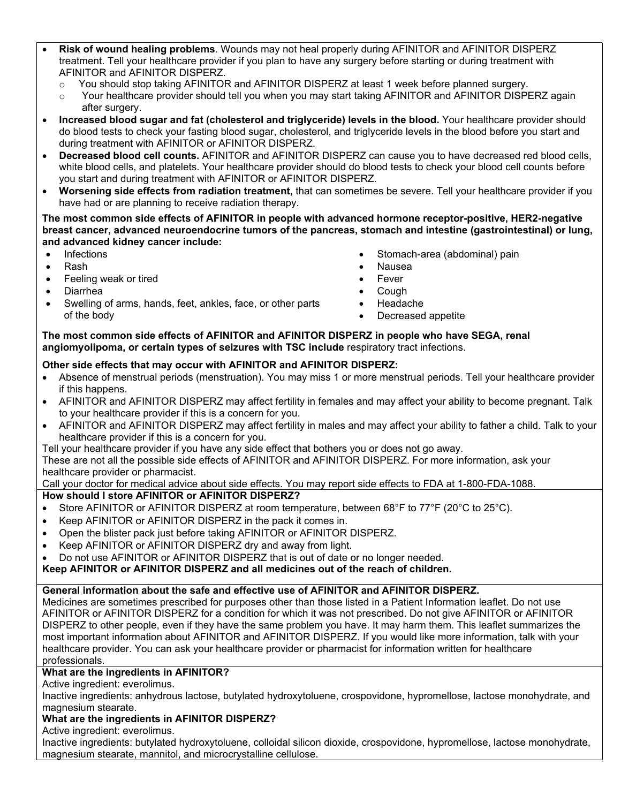- **Risk of wound healing problems**. Wounds may not heal properly during AFINITOR and AFINITOR DISPERZ treatment. Tell your healthcare provider if you plan to have any surgery before starting or during treatment with AFINITOR and AFINITOR DISPERZ.
	- o You should stop taking AFINITOR and AFINITOR DISPERZ at least 1 week before planned surgery.
	- $\circ$  Your healthcare provider should tell you when you may start taking AFINITOR and AFINITOR DISPERZ again after surgery.
- **Increased blood sugar and fat (cholesterol and triglyceride) levels in the blood.** Your healthcare provider should do blood tests to check your fasting blood sugar, cholesterol, and triglyceride levels in the blood before you start and during treatment with AFINITOR or AFINITOR DISPERZ.
- **Decreased blood cell counts.** AFINITOR and AFINITOR DISPERZ can cause you to have decreased red blood cells, white blood cells, and platelets. Your healthcare provider should do blood tests to check your blood cell counts before you start and during treatment with AFINITOR or AFINITOR DISPERZ.
- **Worsening side effects from radiation treatment,** that can sometimes be severe. Tell your healthcare provider if you have had or are planning to receive radiation therapy.

**The most common side effects of AFINITOR in people with advanced hormone receptor-positive, HER2-negative breast cancer, advanced neuroendocrine tumors of the pancreas, stomach and intestine (gastrointestinal) or lung, and advanced kidney cancer include:**

- Infections
- Rash
- Feeling weak or tired
- Diarrhea
- Swelling of arms, hands, feet, ankles, face, or other parts of the body
- Stomach-area (abdominal) pain
- Nausea
- Fever
- Cough
- Headache
- Decreased appetite

#### **The most common side effects of AFINITOR and AFINITOR DISPERZ in people who have SEGA, renal angiomyolipoma, or certain types of seizures with TSC include** respiratory tract infections.

# **Other side effects that may occur with AFINITOR and AFINITOR DISPERZ:**

- Absence of menstrual periods (menstruation). You may miss 1 or more menstrual periods. Tell your healthcare provider if this happens.
- AFINITOR and AFINITOR DISPERZ may affect fertility in females and may affect your ability to become pregnant. Talk to your healthcare provider if this is a concern for you.
- AFINITOR and AFINITOR DISPERZ may affect fertility in males and may affect your ability to father a child. Talk to your healthcare provider if this is a concern for you.

Tell your healthcare provider if you have any side effect that bothers you or does not go away.

These are not all the possible side effects of AFINITOR and AFINITOR DISPERZ. For more information, ask your healthcare provider or pharmacist.

Call your doctor for medical advice about side effects. You may report side effects to FDA at 1-800-FDA-1088.

## **How should I store AFINITOR or AFINITOR DISPERZ?**

- Store AFINITOR or AFINITOR DISPERZ at room temperature, between 68°F to 77°F (20°C to 25°C).
- Keep AFINITOR or AFINITOR DISPERZ in the pack it comes in.
- Open the blister pack just before taking AFINITOR or AFINITOR DISPERZ.
- Keep AFINITOR or AFINITOR DISPERZ dry and away from light.
- Do not use AFINITOR or AFINITOR DISPERZ that is out of date or no longer needed.

**Keep AFINITOR or AFINITOR DISPERZ and all medicines out of the reach of children.**

# **General information about the safe and effective use of AFINITOR and AFINITOR DISPERZ.**

Medicines are sometimes prescribed for purposes other than those listed in a Patient Information leaflet. Do not use AFINITOR or AFINITOR DISPERZ for a condition for which it was not prescribed. Do not give AFINITOR or AFINITOR DISPERZ to other people, even if they have the same problem you have. It may harm them. This leaflet summarizes the most important information about AFINITOR and AFINITOR DISPERZ. If you would like more information, talk with your healthcare provider. You can ask your healthcare provider or pharmacist for information written for healthcare professionals.

## **What are the ingredients in AFINITOR?**

Active ingredient: everolimus.

Inactive ingredients: anhydrous lactose, butylated hydroxytoluene, crospovidone, hypromellose, lactose monohydrate, and magnesium stearate.

# **What are the ingredients in AFINITOR DISPERZ?**

Active ingredient: everolimus.

Inactive ingredients: butylated hydroxytoluene, colloidal silicon dioxide, crospovidone, hypromellose, lactose monohydrate, magnesium stearate, mannitol, and microcrystalline cellulose.